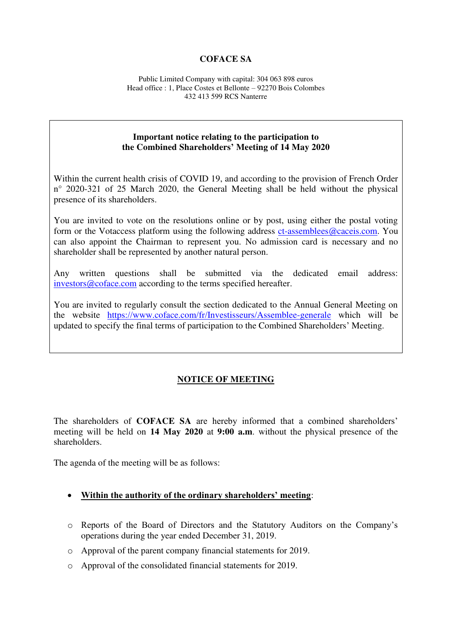### **COFACE SA**

Public Limited Company with capital: 304 063 898 euros Head office : 1, Place Costes et Bellonte – 92270 Bois Colombes 432 413 599 RCS Nanterre

### **Important notice relating to the participation to the Combined Shareholders' Meeting of 14 May 2020**

Within the current health crisis of COVID 19, and according to the provision of French Order n° 2020-321 of 25 March 2020, the General Meeting shall be held without the physical presence of its shareholders.

You are invited to vote on the resolutions online or by post, using either the postal voting form or the Votaccess platform using the following address [ct-assemblees@caceis.com.](mailto:ct-assemblees@caceis.com) You can also appoint the Chairman to represent you. No admission card is necessary and no shareholder shall be represented by another natural person.

Any written questions shall be submitted via the dedicated email address: [investors@coface.com](mailto:investors@coface.com) according to the terms specified hereafter.

You are invited to regularly consult the section dedicated to the Annual General Meeting on the website <https://www.coface.com/fr/Investisseurs/Assemblee-generale>which will be updated to specify the final terms of participation to the Combined Shareholders' Meeting.

### **NOTICE OF MEETING**

The shareholders of **COFACE SA** are hereby informed that a combined shareholders' meeting will be held on **14 May 2020** at **9:00 a.m**. without the physical presence of the shareholders.

The agenda of the meeting will be as follows:

- **Within the authority of the ordinary shareholders' meeting**:
- o Reports of the Board of Directors and the Statutory Auditors on the Company's operations during the year ended December 31, 2019.
- o Approval of the parent company financial statements for 2019.
- o Approval of the consolidated financial statements for 2019.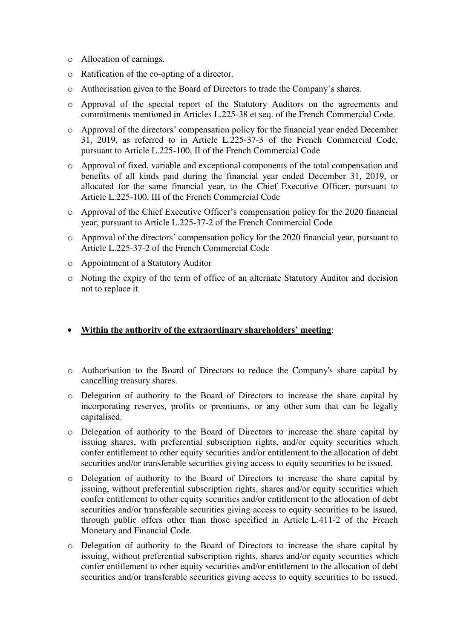- o Allocation of earnings.
- o Ratification of the co-opting of a director.
- o Authorisation given to the Board of Directors to trade the Company's shares.
- o Approval of the special report of the Statutory Auditors on the agreements and commitments mentioned in Articles L.225-38 et seq. of the French Commercial Code.
- o Approval of the directors' compensation policy for the financial year ended December 31, 2019, as referred to in Article L.225-37-3 of the French Commercial Code, pursuant to Article L.225-100, II of the French Commercial Code
- o Approval of fixed, variable and exceptional components of the total compensation and benefits of all kinds paid during the financial year ended December 31, 2019, or allocated for the same financial year, to the Chief Executive Officer, pursuant to Article L.225-100, III of the French Commercial Code
- o Approval of the Chief Executive Officer's compensation policy for the 2020 financial year, pursuant to Article L.225-37-2 of the French Commercial Code
- o Approval of the directors' compensation policy for the 2020 financial year, pursuant to Article L.225-37-2 of the French Commercial Code
- o Appointment of a Statutory Auditor
- o Noting the expiry of the term of office of an alternate Statutory Auditor and decision not to replace it
- **Within the authority of the extraordinary shareholders' meeting**:
- o Authorisation to the Board of Directors to reduce the Company's share capital by cancelling treasury shares.
- o Delegation of authority to the Board of Directors to increase the share capital by incorporating reserves, profits or premiums, or any other sum that can be legally capitalised.
- o Delegation of authority to the Board of Directors to increase the share capital by issuing shares, with preferential subscription rights, and/or equity securities which confer entitlement to other equity securities and/or entitlement to the allocation of debt securities and/or transferable securities giving access to equity securities to be issued.
- o Delegation of authority to the Board of Directors to increase the share capital by issuing, without preferential subscription rights, shares and/or equity securities which confer entitlement to other equity securities and/or entitlement to the allocation of debt securities and/or transferable securities giving access to equity securities to be issued, through public offers other than those specified in Article L.411-2 of the French Monetary and Financial Code.
- o Delegation of authority to the Board of Directors to increase the share capital by issuing, without preferential subscription rights, shares and/or equity securities which confer entitlement to other equity securities and/or entitlement to the allocation of debt securities and/or transferable securities giving access to equity securities to be issued,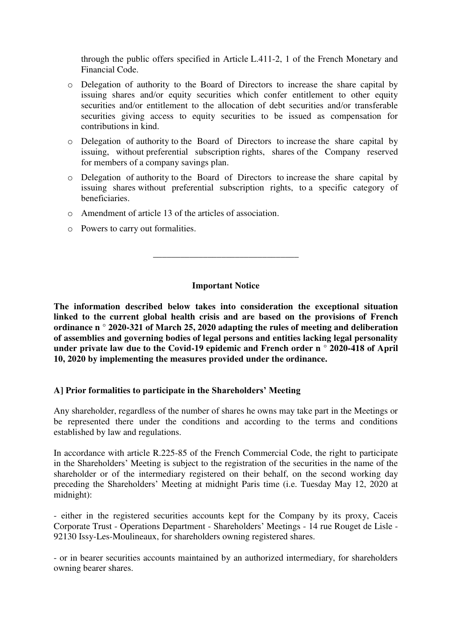through the public offers specified in Article L.411-2, 1 of the French Monetary and Financial Code.

- o Delegation of authority to the Board of Directors to increase the share capital by issuing shares and/or equity securities which confer entitlement to other equity securities and/or entitlement to the allocation of debt securities and/or transferable securities giving access to equity securities to be issued as compensation for contributions in kind.
- o Delegation of authority to the Board of Directors to increase the share capital by issuing, without preferential subscription rights, shares of the Company reserved for members of a company savings plan.
- o Delegation of authority to the Board of Directors to increase the share capital by issuing shares without preferential subscription rights, to a specific category of beneficiaries.
- o Amendment of article 13 of the articles of association.
- o Powers to carry out formalities.

### **Important Notice**

\_\_\_\_\_\_\_\_\_\_\_\_\_\_\_\_\_\_\_\_\_\_\_\_\_\_\_\_\_\_\_\_

**The information described below takes into consideration the exceptional situation linked to the current global health crisis and are based on the provisions of French ordinance n ° 2020-321 of March 25, 2020 adapting the rules of meeting and deliberation of assemblies and governing bodies of legal persons and entities lacking legal personality under private law due to the Covid-19 epidemic and French order n ° 2020-418 of April 10, 2020 by implementing the measures provided under the ordinance.** 

### **A] Prior formalities to participate in the Shareholders' Meeting**

Any shareholder, regardless of the number of shares he owns may take part in the Meetings or be represented there under the conditions and according to the terms and conditions established by law and regulations.

In accordance with article R.225-85 of the French Commercial Code, the right to participate in the Shareholders' Meeting is subject to the registration of the securities in the name of the shareholder or of the intermediary registered on their behalf, on the second working day preceding the Shareholders' Meeting at midnight Paris time (i.e. Tuesday May 12, 2020 at midnight):

- either in the registered securities accounts kept for the Company by its proxy, Caceis Corporate Trust - Operations Department - Shareholders' Meetings - 14 rue Rouget de Lisle - 92130 Issy-Les-Moulineaux, for shareholders owning registered shares.

- or in bearer securities accounts maintained by an authorized intermediary, for shareholders owning bearer shares.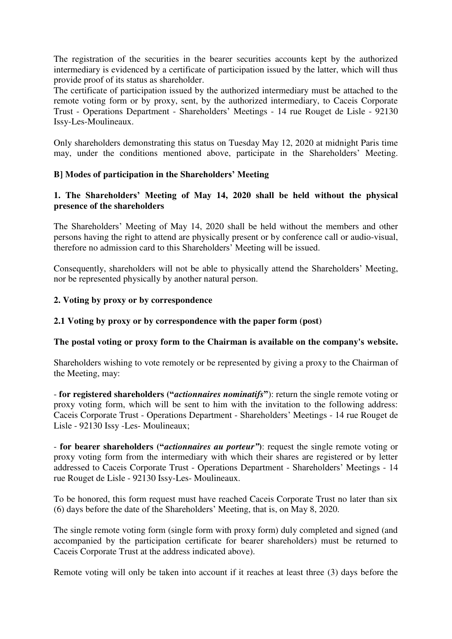The registration of the securities in the bearer securities accounts kept by the authorized intermediary is evidenced by a certificate of participation issued by the latter, which will thus provide proof of its status as shareholder.

The certificate of participation issued by the authorized intermediary must be attached to the remote voting form or by proxy, sent, by the authorized intermediary, to Caceis Corporate Trust - Operations Department - Shareholders' Meetings - 14 rue Rouget de Lisle - 92130 Issy-Les-Moulineaux.

Only shareholders demonstrating this status on Tuesday May 12, 2020 at midnight Paris time may, under the conditions mentioned above, participate in the Shareholders' Meeting.

### **B] Modes of participation in the Shareholders' Meeting**

### **1. The Shareholders' Meeting of May 14, 2020 shall be held without the physical presence of the shareholders**

The Shareholders' Meeting of May 14, 2020 shall be held without the members and other persons having the right to attend are physically present or by conference call or audio-visual, therefore no admission card to this Shareholders' Meeting will be issued.

Consequently, shareholders will not be able to physically attend the Shareholders' Meeting, nor be represented physically by another natural person.

### **2. Voting by proxy or by correspondence**

### **2.1 Voting by proxy or by correspondence with the paper form (post)**

### **The postal voting or proxy form to the Chairman is available on the company's website.**

Shareholders wishing to vote remotely or be represented by giving a proxy to the Chairman of the Meeting, may:

- **for registered shareholders ("***actionnaires nominatifs***"**): return the single remote voting or proxy voting form, which will be sent to him with the invitation to the following address: Caceis Corporate Trust - Operations Department - Shareholders' Meetings - 14 rue Rouget de Lisle - 92130 Issy -Les- Moulineaux;

- **for bearer shareholders ("***actionnaires au porteur"***)**: request the single remote voting or proxy voting form from the intermediary with which their shares are registered or by letter addressed to Caceis Corporate Trust - Operations Department - Shareholders' Meetings - 14 rue Rouget de Lisle - 92130 Issy-Les- Moulineaux.

To be honored, this form request must have reached Caceis Corporate Trust no later than six (6) days before the date of the Shareholders' Meeting, that is, on May 8, 2020.

The single remote voting form (single form with proxy form) duly completed and signed (and accompanied by the participation certificate for bearer shareholders) must be returned to Caceis Corporate Trust at the address indicated above).

Remote voting will only be taken into account if it reaches at least three (3) days before the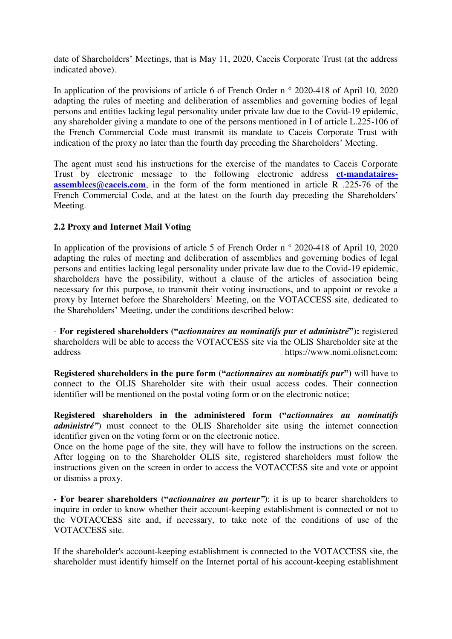date of Shareholders' Meetings, that is May 11, 2020, Caceis Corporate Trust (at the address indicated above).

In application of the provisions of article 6 of French Order n  $\degree$  2020-418 of April 10, 2020 adapting the rules of meeting and deliberation of assemblies and governing bodies of legal persons and entities lacking legal personality under private law due to the Covid-19 epidemic, any shareholder giving a mandate to one of the persons mentioned in I of article L.225-106 of the French Commercial Code must transmit its mandate to Caceis Corporate Trust with indication of the proxy no later than the fourth day preceding the Shareholders' Meeting.

The agent must send his instructions for the exercise of the mandates to Caceis Corporate Trust by electronic message to the following electronic address **ct-mandatairesassemblees@caceis.com**, in the form of the form mentioned in article R .225-76 of the French Commercial Code, and at the latest on the fourth day preceding the Shareholders' Meeting.

### **2.2 Proxy and Internet Mail Voting**

In application of the provisions of article 5 of French Order n  $\degree$  2020-418 of April 10, 2020 adapting the rules of meeting and deliberation of assemblies and governing bodies of legal persons and entities lacking legal personality under private law due to the Covid-19 epidemic, shareholders have the possibility, without a clause of the articles of association being necessary for this purpose, to transmit their voting instructions, and to appoint or revoke a proxy by Internet before the Shareholders' Meeting, on the VOTACCESS site, dedicated to the Shareholders' Meeting, under the conditions described below:

- **For registered shareholders ("***actionnaires au nominatifs pur et administré***"**)**:** registered shareholders will be able to access the VOTACCESS site via the OLIS Shareholder site at the address https://www.nomi.olisnet.com:

**Registered shareholders in the pure form ("***actionnaires au nominatifs pur***")** will have to connect to the OLIS Shareholder site with their usual access codes. Their connection identifier will be mentioned on the postal voting form or on the electronic notice;

**Registered shareholders in the administered form ("***actionnaires au nominatifs administré"***)** must connect to the OLIS Shareholder site using the internet connection identifier given on the voting form or on the electronic notice.

Once on the home page of the site, they will have to follow the instructions on the screen. After logging on to the Shareholder OLIS site, registered shareholders must follow the instructions given on the screen in order to access the VOTACCESS site and vote or appoint or dismiss a proxy.

**- For bearer shareholders ("***actionnaires au porteur"***)**: it is up to bearer shareholders to inquire in order to know whether their account-keeping establishment is connected or not to the VOTACCESS site and, if necessary, to take note of the conditions of use of the VOTACCESS site.

If the shareholder's account-keeping establishment is connected to the VOTACCESS site, the shareholder must identify himself on the Internet portal of his account-keeping establishment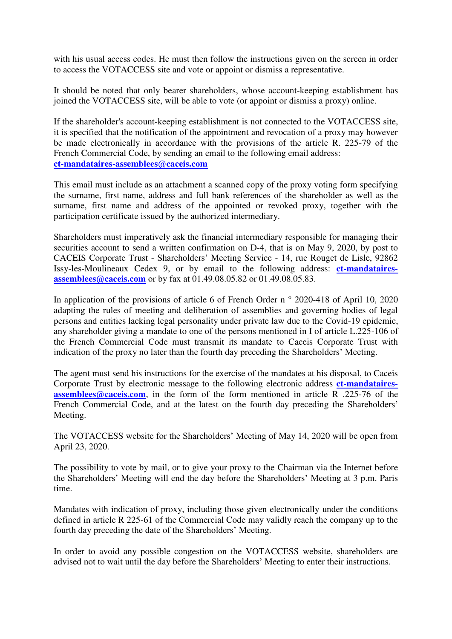with his usual access codes. He must then follow the instructions given on the screen in order to access the VOTACCESS site and vote or appoint or dismiss a representative.

It should be noted that only bearer shareholders, whose account-keeping establishment has joined the VOTACCESS site, will be able to vote (or appoint or dismiss a proxy) online.

If the shareholder's account-keeping establishment is not connected to the VOTACCESS site, it is specified that the notification of the appointment and revocation of a proxy may however be made electronically in accordance with the provisions of the article R. 225-79 of the French Commercial Code, by sending an email to the following email address: **ct-mandataires-assemblees@caceis.com**

This email must include as an attachment a scanned copy of the proxy voting form specifying the surname, first name, address and full bank references of the shareholder as well as the surname, first name and address of the appointed or revoked proxy, together with the participation certificate issued by the authorized intermediary.

Shareholders must imperatively ask the financial intermediary responsible for managing their securities account to send a written confirmation on D-4, that is on May 9, 2020, by post to CACEIS Corporate Trust - Shareholders' Meeting Service - 14, rue Rouget de Lisle, 92862 Issy-les-Moulineaux Cedex 9, or by email to the following address: **ct-mandatairesassemblees@caceis.com** or by fax at 01.49.08.05.82 or 01.49.08.05.83.

In application of the provisions of article 6 of French Order n  $\degree$  2020-418 of April 10, 2020 adapting the rules of meeting and deliberation of assemblies and governing bodies of legal persons and entities lacking legal personality under private law due to the Covid-19 epidemic, any shareholder giving a mandate to one of the persons mentioned in I of article L.225-106 of the French Commercial Code must transmit its mandate to Caceis Corporate Trust with indication of the proxy no later than the fourth day preceding the Shareholders' Meeting.

The agent must send his instructions for the exercise of the mandates at his disposal, to Caceis Corporate Trust by electronic message to the following electronic address **ct-mandatairesassemblees@caceis.com**, in the form of the form mentioned in article R .225-76 of the French Commercial Code, and at the latest on the fourth day preceding the Shareholders' Meeting.

The VOTACCESS website for the Shareholders' Meeting of May 14, 2020 will be open from April 23, 2020.

The possibility to vote by mail, or to give your proxy to the Chairman via the Internet before the Shareholders' Meeting will end the day before the Shareholders' Meeting at 3 p.m. Paris time.

Mandates with indication of proxy, including those given electronically under the conditions defined in article R 225-61 of the Commercial Code may validly reach the company up to the fourth day preceding the date of the Shareholders' Meeting.

In order to avoid any possible congestion on the VOTACCESS website, shareholders are advised not to wait until the day before the Shareholders' Meeting to enter their instructions.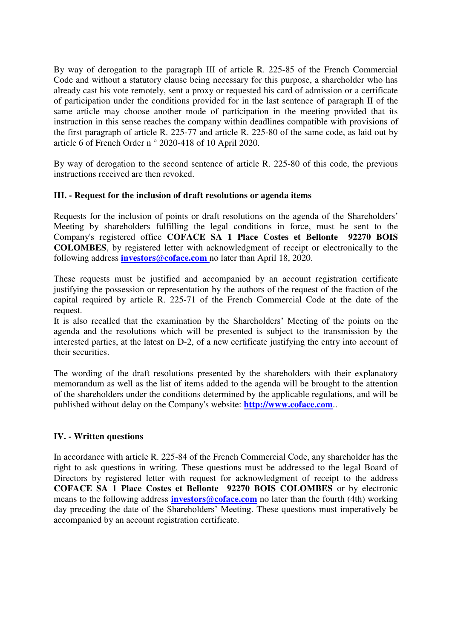By way of derogation to the paragraph III of article R. 225-85 of the French Commercial Code and without a statutory clause being necessary for this purpose, a shareholder who has already cast his vote remotely, sent a proxy or requested his card of admission or a certificate of participation under the conditions provided for in the last sentence of paragraph II of the same article may choose another mode of participation in the meeting provided that its instruction in this sense reaches the company within deadlines compatible with provisions of the first paragraph of article R. 225-77 and article R. 225-80 of the same code, as laid out by article 6 of French Order n ° 2020-418 of 10 April 2020.

By way of derogation to the second sentence of article R. 225-80 of this code, the previous instructions received are then revoked.

### **III. - Request for the inclusion of draft resolutions or agenda items**

Requests for the inclusion of points or draft resolutions on the agenda of the Shareholders' Meeting by shareholders fulfilling the legal conditions in force, must be sent to the Company's registered office **COFACE SA 1 Place Costes et Bellonte 92270 BOIS COLOMBES**, by registered letter with acknowledgment of receipt or electronically to the following address **[investors@coface.com](mailto:investors@coface.com)** no later than April 18, 2020.

These requests must be justified and accompanied by an account registration certificate justifying the possession or representation by the authors of the request of the fraction of the capital required by article R. 225-71 of the French Commercial Code at the date of the request.

It is also recalled that the examination by the Shareholders' Meeting of the points on the agenda and the resolutions which will be presented is subject to the transmission by the interested parties, at the latest on D-2, of a new certificate justifying the entry into account of their securities.

The wording of the draft resolutions presented by the shareholders with their explanatory memorandum as well as the list of items added to the agenda will be brought to the attention of the shareholders under the conditions determined by the applicable regulations, and will be published without delay on the Company's website: **[http://www.coface.com](http://www.coface.com/)**..

### **IV. - Written questions**

In accordance with article R. 225-84 of the French Commercial Code, any shareholder has the right to ask questions in writing. These questions must be addressed to the legal Board of Directors by registered letter with request for acknowledgment of receipt to the address **COFACE SA 1 Place Costes et Bellonte 92270 BOIS COLOMBES** or by electronic means to the following address **[investors@coface.com](mailto:investors@coface.com)** no later than the fourth (4th) working day preceding the date of the Shareholders' Meeting. These questions must imperatively be accompanied by an account registration certificate.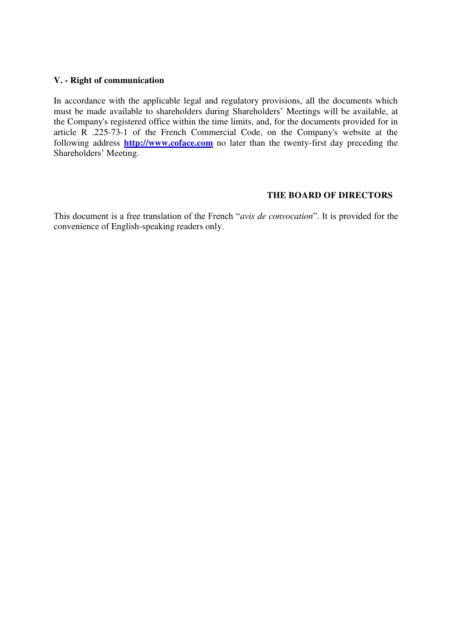### **V. - Right of communication**

In accordance with the applicable legal and regulatory provisions, all the documents which must be made available to shareholders during Shareholders' Meetings will be available, at the Company's registered office within the time limits, and, for the documents provided for in article R .225-73-1 of the French Commercial Code, on the Company's website at the following address **[http://www.coface.com](http://www.coface.com/)** no later than the twenty-first day preceding the Shareholders' Meeting.

### **THE BOARD OF DIRECTORS**

This document is a free translation of the French "*avis de convocation*". It is provided for the convenience of English-speaking readers only.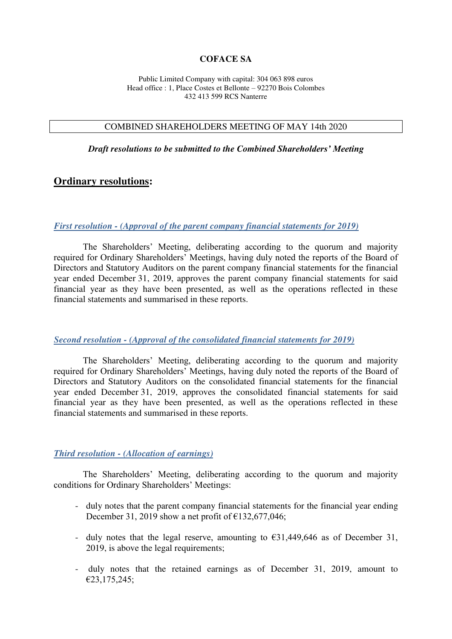### **COFACE SA**

Public Limited Company with capital: 304 063 898 euros Head office : 1, Place Costes et Bellonte – 92270 Bois Colombes 432 413 599 RCS Nanterre

#### COMBINED SHAREHOLDERS MEETING OF MAY 14th 2020

*Draft resolutions to be submitted to the Combined Shareholders' Meeting*

#### **Ordinary resolutions:**

#### *First resolution - (Approval of the parent company financial statements for 2019)*

The Shareholders' Meeting, deliberating according to the quorum and majority required for Ordinary Shareholders' Meetings, having duly noted the reports of the Board of Directors and Statutory Auditors on the parent company financial statements for the financial year ended December 31, 2019, approves the parent company financial statements for said financial year as they have been presented, as well as the operations reflected in these financial statements and summarised in these reports.

### *Second resolution - (Approval of the consolidated financial statements for 2019)*

The Shareholders' Meeting, deliberating according to the quorum and majority required for Ordinary Shareholders' Meetings, having duly noted the reports of the Board of Directors and Statutory Auditors on the consolidated financial statements for the financial year ended December 31, 2019, approves the consolidated financial statements for said financial year as they have been presented, as well as the operations reflected in these financial statements and summarised in these reports.

#### *Third resolution - (Allocation of earnings)*

The Shareholders' Meeting, deliberating according to the quorum and majority conditions for Ordinary Shareholders' Meetings:

- duly notes that the parent company financial statements for the financial year ending December 31, 2019 show a net profit of  $\epsilon$ 132,677,046;
- duly notes that the legal reserve, amounting to  $\epsilon$ 31,449,646 as of December 31, 2019, is above the legal requirements;
- duly notes that the retained earnings as of December 31, 2019, amount to €23,175,245;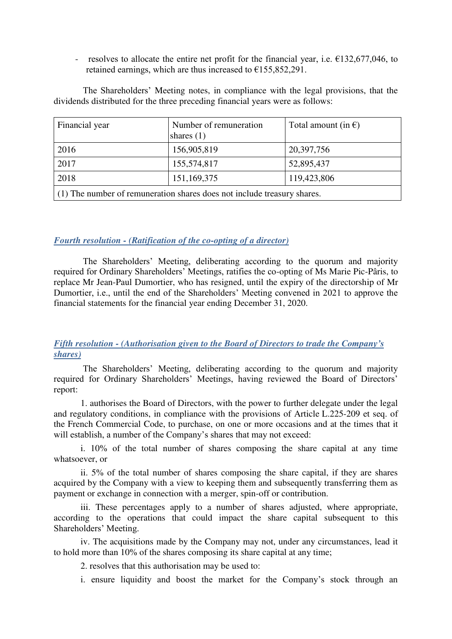- resolves to allocate the entire net profit for the financial year, i.e.  $\epsilon$ 132,677,046, to retained earnings, which are thus increased to  $\epsilon$ 155,852,291.

The Shareholders' Meeting notes, in compliance with the legal provisions, that the dividends distributed for the three preceding financial years were as follows:

| Financial year                                                          | Number of remuneration<br>shares $(1)$ | Total amount (in $\epsilon$ ) |  |  |
|-------------------------------------------------------------------------|----------------------------------------|-------------------------------|--|--|
| 2016                                                                    | 156,905,819                            | 20,397,756                    |  |  |
| 2017                                                                    | 155,574,817                            | 52,895,437                    |  |  |
| 2018                                                                    | 151,169,375                            | 119,423,806                   |  |  |
| (1) The number of remuneration shares does not include treasury shares. |                                        |                               |  |  |

### *Fourth resolution - (Ratification of the co-opting of a director)*

The Shareholders' Meeting, deliberating according to the quorum and majority required for Ordinary Shareholders' Meetings, ratifies the co-opting of Ms Marie Pic-Pâris, to replace Mr Jean-Paul Dumortier, who has resigned, until the expiry of the directorship of Mr Dumortier, i.e., until the end of the Shareholders' Meeting convened in 2021 to approve the financial statements for the financial year ending December 31, 2020.

### *Fifth resolution - (Authorisation given to the Board of Directors to trade the Company's shares)*

The Shareholders' Meeting, deliberating according to the quorum and majority required for Ordinary Shareholders' Meetings, having reviewed the Board of Directors' report:

1. authorises the Board of Directors, with the power to further delegate under the legal and regulatory conditions, in compliance with the provisions of Article L.225-209 et seq. of the French Commercial Code, to purchase, on one or more occasions and at the times that it will establish, a number of the Company's shares that may not exceed:

i. 10% of the total number of shares composing the share capital at any time whatsoever, or

ii. 5% of the total number of shares composing the share capital, if they are shares acquired by the Company with a view to keeping them and subsequently transferring them as payment or exchange in connection with a merger, spin-off or contribution.

iii. These percentages apply to a number of shares adjusted, where appropriate, according to the operations that could impact the share capital subsequent to this Shareholders' Meeting.

iv. The acquisitions made by the Company may not, under any circumstances, lead it to hold more than 10% of the shares composing its share capital at any time;

2. resolves that this authorisation may be used to:

i. ensure liquidity and boost the market for the Company's stock through an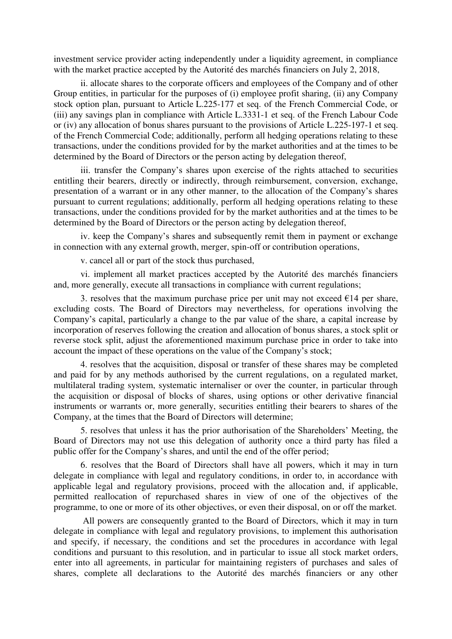investment service provider acting independently under a liquidity agreement, in compliance with the market practice accepted by the Autorité des marchés financiers on July 2, 2018,

ii. allocate shares to the corporate officers and employees of the Company and of other Group entities, in particular for the purposes of (i) employee profit sharing, (ii) any Company stock option plan, pursuant to Article L.225-177 et seq. of the French Commercial Code, or (iii) any savings plan in compliance with Article L.3331-1 et seq. of the French Labour Code or (iv) any allocation of bonus shares pursuant to the provisions of Article L.225-197-1 et seq. of the French Commercial Code; additionally, perform all hedging operations relating to these transactions, under the conditions provided for by the market authorities and at the times to be determined by the Board of Directors or the person acting by delegation thereof,

iii. transfer the Company's shares upon exercise of the rights attached to securities entitling their bearers, directly or indirectly, through reimbursement, conversion, exchange, presentation of a warrant or in any other manner, to the allocation of the Company's shares pursuant to current regulations; additionally, perform all hedging operations relating to these transactions, under the conditions provided for by the market authorities and at the times to be determined by the Board of Directors or the person acting by delegation thereof,

iv. keep the Company's shares and subsequently remit them in payment or exchange in connection with any external growth, merger, spin-off or contribution operations,

v. cancel all or part of the stock thus purchased,

vi. implement all market practices accepted by the Autorité des marchés financiers and, more generally, execute all transactions in compliance with current regulations;

3. resolves that the maximum purchase price per unit may not exceed  $E14$  per share, excluding costs. The Board of Directors may nevertheless, for operations involving the Company's capital, particularly a change to the par value of the share, a capital increase by incorporation of reserves following the creation and allocation of bonus shares, a stock split or reverse stock split, adjust the aforementioned maximum purchase price in order to take into account the impact of these operations on the value of the Company's stock;

4. resolves that the acquisition, disposal or transfer of these shares may be completed and paid for by any methods authorised by the current regulations, on a regulated market, multilateral trading system, systematic internaliser or over the counter, in particular through the acquisition or disposal of blocks of shares, using options or other derivative financial instruments or warrants or, more generally, securities entitling their bearers to shares of the Company, at the times that the Board of Directors will determine;

5. resolves that unless it has the prior authorisation of the Shareholders' Meeting, the Board of Directors may not use this delegation of authority once a third party has filed a public offer for the Company's shares, and until the end of the offer period;

6. resolves that the Board of Directors shall have all powers, which it may in turn delegate in compliance with legal and regulatory conditions, in order to, in accordance with applicable legal and regulatory provisions, proceed with the allocation and, if applicable, permitted reallocation of repurchased shares in view of one of the objectives of the programme, to one or more of its other objectives, or even their disposal, on or off the market.

 All powers are consequently granted to the Board of Directors, which it may in turn delegate in compliance with legal and regulatory provisions, to implement this authorisation and specify, if necessary, the conditions and set the procedures in accordance with legal conditions and pursuant to this resolution, and in particular to issue all stock market orders, enter into all agreements, in particular for maintaining registers of purchases and sales of shares, complete all declarations to the Autorité des marchés financiers or any other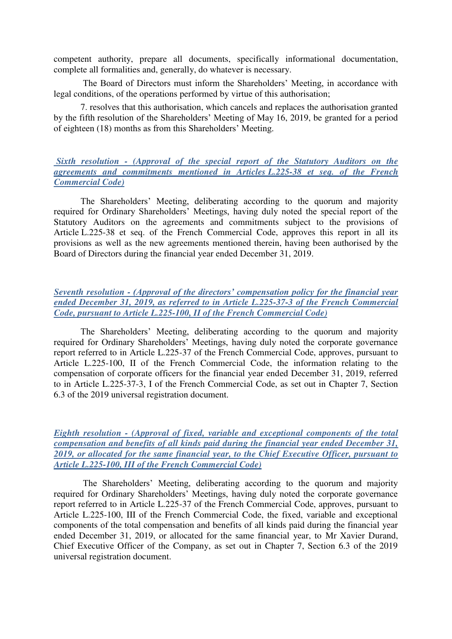competent authority, prepare all documents, specifically informational documentation, complete all formalities and, generally, do whatever is necessary.

The Board of Directors must inform the Shareholders' Meeting, in accordance with legal conditions, of the operations performed by virtue of this authorisation;

7. resolves that this authorisation, which cancels and replaces the authorisation granted by the fifth resolution of the Shareholders' Meeting of May 16, 2019, be granted for a period of eighteen (18) months as from this Shareholders' Meeting.

### *Sixth resolution - (Approval of the special report of the Statutory Auditors on the agreements and commitments mentioned in Articles L.225-38 et seq. of the French Commercial Code)*

 The Shareholders' Meeting, deliberating according to the quorum and majority required for Ordinary Shareholders' Meetings, having duly noted the special report of the Statutory Auditors on the agreements and commitments subject to the provisions of Article L.225-38 et seq. of the French Commercial Code, approves this report in all its provisions as well as the new agreements mentioned therein, having been authorised by the Board of Directors during the financial year ended December 31, 2019.

### *Seventh resolution - (Approval of the directors' compensation policy for the financial year ended December 31, 2019, as referred to in Article L.225-37-3 of the French Commercial Code, pursuant to Article L.225-100, II of the French Commercial Code)*

The Shareholders' Meeting, deliberating according to the quorum and majority required for Ordinary Shareholders' Meetings, having duly noted the corporate governance report referred to in Article L.225-37 of the French Commercial Code, approves, pursuant to Article L.225-100, II of the French Commercial Code, the information relating to the compensation of corporate officers for the financial year ended December 31, 2019, referred to in Article L.225-37-3, I of the French Commercial Code, as set out in Chapter 7, Section 6.3 of the 2019 universal registration document.

*Eighth resolution - (Approval of fixed, variable and exceptional components of the total compensation and benefits of all kinds paid during the financial year ended December 31, 2019, or allocated for the same financial year, to the Chief Executive Officer, pursuant to Article L.225-100, III of the French Commercial Code)* 

 The Shareholders' Meeting, deliberating according to the quorum and majority required for Ordinary Shareholders' Meetings, having duly noted the corporate governance report referred to in Article L.225-37 of the French Commercial Code, approves, pursuant to Article L.225-100, III of the French Commercial Code, the fixed, variable and exceptional components of the total compensation and benefits of all kinds paid during the financial year ended December 31, 2019, or allocated for the same financial year, to Mr Xavier Durand, Chief Executive Officer of the Company, as set out in Chapter 7, Section 6.3 of the 2019 universal registration document.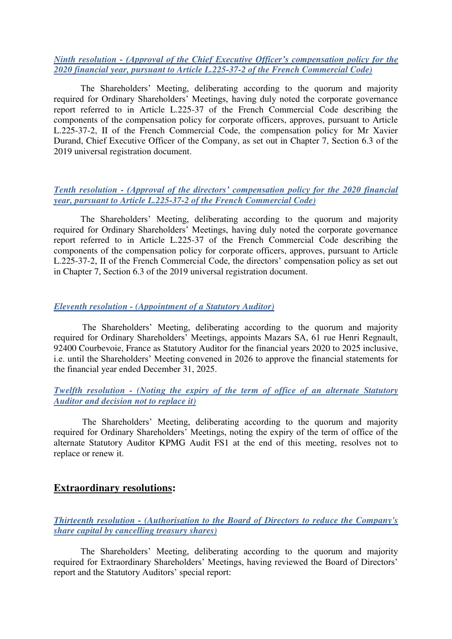*Ninth resolution - (Approval of the Chief Executive Officer's compensation policy for the 2020 financial year, pursuant to Article L.225-37-2 of the French Commercial Code)* 

 The Shareholders' Meeting, deliberating according to the quorum and majority required for Ordinary Shareholders' Meetings, having duly noted the corporate governance report referred to in Article L.225-37 of the French Commercial Code describing the components of the compensation policy for corporate officers, approves, pursuant to Article L.225-37-2, II of the French Commercial Code, the compensation policy for Mr Xavier Durand, Chief Executive Officer of the Company, as set out in Chapter 7, Section 6.3 of the 2019 universal registration document.

### *Tenth resolution - (Approval of the directors' compensation policy for the 2020 financial year, pursuant to Article L.225-37-2 of the French Commercial Code)*

 The Shareholders' Meeting, deliberating according to the quorum and majority required for Ordinary Shareholders' Meetings, having duly noted the corporate governance report referred to in Article L.225-37 of the French Commercial Code describing the components of the compensation policy for corporate officers, approves, pursuant to Article L.225-37-2, II of the French Commercial Code, the directors' compensation policy as set out in Chapter 7, Section 6.3 of the 2019 universal registration document.

### *Eleventh resolution - (Appointment of a Statutory Auditor)*

The Shareholders' Meeting, deliberating according to the quorum and majority required for Ordinary Shareholders' Meetings, appoints Mazars SA, 61 rue Henri Regnault, 92400 Courbevoie, France as Statutory Auditor for the financial years 2020 to 2025 inclusive, i.e. until the Shareholders' Meeting convened in 2026 to approve the financial statements for the financial year ended December 31, 2025.

### *Twelfth resolution - (Noting the expiry of the term of office of an alternate Statutory Auditor and decision not to replace it)*

The Shareholders' Meeting, deliberating according to the quorum and majority required for Ordinary Shareholders' Meetings, noting the expiry of the term of office of the alternate Statutory Auditor KPMG Audit FS1 at the end of this meeting, resolves not to replace or renew it.

### **Extraordinary resolutions:**

### *Thirteenth resolution - (Authorisation to the Board of Directors to reduce the Company's share capital by cancelling treasury shares)*

 The Shareholders' Meeting, deliberating according to the quorum and majority required for Extraordinary Shareholders' Meetings, having reviewed the Board of Directors' report and the Statutory Auditors' special report: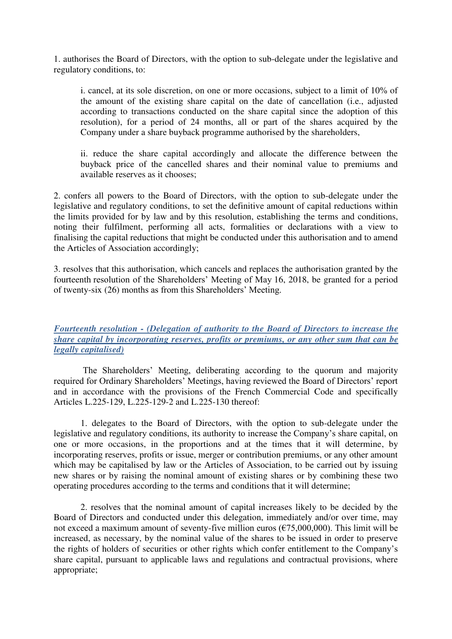1. authorises the Board of Directors, with the option to sub-delegate under the legislative and regulatory conditions, to:

i. cancel, at its sole discretion, on one or more occasions, subject to a limit of 10% of the amount of the existing share capital on the date of cancellation (i.e., adjusted according to transactions conducted on the share capital since the adoption of this resolution), for a period of 24 months, all or part of the shares acquired by the Company under a share buyback programme authorised by the shareholders,

ii. reduce the share capital accordingly and allocate the difference between the buyback price of the cancelled shares and their nominal value to premiums and available reserves as it chooses;

2. confers all powers to the Board of Directors, with the option to sub-delegate under the legislative and regulatory conditions, to set the definitive amount of capital reductions within the limits provided for by law and by this resolution, establishing the terms and conditions, noting their fulfilment, performing all acts, formalities or declarations with a view to finalising the capital reductions that might be conducted under this authorisation and to amend the Articles of Association accordingly;

3. resolves that this authorisation, which cancels and replaces the authorisation granted by the fourteenth resolution of the Shareholders' Meeting of May 16, 2018, be granted for a period of twenty-six (26) months as from this Shareholders' Meeting.

### *Fourteenth resolution - (Delegation of authority to the Board of Directors to increase the share capital by incorporating reserves, profits or premiums, or any other sum that can be legally capitalised)*

The Shareholders' Meeting, deliberating according to the quorum and majority required for Ordinary Shareholders' Meetings, having reviewed the Board of Directors' report and in accordance with the provisions of the French Commercial Code and specifically Articles L.225-129, L.225-129-2 and L.225-130 thereof:

1. delegates to the Board of Directors, with the option to sub-delegate under the legislative and regulatory conditions, its authority to increase the Company's share capital, on one or more occasions, in the proportions and at the times that it will determine, by incorporating reserves, profits or issue, merger or contribution premiums, or any other amount which may be capitalised by law or the Articles of Association, to be carried out by issuing new shares or by raising the nominal amount of existing shares or by combining these two operating procedures according to the terms and conditions that it will determine;

2. resolves that the nominal amount of capital increases likely to be decided by the Board of Directors and conducted under this delegation, immediately and/or over time, may not exceed a maximum amount of seventy-five million euros ( $\epsilon$ 75,000,000). This limit will be increased, as necessary, by the nominal value of the shares to be issued in order to preserve the rights of holders of securities or other rights which confer entitlement to the Company's share capital, pursuant to applicable laws and regulations and contractual provisions, where appropriate;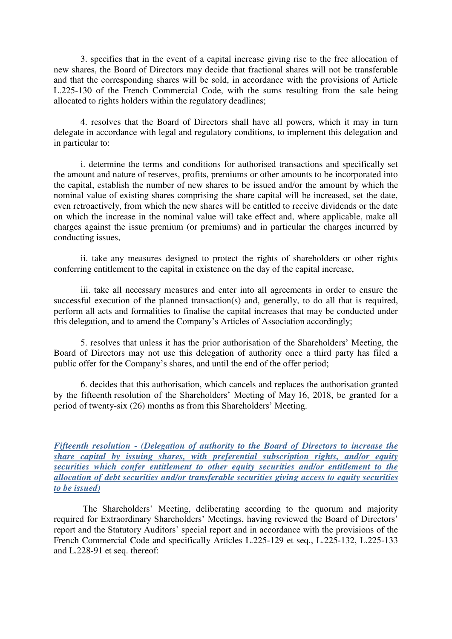3. specifies that in the event of a capital increase giving rise to the free allocation of new shares, the Board of Directors may decide that fractional shares will not be transferable and that the corresponding shares will be sold, in accordance with the provisions of Article L.225-130 of the French Commercial Code, with the sums resulting from the sale being allocated to rights holders within the regulatory deadlines;

4. resolves that the Board of Directors shall have all powers, which it may in turn delegate in accordance with legal and regulatory conditions, to implement this delegation and in particular to:

i. determine the terms and conditions for authorised transactions and specifically set the amount and nature of reserves, profits, premiums or other amounts to be incorporated into the capital, establish the number of new shares to be issued and/or the amount by which the nominal value of existing shares comprising the share capital will be increased, set the date, even retroactively, from which the new shares will be entitled to receive dividends or the date on which the increase in the nominal value will take effect and, where applicable, make all charges against the issue premium (or premiums) and in particular the charges incurred by conducting issues,

ii. take any measures designed to protect the rights of shareholders or other rights conferring entitlement to the capital in existence on the day of the capital increase,

iii. take all necessary measures and enter into all agreements in order to ensure the successful execution of the planned transaction(s) and, generally, to do all that is required, perform all acts and formalities to finalise the capital increases that may be conducted under this delegation, and to amend the Company's Articles of Association accordingly;

5. resolves that unless it has the prior authorisation of the Shareholders' Meeting, the Board of Directors may not use this delegation of authority once a third party has filed a public offer for the Company's shares, and until the end of the offer period;

6. decides that this authorisation, which cancels and replaces the authorisation granted by the fifteenth resolution of the Shareholders' Meeting of May 16, 2018, be granted for a period of twenty-six (26) months as from this Shareholders' Meeting.

*Fifteenth resolution - (Delegation of authority to the Board of Directors to increase the share capital by issuing shares, with preferential subscription rights, and/or equity securities which confer entitlement to other equity securities and/or entitlement to the allocation of debt securities and/or transferable securities giving access to equity securities to be issued)* 

The Shareholders' Meeting, deliberating according to the quorum and majority required for Extraordinary Shareholders' Meetings, having reviewed the Board of Directors' report and the Statutory Auditors' special report and in accordance with the provisions of the French Commercial Code and specifically Articles L.225-129 et seq., L.225-132, L.225-133 and L.228-91 et seq. thereof: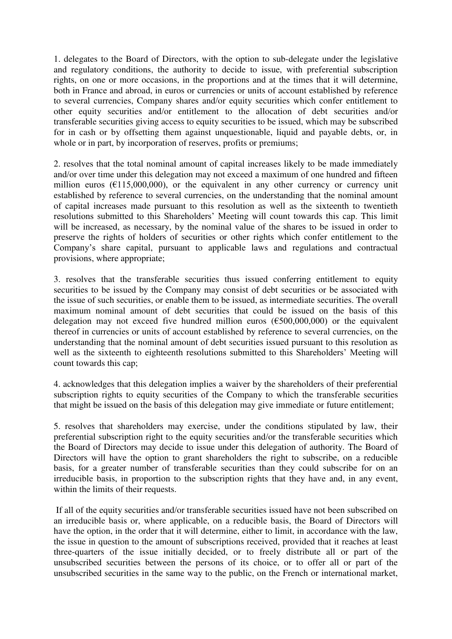1. delegates to the Board of Directors, with the option to sub-delegate under the legislative and regulatory conditions, the authority to decide to issue, with preferential subscription rights, on one or more occasions, in the proportions and at the times that it will determine, both in France and abroad, in euros or currencies or units of account established by reference to several currencies, Company shares and/or equity securities which confer entitlement to other equity securities and/or entitlement to the allocation of debt securities and/or transferable securities giving access to equity securities to be issued, which may be subscribed for in cash or by offsetting them against unquestionable, liquid and payable debts, or, in whole or in part, by incorporation of reserves, profits or premiums;

2. resolves that the total nominal amount of capital increases likely to be made immediately and/or over time under this delegation may not exceed a maximum of one hundred and fifteen million euros ( $\epsilon$ 115,000,000), or the equivalent in any other currency or currency unit established by reference to several currencies, on the understanding that the nominal amount of capital increases made pursuant to this resolution as well as the sixteenth to twentieth resolutions submitted to this Shareholders' Meeting will count towards this cap. This limit will be increased, as necessary, by the nominal value of the shares to be issued in order to preserve the rights of holders of securities or other rights which confer entitlement to the Company's share capital, pursuant to applicable laws and regulations and contractual provisions, where appropriate;

3. resolves that the transferable securities thus issued conferring entitlement to equity securities to be issued by the Company may consist of debt securities or be associated with the issue of such securities, or enable them to be issued, as intermediate securities. The overall maximum nominal amount of debt securities that could be issued on the basis of this delegation may not exceed five hundred million euros  $(\text{\textsterling}500,000,000)$  or the equivalent thereof in currencies or units of account established by reference to several currencies, on the understanding that the nominal amount of debt securities issued pursuant to this resolution as well as the sixteenth to eighteenth resolutions submitted to this Shareholders' Meeting will count towards this cap;

4. acknowledges that this delegation implies a waiver by the shareholders of their preferential subscription rights to equity securities of the Company to which the transferable securities that might be issued on the basis of this delegation may give immediate or future entitlement;

5. resolves that shareholders may exercise, under the conditions stipulated by law, their preferential subscription right to the equity securities and/or the transferable securities which the Board of Directors may decide to issue under this delegation of authority. The Board of Directors will have the option to grant shareholders the right to subscribe, on a reducible basis, for a greater number of transferable securities than they could subscribe for on an irreducible basis, in proportion to the subscription rights that they have and, in any event, within the limits of their requests.

 If all of the equity securities and/or transferable securities issued have not been subscribed on an irreducible basis or, where applicable, on a reducible basis, the Board of Directors will have the option, in the order that it will determine, either to limit, in accordance with the law, the issue in question to the amount of subscriptions received, provided that it reaches at least three-quarters of the issue initially decided, or to freely distribute all or part of the unsubscribed securities between the persons of its choice, or to offer all or part of the unsubscribed securities in the same way to the public, on the French or international market,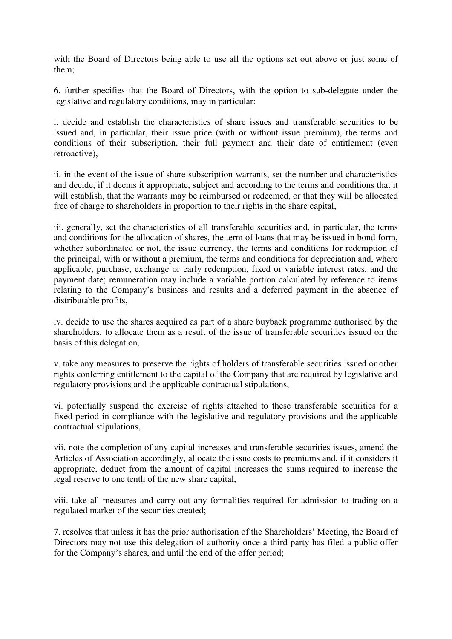with the Board of Directors being able to use all the options set out above or just some of them;

6. further specifies that the Board of Directors, with the option to sub-delegate under the legislative and regulatory conditions, may in particular:

i. decide and establish the characteristics of share issues and transferable securities to be issued and, in particular, their issue price (with or without issue premium), the terms and conditions of their subscription, their full payment and their date of entitlement (even retroactive),

ii. in the event of the issue of share subscription warrants, set the number and characteristics and decide, if it deems it appropriate, subject and according to the terms and conditions that it will establish, that the warrants may be reimbursed or redeemed, or that they will be allocated free of charge to shareholders in proportion to their rights in the share capital,

iii. generally, set the characteristics of all transferable securities and, in particular, the terms and conditions for the allocation of shares, the term of loans that may be issued in bond form, whether subordinated or not, the issue currency, the terms and conditions for redemption of the principal, with or without a premium, the terms and conditions for depreciation and, where applicable, purchase, exchange or early redemption, fixed or variable interest rates, and the payment date; remuneration may include a variable portion calculated by reference to items relating to the Company's business and results and a deferred payment in the absence of distributable profits,

iv. decide to use the shares acquired as part of a share buyback programme authorised by the shareholders, to allocate them as a result of the issue of transferable securities issued on the basis of this delegation,

v. take any measures to preserve the rights of holders of transferable securities issued or other rights conferring entitlement to the capital of the Company that are required by legislative and regulatory provisions and the applicable contractual stipulations,

vi. potentially suspend the exercise of rights attached to these transferable securities for a fixed period in compliance with the legislative and regulatory provisions and the applicable contractual stipulations,

vii. note the completion of any capital increases and transferable securities issues, amend the Articles of Association accordingly, allocate the issue costs to premiums and, if it considers it appropriate, deduct from the amount of capital increases the sums required to increase the legal reserve to one tenth of the new share capital,

viii. take all measures and carry out any formalities required for admission to trading on a regulated market of the securities created;

7. resolves that unless it has the prior authorisation of the Shareholders' Meeting, the Board of Directors may not use this delegation of authority once a third party has filed a public offer for the Company's shares, and until the end of the offer period;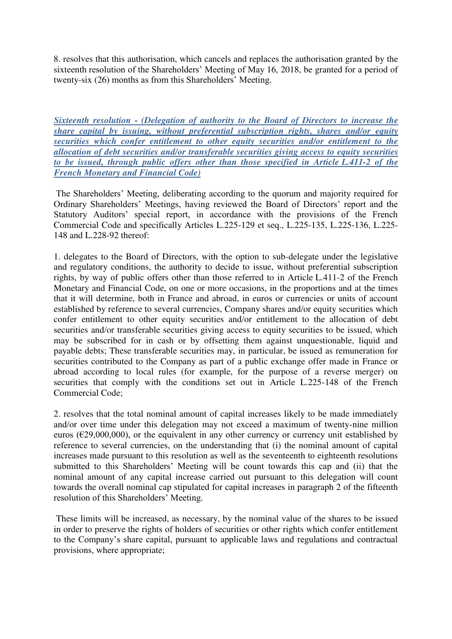8. resolves that this authorisation, which cancels and replaces the authorisation granted by the sixteenth resolution of the Shareholders' Meeting of May 16, 2018, be granted for a period of twenty-six (26) months as from this Shareholders' Meeting.

*Sixteenth resolution - (Delegation of authority to the Board of Directors to increase the share capital by issuing, without preferential subscription rights, shares and/or equity securities which confer entitlement to other equity securities and/or entitlement to the allocation of debt securities and/or transferable securities giving access to equity securities to be issued, through public offers other than those specified in Article L.411-2 of the French Monetary and Financial Code)* 

The Shareholders' Meeting, deliberating according to the quorum and majority required for Ordinary Shareholders' Meetings, having reviewed the Board of Directors' report and the Statutory Auditors' special report, in accordance with the provisions of the French Commercial Code and specifically Articles L.225-129 et seq., L.225-135, L.225-136, L.225- 148 and L.228-92 thereof:

1. delegates to the Board of Directors, with the option to sub-delegate under the legislative and regulatory conditions, the authority to decide to issue, without preferential subscription rights, by way of public offers other than those referred to in Article L.411-2 of the French Monetary and Financial Code, on one or more occasions, in the proportions and at the times that it will determine, both in France and abroad, in euros or currencies or units of account established by reference to several currencies, Company shares and/or equity securities which confer entitlement to other equity securities and/or entitlement to the allocation of debt securities and/or transferable securities giving access to equity securities to be issued, which may be subscribed for in cash or by offsetting them against unquestionable, liquid and payable debts; These transferable securities may, in particular, be issued as remuneration for securities contributed to the Company as part of a public exchange offer made in France or abroad according to local rules (for example, for the purpose of a reverse merger) on securities that comply with the conditions set out in Article L.225-148 of the French Commercial Code;

2. resolves that the total nominal amount of capital increases likely to be made immediately and/or over time under this delegation may not exceed a maximum of twenty-nine million euros ( $E$ 29,000,000), or the equivalent in any other currency or currency unit established by reference to several currencies, on the understanding that (i) the nominal amount of capital increases made pursuant to this resolution as well as the seventeenth to eighteenth resolutions submitted to this Shareholders' Meeting will be count towards this cap and (ii) that the nominal amount of any capital increase carried out pursuant to this delegation will count towards the overall nominal cap stipulated for capital increases in paragraph 2 of the fifteenth resolution of this Shareholders' Meeting.

 These limits will be increased, as necessary, by the nominal value of the shares to be issued in order to preserve the rights of holders of securities or other rights which confer entitlement to the Company's share capital, pursuant to applicable laws and regulations and contractual provisions, where appropriate;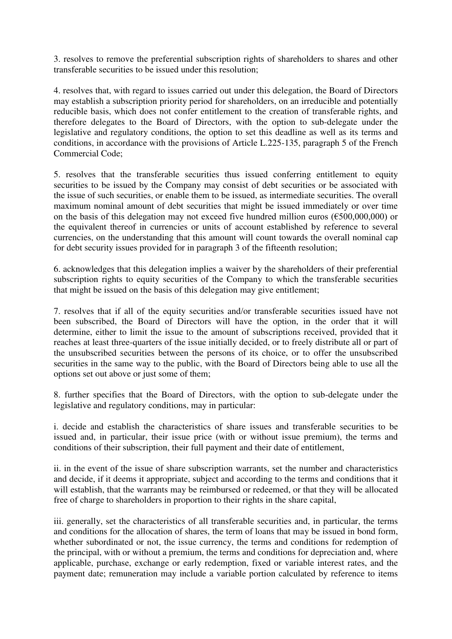3. resolves to remove the preferential subscription rights of shareholders to shares and other transferable securities to be issued under this resolution;

4. resolves that, with regard to issues carried out under this delegation, the Board of Directors may establish a subscription priority period for shareholders, on an irreducible and potentially reducible basis, which does not confer entitlement to the creation of transferable rights, and therefore delegates to the Board of Directors, with the option to sub-delegate under the legislative and regulatory conditions, the option to set this deadline as well as its terms and conditions, in accordance with the provisions of Article L.225-135, paragraph 5 of the French Commercial Code;

5. resolves that the transferable securities thus issued conferring entitlement to equity securities to be issued by the Company may consist of debt securities or be associated with the issue of such securities, or enable them to be issued, as intermediate securities. The overall maximum nominal amount of debt securities that might be issued immediately or over time on the basis of this delegation may not exceed five hundred million euros ( $\epsilon$ 500,000,000) or the equivalent thereof in currencies or units of account established by reference to several currencies, on the understanding that this amount will count towards the overall nominal cap for debt security issues provided for in paragraph 3 of the fifteenth resolution;

6. acknowledges that this delegation implies a waiver by the shareholders of their preferential subscription rights to equity securities of the Company to which the transferable securities that might be issued on the basis of this delegation may give entitlement;

7. resolves that if all of the equity securities and/or transferable securities issued have not been subscribed, the Board of Directors will have the option, in the order that it will determine, either to limit the issue to the amount of subscriptions received, provided that it reaches at least three-quarters of the issue initially decided, or to freely distribute all or part of the unsubscribed securities between the persons of its choice, or to offer the unsubscribed securities in the same way to the public, with the Board of Directors being able to use all the options set out above or just some of them;

8. further specifies that the Board of Directors, with the option to sub-delegate under the legislative and regulatory conditions, may in particular:

i. decide and establish the characteristics of share issues and transferable securities to be issued and, in particular, their issue price (with or without issue premium), the terms and conditions of their subscription, their full payment and their date of entitlement,

ii. in the event of the issue of share subscription warrants, set the number and characteristics and decide, if it deems it appropriate, subject and according to the terms and conditions that it will establish, that the warrants may be reimbursed or redeemed, or that they will be allocated free of charge to shareholders in proportion to their rights in the share capital,

iii. generally, set the characteristics of all transferable securities and, in particular, the terms and conditions for the allocation of shares, the term of loans that may be issued in bond form, whether subordinated or not, the issue currency, the terms and conditions for redemption of the principal, with or without a premium, the terms and conditions for depreciation and, where applicable, purchase, exchange or early redemption, fixed or variable interest rates, and the payment date; remuneration may include a variable portion calculated by reference to items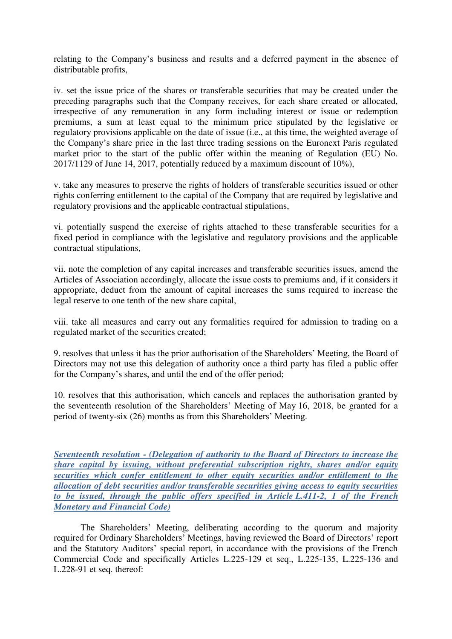relating to the Company's business and results and a deferred payment in the absence of distributable profits,

iv. set the issue price of the shares or transferable securities that may be created under the preceding paragraphs such that the Company receives, for each share created or allocated, irrespective of any remuneration in any form including interest or issue or redemption premiums, a sum at least equal to the minimum price stipulated by the legislative or regulatory provisions applicable on the date of issue (i.e., at this time, the weighted average of the Company's share price in the last three trading sessions on the Euronext Paris regulated market prior to the start of the public offer within the meaning of Regulation (EU) No.  $2017/1129$  of June 14, 2017, potentially reduced by a maximum discount of 10%).

v. take any measures to preserve the rights of holders of transferable securities issued or other rights conferring entitlement to the capital of the Company that are required by legislative and regulatory provisions and the applicable contractual stipulations,

vi. potentially suspend the exercise of rights attached to these transferable securities for a fixed period in compliance with the legislative and regulatory provisions and the applicable contractual stipulations,

vii. note the completion of any capital increases and transferable securities issues, amend the Articles of Association accordingly, allocate the issue costs to premiums and, if it considers it appropriate, deduct from the amount of capital increases the sums required to increase the legal reserve to one tenth of the new share capital,

viii. take all measures and carry out any formalities required for admission to trading on a regulated market of the securities created;

9. resolves that unless it has the prior authorisation of the Shareholders' Meeting, the Board of Directors may not use this delegation of authority once a third party has filed a public offer for the Company's shares, and until the end of the offer period;

10. resolves that this authorisation, which cancels and replaces the authorisation granted by the seventeenth resolution of the Shareholders' Meeting of May 16, 2018, be granted for a period of twenty-six (26) months as from this Shareholders' Meeting.

*Seventeenth resolution - (Delegation of authority to the Board of Directors to increase the share capital by issuing, without preferential subscription rights, shares and/or equity securities which confer entitlement to other equity securities and/or entitlement to the allocation of debt securities and/or transferable securities giving access to equity securities to be issued, through the public offers specified in Article L.411-2, 1 of the French Monetary and Financial Code)* 

The Shareholders' Meeting, deliberating according to the quorum and majority required for Ordinary Shareholders' Meetings, having reviewed the Board of Directors' report and the Statutory Auditors' special report, in accordance with the provisions of the French Commercial Code and specifically Articles L.225-129 et seq., L.225-135, L.225-136 and L.228-91 et seq. thereof: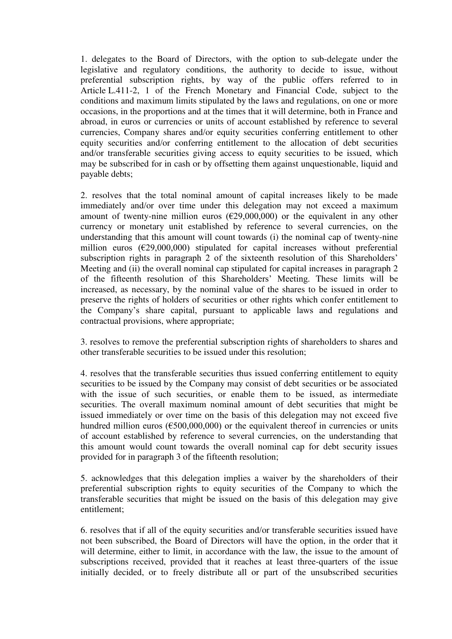1. delegates to the Board of Directors, with the option to sub-delegate under the legislative and regulatory conditions, the authority to decide to issue, without preferential subscription rights, by way of the public offers referred to in Article L.411-2, 1 of the French Monetary and Financial Code, subject to the conditions and maximum limits stipulated by the laws and regulations, on one or more occasions, in the proportions and at the times that it will determine, both in France and abroad, in euros or currencies or units of account established by reference to several currencies, Company shares and/or equity securities conferring entitlement to other equity securities and/or conferring entitlement to the allocation of debt securities and/or transferable securities giving access to equity securities to be issued, which may be subscribed for in cash or by offsetting them against unquestionable, liquid and payable debts;

2. resolves that the total nominal amount of capital increases likely to be made immediately and/or over time under this delegation may not exceed a maximum amount of twenty-nine million euros  $(\text{\textsterling}29,000,000)$  or the equivalent in any other currency or monetary unit established by reference to several currencies, on the understanding that this amount will count towards (i) the nominal cap of twenty-nine million euros (€29,000,000) stipulated for capital increases without preferential subscription rights in paragraph 2 of the sixteenth resolution of this Shareholders' Meeting and (ii) the overall nominal cap stipulated for capital increases in paragraph 2 of the fifteenth resolution of this Shareholders' Meeting. These limits will be increased, as necessary, by the nominal value of the shares to be issued in order to preserve the rights of holders of securities or other rights which confer entitlement to the Company's share capital, pursuant to applicable laws and regulations and contractual provisions, where appropriate;

3. resolves to remove the preferential subscription rights of shareholders to shares and other transferable securities to be issued under this resolution;

4. resolves that the transferable securities thus issued conferring entitlement to equity securities to be issued by the Company may consist of debt securities or be associated with the issue of such securities, or enable them to be issued, as intermediate securities. The overall maximum nominal amount of debt securities that might be issued immediately or over time on the basis of this delegation may not exceed five hundred million euros ( $\epsilon$ 500,000,000) or the equivalent thereof in currencies or units of account established by reference to several currencies, on the understanding that this amount would count towards the overall nominal cap for debt security issues provided for in paragraph 3 of the fifteenth resolution;

5. acknowledges that this delegation implies a waiver by the shareholders of their preferential subscription rights to equity securities of the Company to which the transferable securities that might be issued on the basis of this delegation may give entitlement;

6. resolves that if all of the equity securities and/or transferable securities issued have not been subscribed, the Board of Directors will have the option, in the order that it will determine, either to limit, in accordance with the law, the issue to the amount of subscriptions received, provided that it reaches at least three-quarters of the issue initially decided, or to freely distribute all or part of the unsubscribed securities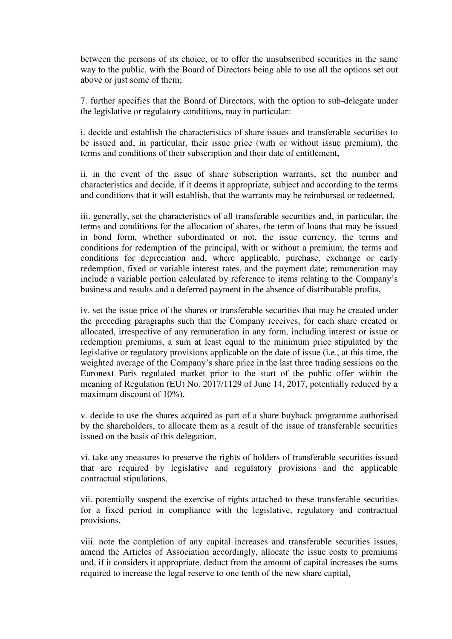between the persons of its choice, or to offer the unsubscribed securities in the same way to the public, with the Board of Directors being able to use all the options set out above or just some of them;

7. further specifies that the Board of Directors, with the option to sub-delegate under the legislative or regulatory conditions, may in particular:

i. decide and establish the characteristics of share issues and transferable securities to be issued and, in particular, their issue price (with or without issue premium), the terms and conditions of their subscription and their date of entitlement,

ii. in the event of the issue of share subscription warrants, set the number and characteristics and decide, if it deems it appropriate, subject and according to the terms and conditions that it will establish, that the warrants may be reimbursed or redeemed,

iii. generally, set the characteristics of all transferable securities and, in particular, the terms and conditions for the allocation of shares, the term of loans that may be issued in bond form, whether subordinated or not, the issue currency, the terms and conditions for redemption of the principal, with or without a premium, the terms and conditions for depreciation and, where applicable, purchase, exchange or early redemption, fixed or variable interest rates, and the payment date; remuneration may include a variable portion calculated by reference to items relating to the Company's business and results and a deferred payment in the absence of distributable profits,

iv. set the issue price of the shares or transferable securities that may be created under the preceding paragraphs such that the Company receives, for each share created or allocated, irrespective of any remuneration in any form, including interest or issue or redemption premiums, a sum at least equal to the minimum price stipulated by the legislative or regulatory provisions applicable on the date of issue (i.e., at this time, the weighted average of the Company's share price in the last three trading sessions on the Euronext Paris regulated market prior to the start of the public offer within the meaning of Regulation (EU) No. 2017/1129 of June 14, 2017, potentially reduced by a maximum discount of 10%),

v. decide to use the shares acquired as part of a share buyback programme authorised by the shareholders, to allocate them as a result of the issue of transferable securities issued on the basis of this delegation,

vi. take any measures to preserve the rights of holders of transferable securities issued that are required by legislative and regulatory provisions and the applicable contractual stipulations,

vii. potentially suspend the exercise of rights attached to these transferable securities for a fixed period in compliance with the legislative, regulatory and contractual provisions,

viii. note the completion of any capital increases and transferable securities issues, amend the Articles of Association accordingly, allocate the issue costs to premiums and, if it considers it appropriate, deduct from the amount of capital increases the sums required to increase the legal reserve to one tenth of the new share capital,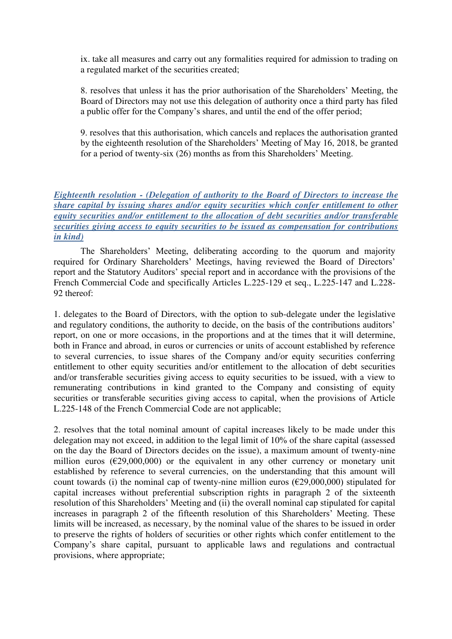ix. take all measures and carry out any formalities required for admission to trading on a regulated market of the securities created;

8. resolves that unless it has the prior authorisation of the Shareholders' Meeting, the Board of Directors may not use this delegation of authority once a third party has filed a public offer for the Company's shares, and until the end of the offer period;

9. resolves that this authorisation, which cancels and replaces the authorisation granted by the eighteenth resolution of the Shareholders' Meeting of May 16, 2018, be granted for a period of twenty-six (26) months as from this Shareholders' Meeting.

### *Eighteenth resolution - (Delegation of authority to the Board of Directors to increase the share capital by issuing shares and/or equity securities which confer entitlement to other equity securities and/or entitlement to the allocation of debt securities and/or transferable securities giving access to equity securities to be issued as compensation for contributions in kind)*

The Shareholders' Meeting, deliberating according to the quorum and majority required for Ordinary Shareholders' Meetings, having reviewed the Board of Directors' report and the Statutory Auditors' special report and in accordance with the provisions of the French Commercial Code and specifically Articles L.225-129 et seq., L.225-147 and L.228- 92 thereof:

1. delegates to the Board of Directors, with the option to sub-delegate under the legislative and regulatory conditions, the authority to decide, on the basis of the contributions auditors' report, on one or more occasions, in the proportions and at the times that it will determine, both in France and abroad, in euros or currencies or units of account established by reference to several currencies, to issue shares of the Company and/or equity securities conferring entitlement to other equity securities and/or entitlement to the allocation of debt securities and/or transferable securities giving access to equity securities to be issued, with a view to remunerating contributions in kind granted to the Company and consisting of equity securities or transferable securities giving access to capital, when the provisions of Article L.225-148 of the French Commercial Code are not applicable;

2. resolves that the total nominal amount of capital increases likely to be made under this delegation may not exceed, in addition to the legal limit of 10% of the share capital (assessed on the day the Board of Directors decides on the issue), a maximum amount of twenty-nine million euros ( $\epsilon$ 29,000,000) or the equivalent in any other currency or monetary unit established by reference to several currencies, on the understanding that this amount will count towards (i) the nominal cap of twenty-nine million euros ( $\epsilon$ 29,000,000) stipulated for capital increases without preferential subscription rights in paragraph 2 of the sixteenth resolution of this Shareholders' Meeting and (ii) the overall nominal cap stipulated for capital increases in paragraph 2 of the fifteenth resolution of this Shareholders' Meeting. These limits will be increased, as necessary, by the nominal value of the shares to be issued in order to preserve the rights of holders of securities or other rights which confer entitlement to the Company's share capital, pursuant to applicable laws and regulations and contractual provisions, where appropriate;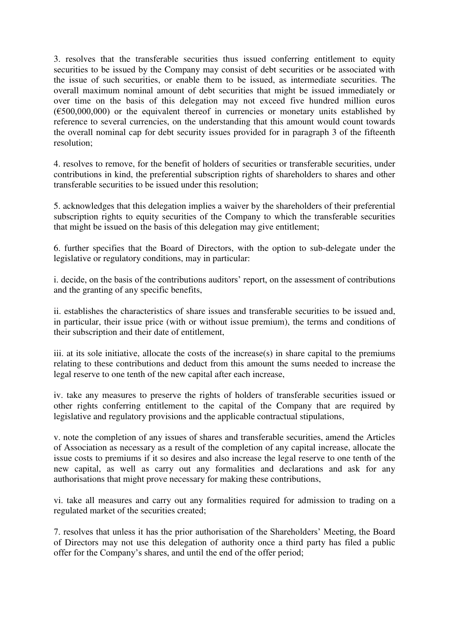3. resolves that the transferable securities thus issued conferring entitlement to equity securities to be issued by the Company may consist of debt securities or be associated with the issue of such securities, or enable them to be issued, as intermediate securities. The overall maximum nominal amount of debt securities that might be issued immediately or over time on the basis of this delegation may not exceed five hundred million euros  $(6500,000,000)$  or the equivalent thereof in currencies or monetary units established by reference to several currencies, on the understanding that this amount would count towards the overall nominal cap for debt security issues provided for in paragraph 3 of the fifteenth resolution;

4. resolves to remove, for the benefit of holders of securities or transferable securities, under contributions in kind, the preferential subscription rights of shareholders to shares and other transferable securities to be issued under this resolution;

5. acknowledges that this delegation implies a waiver by the shareholders of their preferential subscription rights to equity securities of the Company to which the transferable securities that might be issued on the basis of this delegation may give entitlement;

6. further specifies that the Board of Directors, with the option to sub-delegate under the legislative or regulatory conditions, may in particular:

i. decide, on the basis of the contributions auditors' report, on the assessment of contributions and the granting of any specific benefits,

ii. establishes the characteristics of share issues and transferable securities to be issued and, in particular, their issue price (with or without issue premium), the terms and conditions of their subscription and their date of entitlement,

iii. at its sole initiative, allocate the costs of the increase(s) in share capital to the premiums relating to these contributions and deduct from this amount the sums needed to increase the legal reserve to one tenth of the new capital after each increase,

iv. take any measures to preserve the rights of holders of transferable securities issued or other rights conferring entitlement to the capital of the Company that are required by legislative and regulatory provisions and the applicable contractual stipulations,

v. note the completion of any issues of shares and transferable securities, amend the Articles of Association as necessary as a result of the completion of any capital increase, allocate the issue costs to premiums if it so desires and also increase the legal reserve to one tenth of the new capital, as well as carry out any formalities and declarations and ask for any authorisations that might prove necessary for making these contributions,

vi. take all measures and carry out any formalities required for admission to trading on a regulated market of the securities created;

7. resolves that unless it has the prior authorisation of the Shareholders' Meeting, the Board of Directors may not use this delegation of authority once a third party has filed a public offer for the Company's shares, and until the end of the offer period;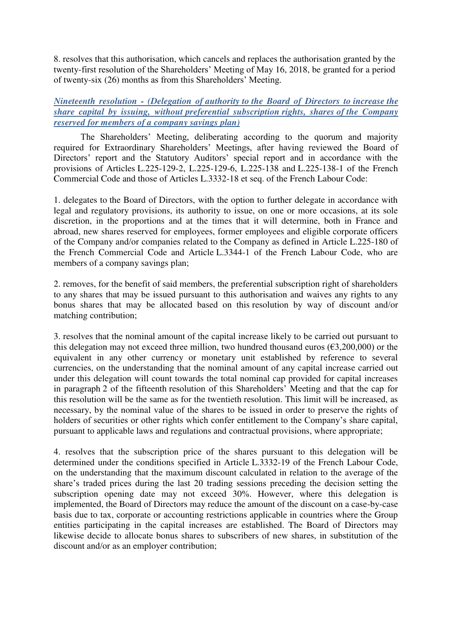8. resolves that this authorisation, which cancels and replaces the authorisation granted by the twenty-first resolution of the Shareholders' Meeting of May 16, 2018, be granted for a period of twenty-six (26) months as from this Shareholders' Meeting.

*Nineteenth resolution - (Delegation of authority to the Board of Directors to increase the share capital by issuing, without preferential subscription rights, shares of the Company reserved for members of a company savings plan)* 

The Shareholders' Meeting, deliberating according to the quorum and majority required for Extraordinary Shareholders' Meetings, after having reviewed the Board of Directors' report and the Statutory Auditors' special report and in accordance with the provisions of Articles L.225-129-2, L.225-129-6, L.225-138 and L.225-138-1 of the French Commercial Code and those of Articles L.3332-18 et seq. of the French Labour Code:

1. delegates to the Board of Directors, with the option to further delegate in accordance with legal and regulatory provisions, its authority to issue, on one or more occasions, at its sole discretion, in the proportions and at the times that it will determine, both in France and abroad, new shares reserved for employees, former employees and eligible corporate officers of the Company and/or companies related to the Company as defined in Article L.225-180 of the French Commercial Code and Article L.3344-1 of the French Labour Code, who are members of a company savings plan;

2. removes, for the benefit of said members, the preferential subscription right of shareholders to any shares that may be issued pursuant to this authorisation and waives any rights to any bonus shares that may be allocated based on this resolution by way of discount and/or matching contribution;

3. resolves that the nominal amount of the capital increase likely to be carried out pursuant to this delegation may not exceed three million, two hundred thousand euros ( $\epsilon$ 3,200,000) or the equivalent in any other currency or monetary unit established by reference to several currencies, on the understanding that the nominal amount of any capital increase carried out under this delegation will count towards the total nominal cap provided for capital increases in paragraph 2 of the fifteenth resolution of this Shareholders' Meeting and that the cap for this resolution will be the same as for the twentieth resolution. This limit will be increased, as necessary, by the nominal value of the shares to be issued in order to preserve the rights of holders of securities or other rights which confer entitlement to the Company's share capital, pursuant to applicable laws and regulations and contractual provisions, where appropriate;

4. resolves that the subscription price of the shares pursuant to this delegation will be determined under the conditions specified in Article L.3332-19 of the French Labour Code, on the understanding that the maximum discount calculated in relation to the average of the share's traded prices during the last 20 trading sessions preceding the decision setting the subscription opening date may not exceed 30%. However, where this delegation is implemented, the Board of Directors may reduce the amount of the discount on a case-by-case basis due to tax, corporate or accounting restrictions applicable in countries where the Group entities participating in the capital increases are established. The Board of Directors may likewise decide to allocate bonus shares to subscribers of new shares, in substitution of the discount and/or as an employer contribution;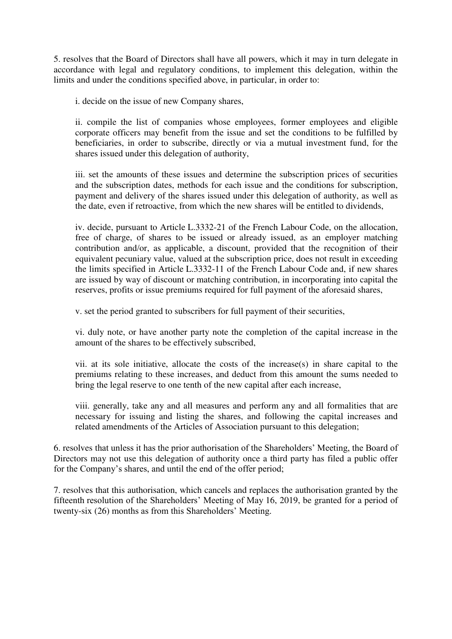5. resolves that the Board of Directors shall have all powers, which it may in turn delegate in accordance with legal and regulatory conditions, to implement this delegation, within the limits and under the conditions specified above, in particular, in order to:

i. decide on the issue of new Company shares,

ii. compile the list of companies whose employees, former employees and eligible corporate officers may benefit from the issue and set the conditions to be fulfilled by beneficiaries, in order to subscribe, directly or via a mutual investment fund, for the shares issued under this delegation of authority,

iii. set the amounts of these issues and determine the subscription prices of securities and the subscription dates, methods for each issue and the conditions for subscription, payment and delivery of the shares issued under this delegation of authority, as well as the date, even if retroactive, from which the new shares will be entitled to dividends,

iv. decide, pursuant to Article L.3332-21 of the French Labour Code, on the allocation, free of charge, of shares to be issued or already issued, as an employer matching contribution and/or, as applicable, a discount, provided that the recognition of their equivalent pecuniary value, valued at the subscription price, does not result in exceeding the limits specified in Article L.3332-11 of the French Labour Code and, if new shares are issued by way of discount or matching contribution, in incorporating into capital the reserves, profits or issue premiums required for full payment of the aforesaid shares,

v. set the period granted to subscribers for full payment of their securities,

vi. duly note, or have another party note the completion of the capital increase in the amount of the shares to be effectively subscribed,

vii. at its sole initiative, allocate the costs of the increase(s) in share capital to the premiums relating to these increases, and deduct from this amount the sums needed to bring the legal reserve to one tenth of the new capital after each increase,

viii. generally, take any and all measures and perform any and all formalities that are necessary for issuing and listing the shares, and following the capital increases and related amendments of the Articles of Association pursuant to this delegation;

6. resolves that unless it has the prior authorisation of the Shareholders' Meeting, the Board of Directors may not use this delegation of authority once a third party has filed a public offer for the Company's shares, and until the end of the offer period;

7. resolves that this authorisation, which cancels and replaces the authorisation granted by the fifteenth resolution of the Shareholders' Meeting of May 16, 2019, be granted for a period of twenty-six (26) months as from this Shareholders' Meeting.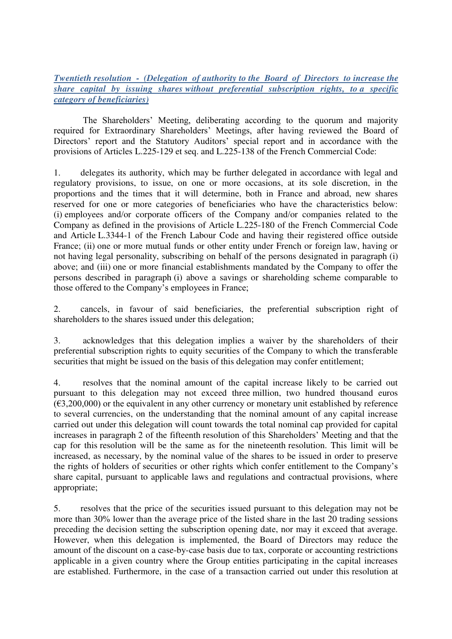### *Twentieth resolution - (Delegation of authority to the Board of Directors to increase the share capital by issuing shares without preferential subscription rights, to a specific category of beneficiaries)*

The Shareholders' Meeting, deliberating according to the quorum and majority required for Extraordinary Shareholders' Meetings, after having reviewed the Board of Directors' report and the Statutory Auditors' special report and in accordance with the provisions of Articles L.225-129 et seq. and L.225-138 of the French Commercial Code:

1. delegates its authority, which may be further delegated in accordance with legal and regulatory provisions, to issue, on one or more occasions, at its sole discretion, in the proportions and the times that it will determine, both in France and abroad, new shares reserved for one or more categories of beneficiaries who have the characteristics below: (i) employees and/or corporate officers of the Company and/or companies related to the Company as defined in the provisions of Article L.225-180 of the French Commercial Code and Article L.3344-1 of the French Labour Code and having their registered office outside France; (ii) one or more mutual funds or other entity under French or foreign law, having or not having legal personality, subscribing on behalf of the persons designated in paragraph (i) above; and (iii) one or more financial establishments mandated by the Company to offer the persons described in paragraph (i) above a savings or shareholding scheme comparable to those offered to the Company's employees in France;

2. cancels, in favour of said beneficiaries, the preferential subscription right of shareholders to the shares issued under this delegation;

3. acknowledges that this delegation implies a waiver by the shareholders of their preferential subscription rights to equity securities of the Company to which the transferable securities that might be issued on the basis of this delegation may confer entitlement;

4. resolves that the nominal amount of the capital increase likely to be carried out pursuant to this delegation may not exceed three million, two hundred thousand euros  $(\text{\textsterling}3,200,000)$  or the equivalent in any other currency or monetary unit established by reference to several currencies, on the understanding that the nominal amount of any capital increase carried out under this delegation will count towards the total nominal cap provided for capital increases in paragraph 2 of the fifteenth resolution of this Shareholders' Meeting and that the cap for this resolution will be the same as for the nineteenth resolution. This limit will be increased, as necessary, by the nominal value of the shares to be issued in order to preserve the rights of holders of securities or other rights which confer entitlement to the Company's share capital, pursuant to applicable laws and regulations and contractual provisions, where appropriate;

5. resolves that the price of the securities issued pursuant to this delegation may not be more than 30% lower than the average price of the listed share in the last 20 trading sessions preceding the decision setting the subscription opening date, nor may it exceed that average. However, when this delegation is implemented, the Board of Directors may reduce the amount of the discount on a case-by-case basis due to tax, corporate or accounting restrictions applicable in a given country where the Group entities participating in the capital increases are established. Furthermore, in the case of a transaction carried out under this resolution at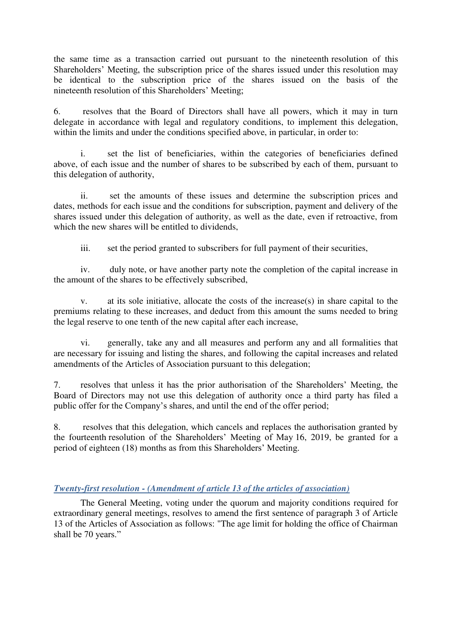the same time as a transaction carried out pursuant to the nineteenth resolution of this Shareholders' Meeting, the subscription price of the shares issued under this resolution may be identical to the subscription price of the shares issued on the basis of the nineteenth resolution of this Shareholders' Meeting;

6. resolves that the Board of Directors shall have all powers, which it may in turn delegate in accordance with legal and regulatory conditions, to implement this delegation, within the limits and under the conditions specified above, in particular, in order to:

i. set the list of beneficiaries, within the categories of beneficiaries defined above, of each issue and the number of shares to be subscribed by each of them, pursuant to this delegation of authority,

ii. set the amounts of these issues and determine the subscription prices and dates, methods for each issue and the conditions for subscription, payment and delivery of the shares issued under this delegation of authority, as well as the date, even if retroactive, from which the new shares will be entitled to dividends,

iii. set the period granted to subscribers for full payment of their securities,

iv. duly note, or have another party note the completion of the capital increase in the amount of the shares to be effectively subscribed,

v. at its sole initiative, allocate the costs of the increase(s) in share capital to the premiums relating to these increases, and deduct from this amount the sums needed to bring the legal reserve to one tenth of the new capital after each increase,

vi. generally, take any and all measures and perform any and all formalities that are necessary for issuing and listing the shares, and following the capital increases and related amendments of the Articles of Association pursuant to this delegation;

7. resolves that unless it has the prior authorisation of the Shareholders' Meeting, the Board of Directors may not use this delegation of authority once a third party has filed a public offer for the Company's shares, and until the end of the offer period;

8. resolves that this delegation, which cancels and replaces the authorisation granted by the fourteenth resolution of the Shareholders' Meeting of May 16, 2019, be granted for a period of eighteen (18) months as from this Shareholders' Meeting.

### *Twenty-first resolution - (Amendment of article 13 of the articles of association)*

The General Meeting, voting under the quorum and majority conditions required for extraordinary general meetings, resolves to amend the first sentence of paragraph 3 of Article 13 of the Articles of Association as follows: "The age limit for holding the office of Chairman shall be 70 years."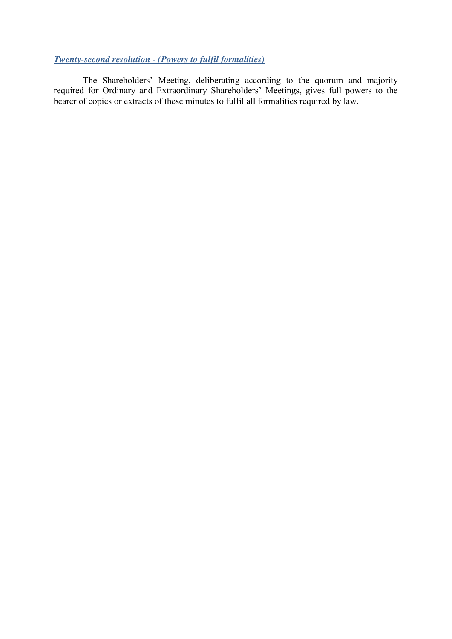### *Twenty-second resolution - (Powers to fulfil formalities)*

The Shareholders' Meeting, deliberating according to the quorum and majority required for Ordinary and Extraordinary Shareholders' Meetings, gives full powers to the bearer of copies or extracts of these minutes to fulfil all formalities required by law.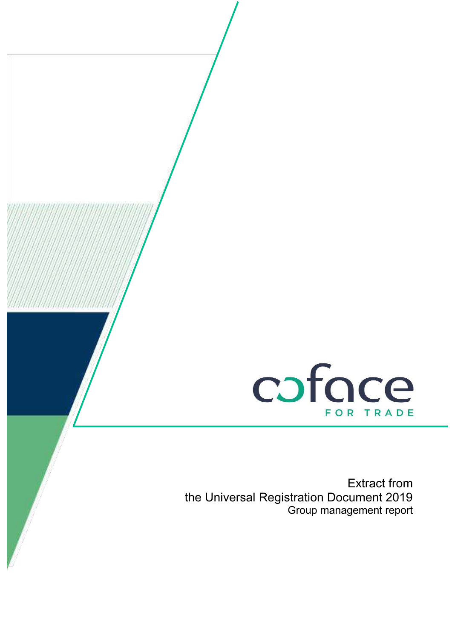

Extract from the Universal Registration Document 2019 Group management report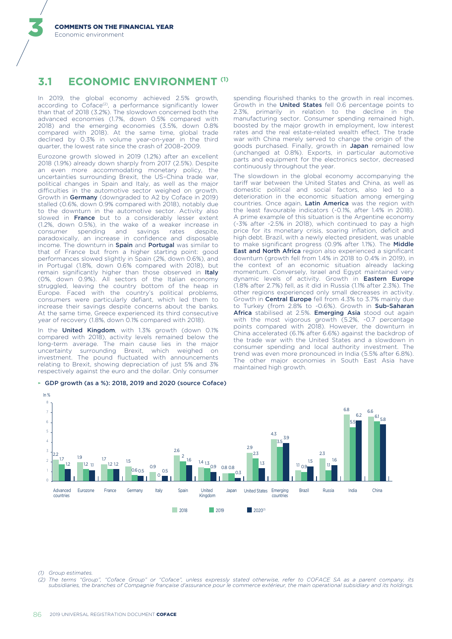#### **ECONOMIC ENVIRONMENT (1)**  $3.1$

In 2019, the global economy achieved 2.5% growth, according to Coface<sup>(2)</sup>, a performance significantly lower than that of 2018 (3.2%). The slowdown concerned both the advanced economies (1.7%, down 0.5% compared with 2018) and the emerging economies (3.5%, down 0.8% compared with 2018). At the same time, global trade declined by 0.3% in volume year-on-year in the third quarter, the lowest rate since the crash of 2008-2009.

Eurozone growth slowed in 2019 (1.2%) after an excellent 2018 (1.9%) already down sharply from 2017 (2.5%). Despite an even more accommodating monetary policy, the uncertainties surrounding Brexit, the US-China trade war, political changes in Spain and Italy, as well as the major difficulties in the automotive sector weighed on growth. Growth in Germany (downgraded to A2 by Coface in 2019) stalled (0.6%, down 0.9% compared with 2018), notably due to the downturn in the automotive sector. Activity also slowed in France but to a considerably lesser extent (1.2%, down 0.5%), in the wake of a weaker increase in spending and savings rates consumer despite. paradoxically, an increase in confidence and disposable income. The downturn in Spain and Portugal was similar to that of France but from a higher starting point: good performances slowed slightly in Spain (2%, down 0.6%), and in Portugal (1.8%, down 0.6% compared with 2018), but remain significantly higher than those observed in Italy (0%, down 0.9%). All sectors of the Italian economy struggled, leaving the country bottom of the heap in Europe. Faced with the country's political problems, consumers were particularly defiant, which led them to increase their savings despite concerns about the banks. At the same time, Greece experienced its third consecutive year of recovery (1.8%, down 0.1% compared with 2018).

In the United Kingdom, with 1.3% growth (down 0.1% compared with 2018), activity levels remained below the long-term average. The main cause lies in the major uncertainty surrounding Brexit, which weighed on<br>investment. The pound fluctuated with announcements relating to Brexit, showing depreciation of just 5% and 3% respectively against the euro and the dollar. Only consumer

#### GDP growth (as a %): 2018, 2019 and 2020 (source Coface)

spending flourished thanks to the growth in real incomes. Growth in the United States fell 0.6 percentage points to 2.3%, primarily in relation to the decline in the manufacturing sector. Consumer spending remained high, boosted by the major growth in employment, low interest rates and the real estate-related wealth effect. The trade war with China merely served to change the origin of the goods purchased. Finally, growth in Japan remained low (unchanged at 0.8%). Exports, in particular automotive parts and equipment for the electronics sector, decreased continuously throughout the year.

The slowdown in the global economy accompanying the tariff war between the United States and China, as well as domestic political and social factors, also led to a deterioration in the economic situation among emerging countries. Once again, Latin America was the region with the least favourable indicators (-0.1%, after 1.4% in 2018). A prime example of this situation is the Argentine economy (-3% after -2.5% in 2018), which continued to pay a high price for its monetary crisis, soaring inflation. deficit and high debt. Brazil, with a newly elected president, was unable to make significant progress (0.9% after 1.1%). The Middle East and North Africa region also experienced a significant downturn (growth fell from 1.4% in 2018 to 0.4% in 2019), in the context of an economic situation already lacking momentum. Conversely, Israel and Egypt maintained very dynamic levels of activity. Growth in Eastern Europe (1.8% after 2.7%) fell, as it did in Russia (1.1% after 2.3%). The other regions experienced only small decreases in activity. Growth in Central Europe fell from 4.3% to 3.7% mainly due to Turkey (from 2.8% to -0.6%). Growth in Sub-Saharan Africa stabilised at 2.5%. Emerging Asia stood out again with the most vigorous growth (5.2%, -0.7 percentage points compared with 2018). However, the downturn in China accelerated (6.1% after 6.6%) against the backdrop of the trade war with the United States and a slowdown in consumer spending and local authority investment. The trend was even more pronounced in India (5.5% after 6.8%). The other major economies in South East Asia have maintained high growth.



(1) Group estimates

 $(2)$ The terms "Group", "Coface Group" or "Coface", unless expressly stated otherwise, refer to COFACE SA as a parent company, its subsidiaries, the branches of Compagnie française d'assurance pour le commerce extérieur, the main operational subsidiary and its holdings.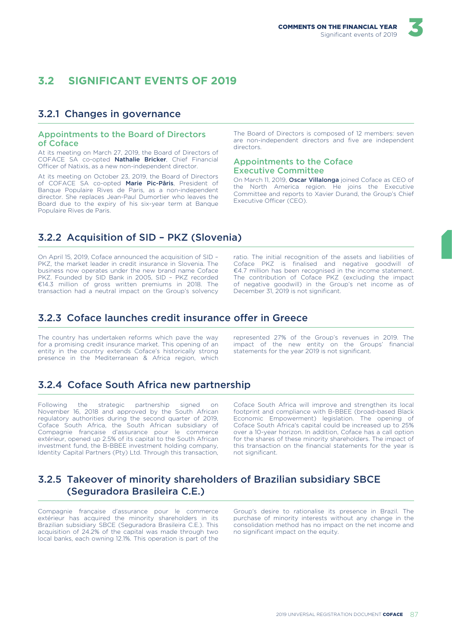#### $\overline{3}$   $\overline{2}$ **SIGNIFICANT EVENTS OF 2019**

### 3.2.1 Changes in governance

#### **Appointments to the Board of Directors** of Coface

At its meeting on March 27, 2019, the Board of Directors of COFACE SA co-opted Nathalie Bricker, Chief Financial Officer of Natixis, as a new non-independent director.

At its meeting on October 23, 2019, the Board of Directors of COFACE SA co-opted Marie Pic-Pâris, President of Banque Populaire Rives de Paris, as a non-independent director. She replaces Jean-Paul Dumortier who leaves the Board due to the expiry of his six-year term at Banque Populaire Rives de Paris.

The Board of Directors is composed of 12 members: seven are non-independent directors and five are independent directors.

#### **Appointments to the Coface Executive Committee**

On March 11. 2019. Oscar Villalonga joined Coface as CEO of the North America region. He joins the Executive Committee and reports to Xavier Durand, the Group's Chief Executive Officer (CEO).

# 3.2.2 Acquisition of SID - PKZ (Slovenia)

On April 15, 2019, Coface announced the acquisition of SID -PKZ, the market leader in credit insurance in Slovenia. The business now operates under the new brand name Coface PKZ. Founded by SID Bank in 2005, SID - PKZ recorded €14.3 million of gross written premiums in 2018. The transaction had a neutral impact on the Group's solvency ratio. The initial recognition of the assets and liabilities of Coface PKZ is finalised and negative goodwill of €4.7 million has been recognised in the income statement. The contribution of Coface PKZ (excluding the impact of negative goodwill) in the Group's net income as of December 31, 2019 is not significant.

### 3.2.3 Coface launches credit insurance offer in Greece

The country has undertaken reforms which paye the way for a promising credit insurance market. This opening of an entity in the country extends Coface's historically strong presence in the Mediterranean & Africa region, which represented 27% of the Group's revenues in 2019. The impact of the new entity on the Groups' financial statements for the year 2019 is not significant.

# 3.2.4 Coface South Africa new partnership

**Eollowing** the strategic partnership  $\cap$ sianed November 16, 2018 and approved by the South African regulatory authorities during the second quarter of 2019, Coface South Africa, the South African subsidiary of Compagnie française d'assurance pour le commerce extérieur, opened up 2.5% of its capital to the South African investment fund, the B-BBEF investment holding company. Identity Capital Partners (Pty) Ltd. Through this transaction, Coface South Africa will improve and strengthen its local footprint and compliance with B-BBEE (broad-based Black Economic Empowerment) legislation. The opening of Coface South Africa's capital could be increased up to 25% over a 10-year horizon. In addition, Coface has a call option for the shares of these minority shareholders. The impact of this transaction on the financial statements for the year is not significant.

# 3.2.5 Takeover of minority shareholders of Brazilian subsidiary SBCE (Seguradora Brasileira C.E.)

Compagnie française d'assurance pour le commerce extérieur has acquired the minority shareholders in its Brazilian subsidiary SBCE (Seguradora Brasileira C.E.). This acquisition of 24.2% of the capital was made through two local banks, each owning 12.1%. This operation is part of the

Group's desire to rationalise its presence in Brazil. The purchase of minority interests without any change in the consolidation method has no impact on the net income and no significant impact on the equity.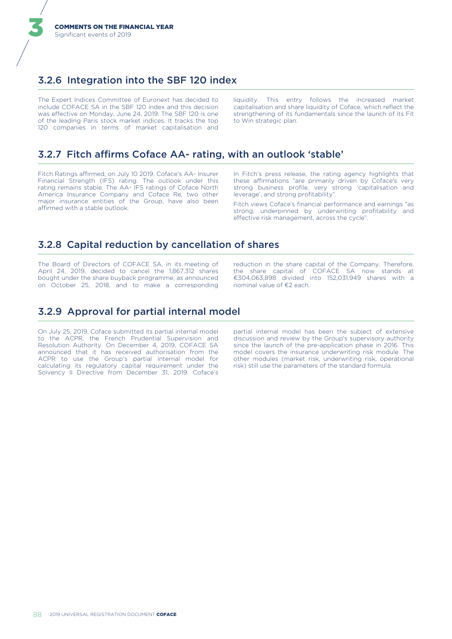# 3.2.6 Integration into the SBF 120 index

The Expert Indices Committee of Euronext has decided to include COFACE SA in the SBF 120 index and this decision was effective on Monday, June 24, 2019. The SBF 120 is one of the leading Paris stock market indices. It tracks the top 120 companies in terms of market capitalisation and

This entry follows the increased market liquidity. capitalisation and share liquidity of Coface, which reflect the strengthening of its fundamentals since the launch of its Fit to Win strategic plan.

### 3.2.7 Fitch affirms Coface AA- rating, with an outlook 'stable'

Fitch Ratings affirmed, on July 10 2019, Coface's AA- Insurer Financial Strength (IFS) rating. The outlook under this rating remains stable. The AA- IFS ratings of Coface North America Insurance Company and Coface Re, two other<br>major insurance entities of the Group, have also been affirmed with a stable outlook.

In Fitch's press release, the rating agency highlights that these affirmations "are primarily driven by Coface's very strong business profile, very strong 'capitalisation and leverage', and strong profitability".

Fitch views Coface's financial performance and earnings "as strong, underpinned by underwriting profitability and effective risk management, across the cycle".

### 3.2.8 Capital reduction by cancellation of shares

The Board of Directors of COFACE SA, in its meeting of April 24, 2019, decided to cancel the 1,867,312 shares bought under the share buyback programme, as announced on October 25, 2018, and to make a corresponding reduction in the share capital of the Company. Therefore, the share capital of COFACE SA now stands at €304,063,898 divided into 152,031,949 shares with a nominal value of €2 each.

# 3.2.9 Approval for partial internal model

On July 25, 2019, Coface submitted its partial internal model to the ACPR, the French Prudential Supervision and Resolution Authority. On December 4, 2019, COFACE SA announced that it has received authorisation from the ACPR to use the Group's partial internal model for calculating its regulatory capital requirement under the Solvency II Directive from December 31, 2019, Coface's partial internal model has been the subject of extensive .<br>discussion and review by the Group's supervisory authority since the launch of the pre-application phase in 2016. This model covers the insurance underwriting risk module. The other modules (market risk, underwriting risk, operational risk) still use the parameters of the standard formula.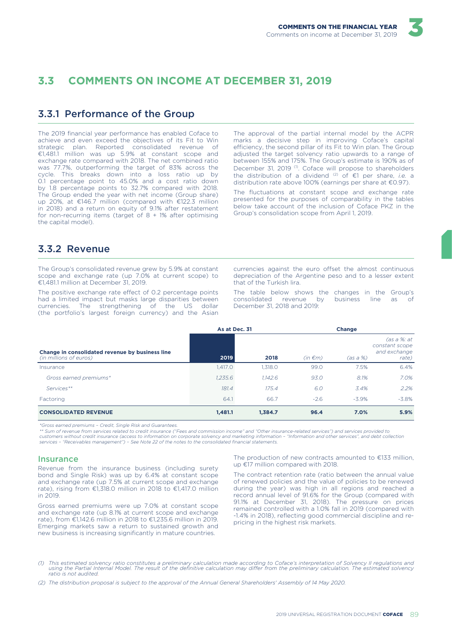#### $\overline{3}$   $\overline{3}$ **COMMENTS ON INCOME AT DECEMBER 31, 2019**

### 3.3.1 Performance of the Group

The 2019 financial year performance has enabled Coface to achieve and even exceed the objectives of its Fit to Win strategic plan. Reported consolidated revenue of  $\epsilon$ 1,481.1 million was up 5.9% at constant scope and exchange rate compared with 2018. The net combined ratio was 77.7%, outperforming the target of 83% across the cycle. This breaks down into a loss ratio up by 0.1 percentage point to 45.0% and a cost ratio down by 1.8 percentage points to 32.7% compared with 2018. The Group ended the year with net income (Group share) up 20%, at €146.7 million (compared with €122.3 million in 2018) and a return on equity of 9.1% after restatement for non-recurring items (target of  $8 + 1\%$  after optimising the capital model)

The approval of the partial internal model by the ACPR marks a decisive step in improving Coface's capital efficiency, the second pillar of its Fit to Win plan. The Group adjusted the target solvency ratio upwards to a range of between 155% and 175%. The Group's estimate is 190% as of December 31, 2019<sup>(1)</sup>. Coface will propose to shareholders the distribution of a dividend  $(2)$  of  $\epsilon$ 1 per share, *i.e.* a distribution rate above 100% (earnings per share at €0.97).

The fluctuations at constant scope and exchange rate presented for the purposes of comparability in the tables below take account of the inclusion of Coface PKZ in the Group's consolidation scope from April 1, 2019.

### 3.3.2 Revenue

The Group's consolidated revenue grew by 5.9% at constant scope and exchange rate (up 7.0% at current scope) to €1,481.1 million at December 31, 2019.

The positive exchange rate effect of 0.2 percentage points had a limited impact but masks large disparities between currencies. The strengthening of the US dollar (the portfolio's largest foreign currency) and the Asian currencies against the euro offset the almost continuous depreciation of the Argentine peso and to a lesser extent that of the Turkish lira.

The table below shows the changes in the Group's consolidated revenue by business line as - of December 31, 2018 and 2019:

|                                                                           | As at Dec. 31 |         | Change       |          |                                                         |  |
|---------------------------------------------------------------------------|---------------|---------|--------------|----------|---------------------------------------------------------|--|
| Change in consolidated revenue by business line<br>(in millions of euros) | 2019          | 2018    | $(in \in m)$ | (as a %) | (as a %: at)<br>constant scope<br>and exchange<br>rate) |  |
| Insurance                                                                 | 1,417.0       | 1.318.0 | 99.0         | 7.5%     | 6.4%                                                    |  |
| Gross earned premiums*                                                    | 1.235.6       | 1.142.6 | 93.0         | 8.1%     | 7.0%                                                    |  |
| Services**                                                                | 181.4         | 175.4   | 6.0          | 3.4%     | 2.2%                                                    |  |
| Factoring                                                                 | 64.1          | 66.7    | $-2.6$       | $-3.9\%$ | $-3.8\%$                                                |  |
| <b>CONSOLIDATED REVENUE</b>                                               | 1,481.1       | 1.384.7 | 96.4         | 7.0%     | 5.9%                                                    |  |

\*Gross earned premiums - Credit, Single Risk and Guarantees

\*\* Sum of revenue from services related to credit insurance ("Fees and commission income" and "Other insurance-related services") and services provided to<br>customers without credit insurance (access to information on corpor services - "Receivables management") - See Note 22 of the notes to the consolidated financial statements.

#### **Insurance**

Revenue from the insurance business (including surety bond and Single Risk) was up by 6.4% at constant scope and exchange rate (up 7.5% at current scope and exchange rate), rising from €1,318.0 million in 2018 to €1,417.0 million in 2019.

Gross earned premiums were up 7.0% at constant scope and exchange rate (up 8.1% at current scope and exchange rate), from €1,142.6 million in 2018 to €1,235.6 million in 2019. Emerging markets saw a return to sustained growth and new business is increasing significantly in mature countries.

The production of new contracts amounted to €133 million, up €17 million compared with 2018.

The contract retention rate (ratio between the annual value of renewed policies and the value of policies to be renewed during the year) was high in all regions and reached a record annual level of 91.6% for the Group (compared with 91.1% at December 31, 2018). The pressure on prices remained controlled with a 1.0% fall in 2019 (compared with -1.4% in 2018), reflecting good commercial discipline and repricing in the highest risk markets.

<sup>(1)</sup> This estimated solvency ratio constitutes a preliminary calculation made according to Coface's interpretation of Solvency II regulations and<br>using the Partial Internal Model. The result of the definitive calculation ma ratio is not audited.

<sup>(2)</sup> The distribution proposal is subject to the approval of the Annual General Shareholders' Assembly of 14 May 2020.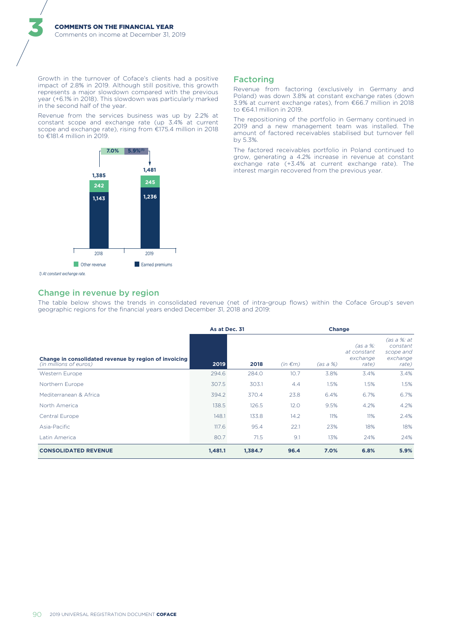Growth in the turnover of Coface's clients had a positive impact of 2.8% in 2019. Although still positive, this growth represents a major slowdown compared with the previous year (+6.1% in 2018). This slowdown was particularly marked in the second half of the year.

Revenue from the services business was up by 2.2% at constant scope and exchange rate (up 3.4% at current scope and exchange rate), rising from €175.4 million in 2018 to €181.4 million in 2019.



#### **Factoring**

Revenue from factoring (exclusively in Germany and Poland) was down 3.8% at constant exchange rates (down 3.9% at current exchange rates), from €66.7 million in 2018 to €64.1 million in 2019.

The repositioning of the portfolio in Germany continued in 2019 and a new management team was installed. The amount of factored receivables stabilised but turnover fell by 5.3%.

The factored receivables portfolio in Poland continued to grow, generating a 4.2% increase in revenue at constant exchange rate  $(+3.4\%$  at current exchange rate). The interest margin recovered from the previous year.

#### Change in revenue by region

The table below shows the trends in consolidated revenue (net of intra-group flows) within the Coface Group's seven geographic regions for the financial years ended December 31, 2018 and 2019.

|                                                                                 | As at Dec. 31 |         | Change       |          |                                                |                                                           |
|---------------------------------------------------------------------------------|---------------|---------|--------------|----------|------------------------------------------------|-----------------------------------------------------------|
| Change in consolidated revenue by region of invoicing<br>(in millions of euros) | 2019          | 2018    | $(in \in m)$ | (as a %) | (as a %: )<br>at constant<br>exchange<br>rate) | (as a %: at<br>constant<br>scope and<br>exchange<br>rate) |
| <b>Western Europe</b>                                                           | 294.6         | 284.0   | 10.7         | 3.8%     | 3.4%                                           | 3.4%                                                      |
| Northern Europe                                                                 | 307.5         | 303.1   | 4.4          | 1.5%     | 1.5%                                           | 1.5%                                                      |
| Mediterranean & Africa                                                          | 394.2         | 370.4   | 23.8         | 6.4%     | 6.7%                                           | 6.7%                                                      |
| North America                                                                   | 138.5         | 126.5   | 12.0         | 9.5%     | 4.2%                                           | 4.2%                                                      |
| Central Europe                                                                  | 148.1         | 133.8   | 14.2         | 11%      | 11%                                            | 2.4%                                                      |
| Asia-Pacific                                                                    | 117.6         | 95.4    | 22.1         | 23%      | 18%                                            | 18%                                                       |
| Latin America                                                                   | 80.7          | 71.5    | 9.1          | 13%      | 24%                                            | 24%                                                       |
| <b>CONSOLIDATED REVENUE</b>                                                     | 1.481.1       | 1,384.7 | 96.4         | 7.0%     | 6.8%                                           | 5.9%                                                      |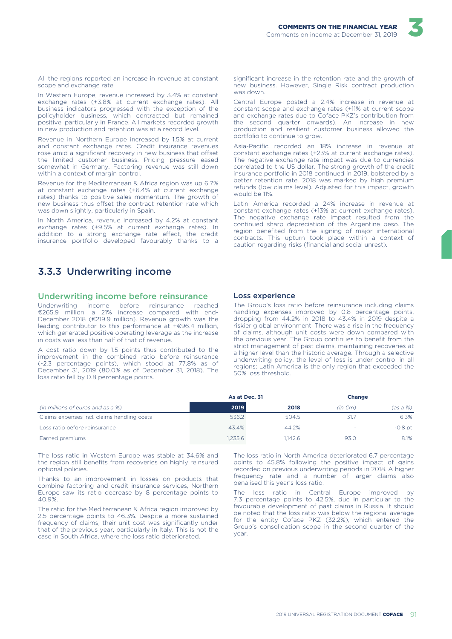

All the regions reported an increase in revenue at constant scope and exchange rate.

In Western Europe, revenue increased by 3.4% at constant exchange rates (+3.8% at current exchange rates). All business indicators progressed with the exception of the policyholder business, which contracted but remained<br>positive, particularly in France. All markets recorded growth in new production and retention was at a record level.

Revenue in Northern Europe increased by 1.5% at current and constant exchange rates. Credit insurance revenues rose amid a significant recovery in new business that offset the limited customer business. Pricing pressure eased somewhat in Germany. Factoring revenue was still down within a context of margin control.

Revenue for the Mediterranean & Africa region was up 6.7% at constant exchange rates (+6.4% at current exchange rates) thanks to positive sales momentum. The growth of new business thus offset the contract retention rate which was down slightly, particularly in Spain.

In North America, revenue increased by 4.2% at constant exchange rates (+9.5% at current exchange rates). In addition to a strong exchange rate effect, the credit insurance portfolio developed favourably thanks to a

significant increase in the retention rate and the growth of new business. However, Single Risk contract production was down

Central Europe posted a 2.4% increase in revenue at constant scope and exchange rates (+11% at current scope and exchange rates due to Coface PKZ's contribution from the second quarter onwards). An increase in new production and resilient customer business allowed the portfolio to continue to grow.

Asia-Pacific recorded an 18% increase in revenue at constant exchange rates (+23% at current exchange rates). The negative exchange rate impact was due to currencies correlated to the US dollar. The strong growth of the credit insurance portfolio in 2018 continued in 2019, bolstered by a better retention rate. 2018 was marked by high premium refunds (low claims level). Adjusted for this impact, growth would be 11%.

Latin America recorded a 24% increase in revenue at constant exchange rates (+13% at current exchange rates). The negative exchange rate impact resulted from the continued sharp depreciation of the Argentine peso. The region benefited from the signing of major international contracts. This upturn took place within a context of caution regarding risks (financial and social unrest).

# 3.3.3 Underwriting income

#### Underwriting income before reinsurance

Underwriting income before reinsurance reached €265.9 million, a 21% increase compared with end-December 2018 (€219.9 million). Revenue growth was the leading contributor to this performance at  $+€96.4$  million, which generated positive operating leverage as the increase in costs was less than half of that of revenue.

A cost ratio down by 1.5 points thus contributed to the improvement in the combined ratio before reinsurance (-2.3 percentage points), which stood at 77.8% as of December 31, 2019 (80.0% as of December 31, 2018). The loss ratio fell by 0.8 percentage points.

#### Loss experience

The Group's loss ratio before reinsurance including claims handling expenses improved by 0.8 percentage points, dropping from 44.2% in 2018 to 43.4% in 2019 despite a riskier global environment. There was a rise in the frequency of claims, although unit costs were down compared with the previous year. The Group continues to benefit from the strict management of past claims, maintaining recoveries at a higher level than the historic average. Through a selective underwriting policy, the level of loss is under control in all regions; Latin America is the only region that exceeded the 50% loss threshold

|                                             | As at Dec. 31 |         | <b>Change</b> |             |
|---------------------------------------------|---------------|---------|---------------|-------------|
| (in millions of euros and as a %)           | 2019          | 2018    | $(in \in m)$  | $(as a \%)$ |
| Claims expenses incl. claims handling costs | 536.2         | 504.5   | 31.7          | 6.3%        |
| Loss ratio before reinsurance               | 43.4%         | 44.2%   |               | $-0.8$ pt   |
| Earned premiums                             | 1.235.6       | 1.142.6 | 93.0          | 8.1%        |

The loss ratio in Western Europe was stable at 34.6% and the region still benefits from recoveries on highly reinsured optional policies

Thanks to an improvement in losses on products that combine factoring and credit insurance services, Northern Europe saw its ratio decrease by 8 percentage points to 40.9%.

The ratio for the Mediterranean & Africa region improved by 2.5 percentage points to 46.3%. Despite a more sustained frequency of claims, their unit cost was significantly under that of the previous year, particularly in Italy. This is not the case in South Africa. where the loss ratio deteriorated.

The loss ratio in North America deteriorated 6.7 percentage points to 45.8% following the positive impact of gains recorded on previous underwriting periods in 2018. A higher frequency rate and a number of larger claims also penalised this year's loss ratio.

ratio in Central Europe improved by The loss 7.3 percentage points to 42.5%, due in particular to the favourable development of past claims in Russia. It should be noted that the loss ratio was below the regional average for the entity Coface PKZ (32.2%), which entered the Group's consolidation scope in the second quarter of the vear.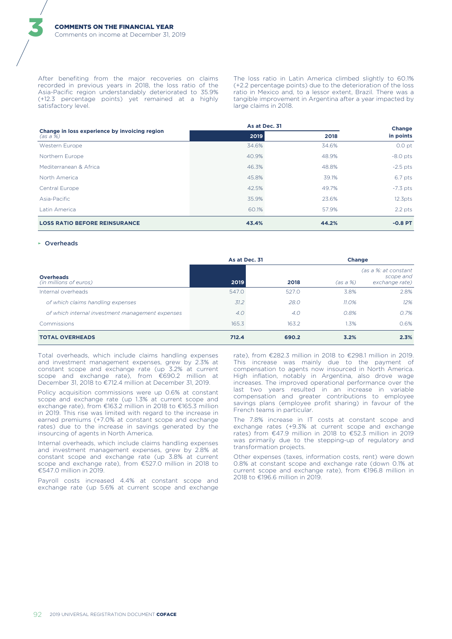After benefiting from the major recoveries on claims recorded in previous years in 2018, the loss ratio of the Asia-Pacific region understandably deteriorated to 35.9% (+12.3 percentage points) yet remained at a highly satisfactory level.

The loss ratio in Latin America climbed slightly to 60.1% (+2.2 percentage points) due to the deterioration of the loss ratio in Mexico and, to a lessor extent, Brazil. There was a tangible improvement in Argentina after a year impacted by large claims in 2018.

|                                                           | As at Dec. 31 |       | Change              |
|-----------------------------------------------------------|---------------|-------|---------------------|
| Change in loss experience by invoicing region<br>(as a %) | 2019          | 2018  | in points           |
| Western Europe                                            | 34.6%         | 34.6% | 0.0 <sub>pt</sub>   |
| Northern Europe                                           | 40.9%         | 48.9% | $-8.0$ pts          |
| Mediterranean & Africa                                    | 46.3%         | 48.8% | $-2.5$ pts          |
| North America                                             | 45.8%         | 39.1% | 6.7 pts             |
| Central Europe                                            | 42.5%         | 49.7% | $-7.3$ pts          |
| Asia-Pacific                                              | 35.9%         | 23.6% | 12.3 <sub>pts</sub> |
| Latin America                                             | 60.1%         | 57.9% | $2.2$ pts           |
| <b>LOSS RATIO BEFORE REINSURANCE</b>                      | 43.4%         | 44.2% | $-0.8$ PT           |

#### $\triangleright$  Overheads

|                                                  | As at Dec. 31 |       | <b>Change</b> |                                                     |
|--------------------------------------------------|---------------|-------|---------------|-----------------------------------------------------|
| <b>Overheads</b><br>(in millions of euros)       | 2019          | 2018  | (as a %)      | (as a %: at constant<br>scope and<br>exchange rate) |
| Internal overheads                               | 547.0         | 527.0 | 3.8%          | 2.8%                                                |
| of which claims handling expenses                | 31.2          | 28.0  | 11.0%         | 12%                                                 |
| of which internal investment management expenses | 4.0           | 4.0   | 0.8%          | 0.7%                                                |
| Commissions                                      | 165.3         | 163.2 | 1.3%          | 0.6%                                                |
| <b>TOTAL OVERHEADS</b>                           | 712.4         | 690.2 | 3.2%          | 2.3%                                                |

Total overheads, which include claims handling expenses and investment management expenses, grew by 2.3% at constant scope and exchange rate (up 3.2% at current scope and exchange rate), from €690.2 million at December 31, 2018 to €712.4 million at December 31, 2019.

Policy acquisition commissions were up 0.6% at constant scope and exchange rate (up 1.3% at current scope and exchange rate), from €163.2 million in 2018 to €165.3 million in 2019. This rise was limited with regard to the increase in earned premiums (+7.0% at constant scope and exchange rates) due to the increase in savings generated by the insourcing of agents in North America.

Internal overheads, which include claims handling expenses and investment management expenses, grew by 2.8% at constant scope and exchange rate (up 3.8% at current scope and exchange rate), from €527.0 million in 2018 to €547.0 million in 2019.

Payroll costs increased 4.4% at constant scope and exchange rate (up 5.6% at current scope and exchange rate), from €282.3 million in 2018 to €298.1 million in 2019. This increase was mainly due to the payment of compensation to agents now insourced in North America. High inflation, notably in Argentina, also drove wage increases. The improved operational performance over the last two years resulted in an increase in variable compensation and greater contributions to employee savings plans (employee profit sharing) in favour of the French teams in particular.

The 7.8% increase in IT costs at constant scope and exchange rates (+9.3% at current scope and exchange rates) from €47.9 million in 2018 to €52.3 million in 2019 was primarily due to the stepping-up of regulatory and transformation projects.

Other expenses (taxes, information costs, rent) were down 0.8% at constant scope and exchange rate (down 0.1% at current scope and exchange rate), from €196.8 million in 2018 to €196.6 million in 2019.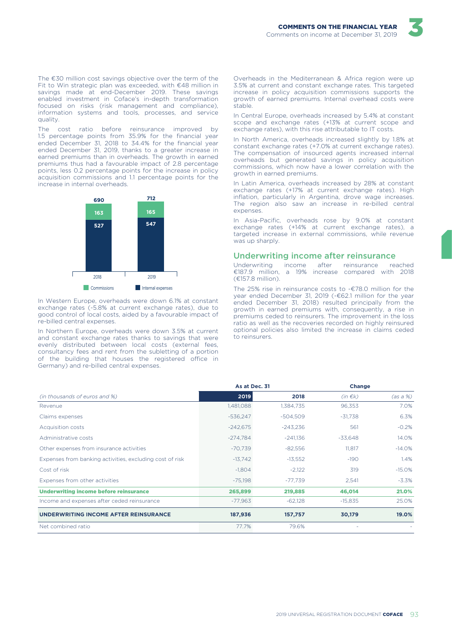

The €30 million cost savings objective over the term of the Fit to Win strategic plan was exceeded, with €48 million in savings made at end-December 2019. These savings enabled investment in Coface's in-depth transformation focused on risks (risk management and compliance). information systems and tools, processes, and service quality.

The cost ratio before reinsurance improved by<br>1.5 percentage points from 35.9% for the financial year ended December 31, 2018 to 34.4% for the financial year ended December 31, 2019, thanks to a greater increase in<br>earned premiums than in overheads. The growth in earned premiums thus had a favourable impact of 2.8 percentage points, less 0.2 percentage points for the increase in policy acquisition commissions and 1.1 percentage points for the increase in internal overheads



In Western Europe, overheads were down 6.1% at constant exchange rates (-5.8% at current exchange rates), due to good control of local costs, aided by a favourable impact of re-billed central expenses

In Northern Europe, overheads were down 3.5% at current and constant exchange rates thanks to savings that were evenly distributed between local costs (external fees, consultancy fees and rent from the subletting of a portion of the building that houses the registered office in Germany) and re-billed central expenses.

Overheads in the Mediterranean & Africa region were up 3.5% at current and constant exchange rates. This targeted increase in policy acquisition commissions supports the growth of earned premiums. Internal overhead costs were stable

In Central Europe, overheads increased by 5.4% at constant scope and exchange rates (+13% at current scope and exchange rates), with this rise attributable to IT costs.

In North America, overheads increased slightly by 1.8% at constant exchange rates (+7.0% at current exchange rates). The compensation of insourced agents increased internal overheads but generated savings in policy acquisition commissions, which now have a lower correlation with the growth in earned premiums.

In Latin America, overheads increased by 28% at constant exchange rates (+17% at current exchange rates). High inflation, particularly in Argentina, drove wage increases. The region also saw an increase in re-billed central expenses.

In Asia-Pacific, overheads rose by 9.0% at constant exchange rates (+14% at current exchange rates), a targeted increase in external commissions, while revenue was up sharply.

#### Underwriting income after reinsurance

Underwriting income after reinsurance reached<br>€187.9 million, a 19% increase compared with 2018 (€157.8 million).

The 25% rise in reinsurance costs to -€78.0 million for the year ended December 31, 2019 (-€62.1 million for the year ended December 31, 2018) resulted principally from the growth in earned premiums with, consequently, a rise in premiums ceded to reinsurers. The improvement in the loss ratio as well as the recoveries recorded on highly reinsured optional policies also limited the increase in claims ceded to reinsurers.

|                                                          | As at Dec. 31 |            | Change       |          |
|----------------------------------------------------------|---------------|------------|--------------|----------|
| (in thousands of euros and %)                            | 2019          | 2018       | $(in \in k)$ | (as a %) |
| Revenue                                                  | 1,481,088     | 1,384,735  | 96,353       | 7.0%     |
| Claims expenses                                          | $-536,247$    | $-504,509$ | $-31.738$    | 6.3%     |
| Acquisition costs                                        | $-242,675$    | $-243.236$ | 561          | $-0.2%$  |
| Administrative costs                                     | $-274,784$    | $-241,136$ | -33,648      | 14.0%    |
| Other expenses from insurance activities                 | $-70,739$     | $-82,556$  | 11,817       | $-14.0%$ |
| Expenses from banking activities, excluding cost of risk | $-13,742$     | $-13,552$  | $-190$       | 1.4%     |
| Cost of risk                                             | $-1,804$      | $-2,122$   | 319          | $-15.0%$ |
| Expenses from other activities                           | $-75,198$     | $-77,739$  | 2,541        | $-3.3%$  |
| <b>Underwriting income before reinsurance</b>            | 265,899       | 219,885    | 46,014       | 21.0%    |
| Income and expenses after ceded reinsurance              | $-77,963$     | $-62,128$  | $-15,835$    | 25.0%    |
| UNDERWRITING INCOME AFTER REINSURANCE                    | 187,936       | 157,757    | 30,179       | 19.0%    |
| Net combined ratio                                       | 77.7%         | 79.6%      |              |          |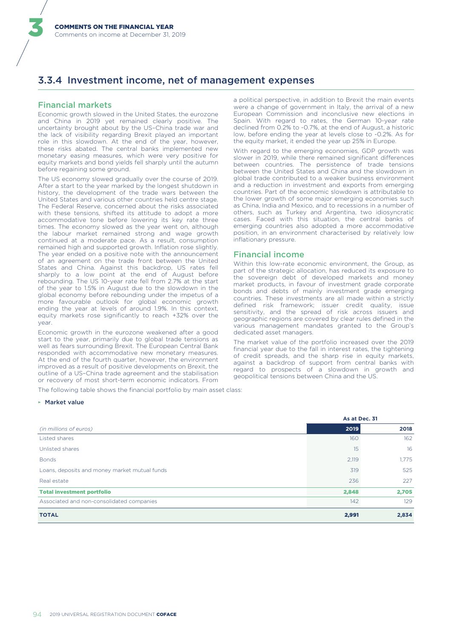### 3.3.4 Investment income, net of management expenses

#### **Financial markets**

Economic growth slowed in the United States, the eurozone and China in 2019 yet remained clearly positive. The uncertainty brought about by the US-China trade war and the lack of visibility regarding Brexit played an important role in this slowdown. At the end of the year, however, these risks abated. The central banks implemented new monetary easing measures, which were very positive for equity markets and bond yields fell sharply until the autumn before regaining some ground.

The US economy slowed gradually over the course of 2019. After a start to the year marked by the longest shutdown in history, the development of the trade wars between the United States and various other countries held centre stage. The Federal Reserve, concerned about the risks associated with these tensions, shifted its attitude to adopt a more accommodative tone before lowering its key rate three times. The economy slowed as the year went on, although the labour market remained strong and wage growth continued at a moderate pace. As a result, consumption remained high and supported growth. Inflation rose slightly, The year ended on a positive note with the announcement of an agreement on the trade front between the United States and China. Against this backdrop, US rates fell sharply to a low point at the end of August before rebounding. The US 10-year rate fell from 2.7% at the start of the vear to 1.5% in August due to the slowdown in the global economy before rebounding under the impetus of a more favourable outlook for global economic growth ending the year at levels of around 1.9%. In this context, equity markets rose significantly to reach +32% over the vear.

Economic growth in the eurozone weakened after a good start to the year, primarily due to global trade tensions as well as fears surrounding Brexit. The European Central Bank responded with accommodative new monetary measures. At the end of the fourth quarter, however, the environment improved as a result of positive developments on Brexit, the outline of a US-China trade agreement and the stabilisation or recovery of most short-term economic indicators. From

The following table shows the financial portfolio by main asset class:

#### ► Market value

As at Dec 31 (in millions of euros) 2019 2018 160 **Listed shares** 162 Unlisted shares 15 16  $2119$ 1,775 **Bonds** Loans, deposits and money market mutual funds 319 525 227 Real estate 236 2,848 2,705 **Total investment portfolio**  $142$ 129 Associated and non-consolidated companies **TOTAL** 2.991 2.834

a political perspective, in addition to Brexit the main events were a change of government in Italy, the arrival of a new European Commission and inconclusive new elections in Spain. With regard to rates, the German 10-year rate declined from 0.2% to -0.7%, at the end of August, a historic low, before ending the year at levels close to -0.2%. As for the equity market, it ended the year up 25% in Europe.

With regard to the emerging economies, GDP growth was slower in 2019, while there remained significant differences between countries. The persistence of trade tensions between the United States and China and the slowdown in global trade contributed to a weaker business environment and a reduction in investment and exports from emerging countries. Part of the economic slowdown is attributable to the lower growth of some major emerging economies such as China, India and Mexico, and to recessions in a number of others, such as Turkey and Argentina, two idiosyncratic cases. Faced with this situation, the central banks of emerging countries also adopted a more accommodative position, in an environment characterised by relatively low inflationary pressure.

#### **Financial income**

Within this low-rate economic environment, the Group, as part of the strategic allocation, has reduced its exposure to the sovereign debt of developed markets and money market products, in favour of investment grade corporate bonds and debts of mainly investment grade emerging countries. These investments are all made within a strictly defined risk framework; issuer credit quality, issue sensitivity, and the spread of risk across issuers and geographic regions are covered by clear rules defined in the various management mandates granted to the Group's dedicated asset managers.

The market value of the portfolio increased over the 2019 financial year due to the fall in interest rates, the tightening of credit spreads, and the sharp rise in equity markets, against a backdrop of support from central banks with regard to prospects of a slowdown in growth and geopolitical tensions between China and the US.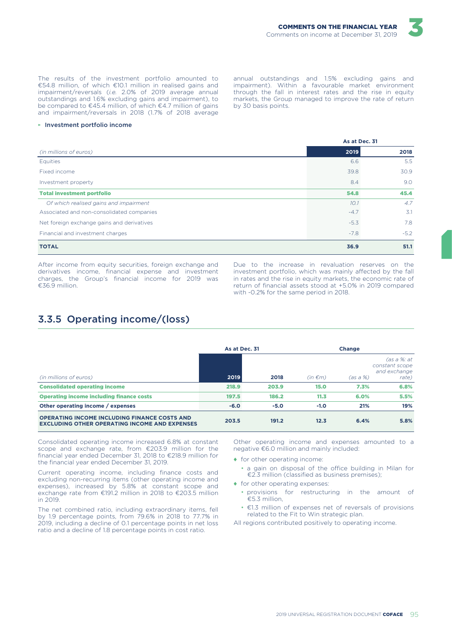The results of the investment portfolio amounted to €54.8 million, of which €10.1 million in realised gains and impairment/reversals (i.e. 2.0% of 2019 average annual outstandings and 1.6% excluding gains and impairment), to be compared to €45.4 million, of which €4.7 million of gains and impairment/reversals in 2018 (1.7% of 2018 average

#### Investment portfolio income

annual outstandings and 1.5% excluding gains and impairment). Within a favourable market environment through the fall in interest rates and the rise in equity markets, the Group managed to improve the rate of return by 30 basis points.

|                                            | As at Dec. 51 |        |
|--------------------------------------------|---------------|--------|
| (in millions of euros)                     | 2019          | 2018   |
| Equities                                   | 6.6           | 5.5    |
| Fixed income                               | 39.8          | 30.9   |
| Investment property                        | 8.4           | 9.0    |
| <b>Total investment portfolio</b>          | 54.8          | 45.4   |
| Of which realised gains and impairment     | 10.1          | 4.7    |
| Associated and non-consolidated companies  | $-4.7$        | 3.1    |
| Net foreign exchange gains and derivatives | $-5.3$        | 7.8    |
| Financial and investment charges           | $-7.8$        | $-5.2$ |
| <b>TOTAL</b>                               | 36.9          | 51.1   |

After income from equity securities, foreign exchange and derivatives income, financial expense and investment charges, the Group's financial income for 2019 was €36.9 million.

Due to the increase in revaluation reserves on the investment portfolio, which was mainly affected by the fall in rates and the rise in equity markets, the economic rate of return of financial assets stood at +5.0% in 2019 compared with -0.2% for the same period in 2018.

### 3.3.5 Operating income/(loss)

|                                                                                                             | As at Dec. 31 |        | Change       |          |                                                        |  |
|-------------------------------------------------------------------------------------------------------------|---------------|--------|--------------|----------|--------------------------------------------------------|--|
| (in millions of euros)                                                                                      | 2019          | 2018   | $(in \in m)$ | (as a %) | (as a %: at<br>constant scope<br>and exchange<br>rate) |  |
| <b>Consolidated operating income</b>                                                                        | 218.9         | 203.9  | 15.0         | 7.3%     | 6.8%                                                   |  |
| <b>Operating income including finance costs</b>                                                             | 197.5         | 186.2  | 11.3         | 6.0%     | 5.5%                                                   |  |
| Other operating income / expenses                                                                           | $-6.0$        | $-5.0$ | $-1.0$       | 21%      | 19%                                                    |  |
| <b>OPERATING INCOME INCLUDING FINANCE COSTS AND</b><br><b>EXCLUDING OTHER OPERATING INCOME AND EXPENSES</b> | 203.5         | 191.2  | 12.3         | 6.4%     | 5.8%                                                   |  |

Consolidated operating income increased 6.8% at constant scope and exchange rate, from €203.9 million for the financial year ended December 31, 2018 to €218.9 million for the financial year ended December 31, 2019.

Current operating income, including finance costs and excluding non-recurring items (other operating income and excluding non-recurring nons (office operating income and<br>expenses), increased by 5.8% at constant scope and<br>exchange rate from €191.2 million in 2018 to €203.5 million in 2019.

The net combined ratio, including extraordinary items, fell by 1.9 percentage points, from 79.6% in 2018 to 77.7% in 2019, including a decline of 0.1 percentage points in net loss ratio and a decline of 1.8 percentage points in cost ratio.

Other operating income and expenses amounted to a negative €6.0 million and mainly included:

◆ for other operating income:

- a gain on disposal of the office building in Milan for €2.3 million (classified as business premises);
- $\bullet$  for other operating expenses:
	- · provisions for restructuring in the amount of €5.3 million,
	- €1.3 million of expenses net of reversals of provisions related to the Fit to Win strategic plan.

All regions contributed positively to operating income.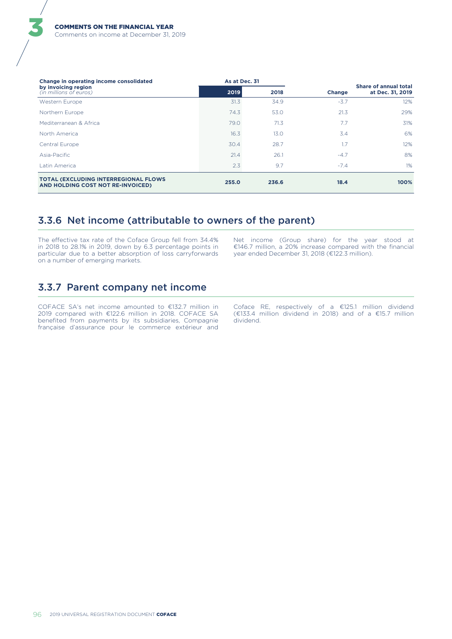| Change in operating income consolidated                                           |       | As at Dec. 31 |        |                                           |
|-----------------------------------------------------------------------------------|-------|---------------|--------|-------------------------------------------|
| by invoicing region<br>(in millions of euros)                                     | 2019  | 2018          | Change | Share of annual total<br>at Dec. 31, 2019 |
| Western Europe                                                                    | 31.3  | 34.9          | $-3.7$ | 12%                                       |
| Northern Europe                                                                   | 74.3  | 53.0          | 21.3   | 29%                                       |
| Mediterranean & Africa                                                            | 79.0  | 71.3          | 7.7    | 31%                                       |
| North America                                                                     | 16.3  | 13.0          | 3.4    | 6%                                        |
| Central Europe                                                                    | 30.4  | 28.7          | 1.7    | 12%                                       |
| Asia-Pacific                                                                      | 21.4  | 26.1          | $-4.7$ | 8%                                        |
| Latin America                                                                     | 2.3   | 9.7           | $-7.4$ | 1%                                        |
| <b>TOTAL (EXCLUDING INTERREGIONAL FLOWS)</b><br>AND HOLDING COST NOT RE-INVOICED) | 255.0 | 236.6         | 18.4   | 100%                                      |

### 3.3.6 Net income (attributable to owners of the parent)

The effective tax rate of the Coface Group fell from 34.4% in 2018 to 28.1% in 2019, down by 6.3 percentage points in particular due to a better absorption of loss carryforwards on a number of emerging markets.

Net income (Group share) for the year stood at €146.7 million, a 20% increase compared with the financial year ended December 31, 2018 (€122.3 million).

# 3.3.7 Parent company net income

COFACE SA's net income amounted to €132.7 million in 2019 compared with €122.6 million in 2018. COFACE SA benefited from payments by its subsidiaries, Compagnie française d'assurance pour le commerce extérieur and Coface RE, respectively of a  $E$ 125.1 million dividend  $E$ 133.4 million dividend in 2018) and of a  $E$ 15.7 million dividend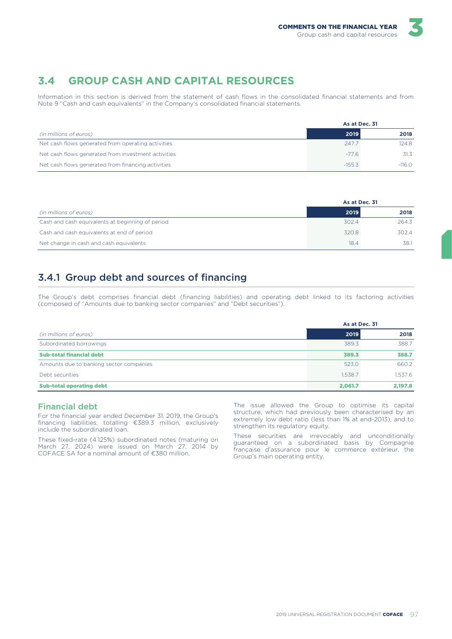#### **GROUP CASH AND CAPITAL RESOURCES**  $\overline{3}$   $\overline{4}$

Information in this section is derived from the statement of cash flows in the consolidated financial statements and from Note 9 "Cash and cash equivalents" in the Company's consolidated financial statements.

|                                                     | As at Dec. 31 |          |
|-----------------------------------------------------|---------------|----------|
| (in millions of euros)                              | 2019          | 2018     |
| Net cash flows generated from operating activities  | 247.7         | 124.8    |
| Net cash flows generated from investment activities | $-77.6$       | 31.3     |
| Net cash flows generated from financing activities  | $-155.3$      | $-116.0$ |

|                                                  | As at Dec. 31 |       |
|--------------------------------------------------|---------------|-------|
| (in millions of euros)                           | 2019          | 2018  |
| Cash and cash equivalents at beginning of period | 302.4         | 264.3 |
| Cash and cash equivalents at end of period       | 320.8         | 302.4 |
| Net change in cash and cash equivalents          | 18.4          | 38.1  |

# 3.4.1 Group debt and sources of financing

The Group's debt comprises financial debt (financing liabilities) and operating debt linked to its factoring activities (composed of "Amounts due to banking sector companies" and "Debt securities").

|                                         | As at Dec. 31 |         |
|-----------------------------------------|---------------|---------|
| (in millions of euros)                  | 2019          | 2018    |
| Subordinated borrowings                 | 389.3         | 388.7   |
| <b>Sub-total financial debt</b>         | 389.3         | 388.7   |
| Amounts due to banking sector companies | 523.0         | 660.2   |
| Debt securities                         | 1.538.7       | 1.537.6 |
| <b>Sub-total operating debt</b>         | 2.061.7       | 2.197.8 |

#### **Financial debt**

For the financial year ended December 31, 2019, the Group's financing liabilities, totalling €389.3 million, exclusively include the subordinated loan.

These fixed-rate (4.125%) subordinated notes (maturing on March 27, 2024) were issued on March 27, 2014 by COFACE SA for a nominal amount of €380 million.

The issue allowed the Group to optimise its capital structure, which had previously been characterised by an extremely low debt ratio (less than 1% at end-2013), and to strengthen its regulatory equity.

These securities are irrevocably and unconditionally<br>guaranteed on a subordinated basis by Compagnie française d'assurance pour le commerce extérieur, the Group's main operating entity.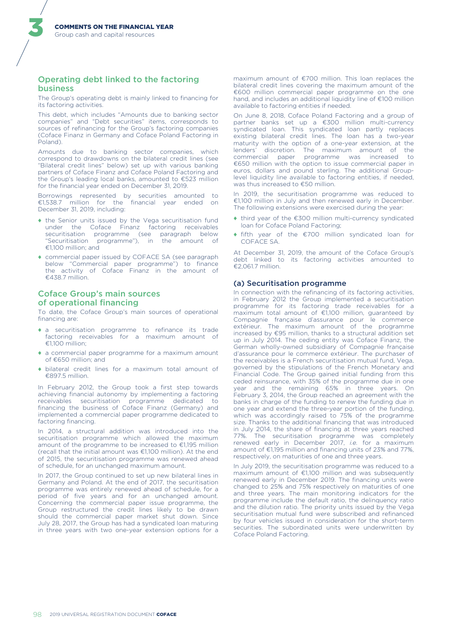#### Operating debt linked to the factoring **business**

The Group's operating debt is mainly linked to financing for its factoring activities.

This debt, which includes "Amounts due to banking sector companies" and "Debt securities" items, corresponds to sources of refinancing for the Group's factoring companies (Coface Finanz in Germany and Coface Poland Factoring in Poland)

Amounts due to banking sector companies, which correspond to drawdowns on the bilateral credit lines (see "Bilateral credit lines" below) set up with various banking partners of Coface Finanz and Coface Poland Factoring and the Group's leading local banks, amounted to €523 million for the financial year ended on December 31, 2019.

Borrowings represented by securities amounted to €1,538.7 million for the financial year ended on December 31, 2019, including:

- the Senior units issued by the Vega securitisation fund under the Coface Finanz factoring receivables securitisation programme (see paragraph below "Securitisation programme"), in the amount of  $£1100$  million: and
- ◆ commercial paper issued by COFACE SA (see paragraph below "Commercial paper programme") to finance<br>the activity of Coface Finanz in the amount of €438.7 million.

#### **Coface Group's main sources** of operational financing

To date, the Coface Group's main sources of operational financing are:

- a securitisation programme to refinance its trade factoring receivables for a maximum amount of €1,100 million:
- a commercial paper programme for a maximum amount of  $€650$  million: and
- bilateral credit lines for a maximum total amount of €897.5 million.

In February 2012, the Group took a first step towards achieving financial autonomy by implementing a factoring receivables securitisation programme dedicated to<br>financing the business of Coface Finanz (Germany) and implemented a commercial paper programme dedicated to factoring financing.

In 2014, a structural addition was introduced into the securitisation programme which allowed the maximum amount of the programme to be increased to €1,195 million (recall that the initial amount was €1,100 million). At the end of 2015, the securitisation programme was renewed ahead of schedule, for an unchanged maximum amount.

In 2017, the Group continued to set up new bilateral lines in Germany and Poland. At the end of 2017, the securitisation programme was entirely renewed ahead of schedule, for a period of five years and for an unchanged amount. Concerning the commercial paper issue programme, the Group restructured the credit lines likely to be drawn should the commercial paper market shut down. Since July 28, 2017, the Group has had a syndicated loan maturing in three years with two one-year extension options for a

maximum amount of €700 million. This loan replaces the bilateral credit lines covering the maximum amount of the €600 million commercial paper programme on the one hand, and includes an additional liquidity line of €100 million available to factoring entities if needed.

On June 8, 2018. Coface Poland Factoring and a group of partner banks set up a €300 million multi-currency syndicated loan. This syndicated loan partly replaces existing bilateral credit lines. The loan has a two-year maturity with the option of a one-year extension, at the lenders' discretion. The maximum amount of the<br>commercial paper programme was increased to €650 million with the option to issue commercial paper in euros, dollars and pound sterling. The additional Grouplevel liquidity line available to factoring entities, if needed, was thus increased to  $£50$  million

In 2019, the securitisation programme was reduced to €1,100 million in July and then renewed early in December. The following extensions were exercised during the year:

- ◆ third year of the €300 million multi-currency syndicated Ioan for Coface Poland Factoring;
- ◆ fifth year of the €700 million syndicated loan for COFACE SA.

At December 31, 2019, the amount of the Coface Group's debt linked to its factoring activities amounted to €2.061.7 million.

#### (a) Securitisation programme

In connection with the refinancing of its factoring activities, in February 2012 the Group implemented a securitisation programme for its factoring trade receivables for a maximum total amount of  $\epsilon$ 1,100 million, guaranteed by Compagnie française d'assurance pour le commerce<br>extérieur. The maximum amount of the programme increased by €95 million, thanks to a structural addition set up in July 2014. The ceding entity was Coface Finanz, the German wholly-owned subsidiary of Compagnie française d'assurance pour le commerce extérieur. The purchaser of the receivables is a French securitisation mutual fund, Vega, governed by the stipulations of the French Monetary and Financial Code. The Group gained initial funding from this ceded reinsurance, with 35% of the programme due in one year and the remaining 65% in three years. On February 3, 2014, the Group reached an agreement with the banks in charge of the funding to renew the funding due in one year and extend the three-year portion of the funding, which was accordingly raised to 75% of the programme size. Thanks to the additional financing that was introduced in July 2014, the share of financing at three years reached 77%. The securitisation programme was completely renewed early in December 2017, i.e. for a maximum amount of €1,195 million and financing units of 23% and 77%. respectively, on maturities of one and three years.

In July 2019, the securitisation programme was reduced to a maximum amount of €1,100 million and was subsequently renewed early in December 2019. The financing units were changed to 25% and 75% respectively on maturities of one and three years. The main monitoring indicators for the programme include the default ratio, the delinquency ratio and the dilution ratio. The priority units issued by the Vega securitisation mutual fund were subscribed and refinanced by four vehicles issued in consideration for the short-term securities. The subordinated units were underwritten by Coface Poland Factoring.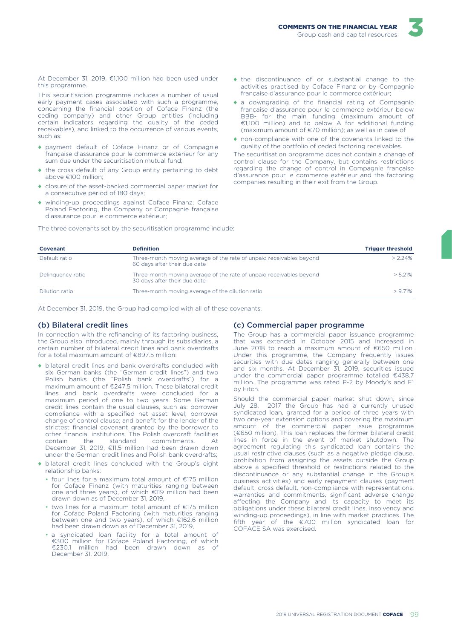

At December 31, 2019, €1,100 million had been used under this programme.

This securitisation programme includes a number of usual early payment cases associated with such a programme, concerning the financial position of Coface Finanz (the ceding company) and other Group entities (including certain indicators regarding the quality of the ceded receivables), and linked to the occurrence of various events, such as:

- payment default of Coface Finanz or of Compagnie française d'assurance pour le commerce extérieur for any sum due under the securitisation mutual fund;
- ◆ the cross default of any Group entity pertaining to debt above €100 million;
- closure of the asset-backed commercial paper market for a consecutive period of 180 days;
- winding-up proceedings against Coface Finanz, Coface Poland Factoring, the Company or Compagnie française d'assurance pour le commerce extérieur;

The three covenants set by the securitisation programme include:

- the discontinuance of or substantial change to the activities practised by Coface Finanz or by Compagnie française d'assurance pour le commerce extérieur;
- a downgrading of the financial rating of Compagnie française d'assurance pour le commerce extérieur below BBB- for the main funding (maximum amount of €1,100 million) and to below A for additional funding (maximum amount of  $\epsilon$ 70 million); as well as in case of
- non-compliance with one of the covenants linked to the quality of the portfolio of ceded factoring receivables.

The securitisation programme does not contain a change of control clause for the Company, but contains restrictions regarding the change of control in Compagnie française d'assurance pour le commerce extérieur and the factoring companies resulting in their exit from the Group.

| Covenant          | <b>Definition</b>                                                                                   | <b>Trigger threshold</b> |
|-------------------|-----------------------------------------------------------------------------------------------------|--------------------------|
| Default ratio     | Three-month moving average of the rate of unpaid receivables beyond<br>60 days after their due date | $> 2.24\%$               |
| Delinguency ratio | Three-month moving average of the rate of unpaid receivables beyond<br>30 days after their due date | > 5.21%                  |
| Dilution ratio    | Three-month moving average of the dilution ratio                                                    | $> 9.71\%$               |

At December 31, 2019, the Group had complied with all of these covenants.

#### (b) Bilateral credit lines

In connection with the refinancing of its factoring business, the Group also introduced, mainly through its subsidiaries, a<br>certain number of bilateral credit lines and bank overdrafts for a total maximum amount of €897.5 million:

- bilateral credit lines and bank overdrafts concluded with six German banks (the "German credit lines") and two  $Poisson$  banks (the "Polish bank overdrafts") for a<br>maximum amount of  $E247.5$  million. These bilateral credit lines and bank overdrafts were concluded for a maximum period of one to two years. Some German credit lines contain the usual clauses, such as: borrower compliance with a specified net asset level: borrower change of control clause; and benefit for the lender of the strictest financial covenant granted by the borrower to other financial institutions. The Polish overdraft facilities standard commitments.  $\Delta$ t contain the December 31, 2019, €11.5 million had been drawn down under the German credit lines and Polish bank overdrafts;
- bilateral credit lines concluded with the Group's eight relationship banks:
	- four lines for a maximum total amount of €175 million for Coface Finanz (with maturities ranging between one and three years), of which €119 million had been drawn down as of December 31, 2019,
	- $\cdot$  two lines for a maximum total amount of  $E175$  million for Coface Poland Factoring (with maturities ranging<br>between one and two years), of which €162.6 million had been drawn down as of December 31, 2019,
	- · a syndicated loan facility for a total amount of €300 million for Coface Poland Factoring, of which  $\epsilon$ 230.1 million had been drawn down as of December 31, 2019.

#### (c) Commercial paper programme

The Group has a commercial paper issuance programme that was extended in October 2015 and increased in June 2018 to reach a maximum amount of €650 million. Under this programme, the Company frequently issues securities with due dates ranging generally between one<br>and six months. At December 31, 2019, securities issued under the commercial paper programme totalled €438.7 million. The programme was rated P-2 by Moody's and F1 by Fitch.

Should the commercial paper market shut down, since July 28, 2017 the Group has had a currently unused syndicated loan, granted for a period of three years with two one-year extension options and covering the maximum amount of the commercial paper issue programme (€650 million). This loan replaces the former bilateral credit lines in force in the event of market shutdown. The agreement regulating this syndicated loan contains the usual restrictive clauses (such as a negative pledge clause, prohibition from assigning the assets outside the Group above a specified threshold or restrictions related to the discontinuance or any substantial change in the Group's business activities) and early repayment clauses (payment default, cross default, non-compliance with representations, warranties and commitments, significant adverse change<br>affecting the Company and its capacity to meet its obligations under these bilateral credit lines, insolvency and winding-up proceedings), in line with market practices. The fifth year of the €700 million syndicated loan for COFACE SA was exercised.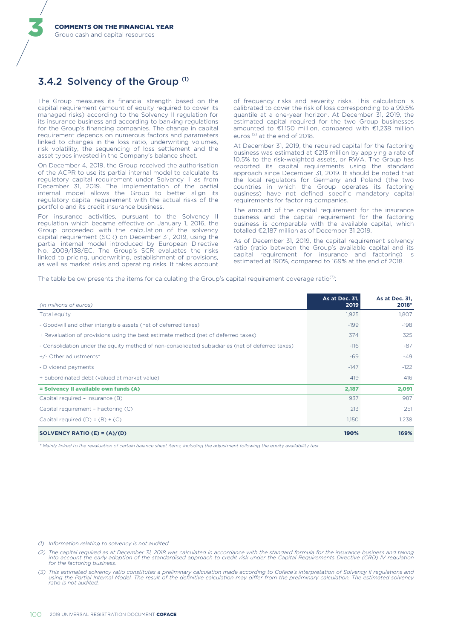### 3.4.2 Solvency of the Group (1)

The Group measures its financial strength based on the capital requirement (amount of equity required to cover its managed risks) according to the Solvency II regulation for its insurance business and according to banking regulations for the Group's financing companies. The change in capital requirement depends on numerous factors and parameters linked to changes in the loss ratio, underwriting volumes, risk volatility, the sequencing of loss settlement and the asset types invested in the Company's balance sheet.

On December 4, 2019, the Group received the authorisation of the ACPR to use its partial internal model to calculate its regulatory capital requirement under Solvency II as from December 31, 2019. The implementation of the partial internal model allows the Group to better align its regulatory capital requirement with the actual risks of the portfolio and its credit insurance business.

For insurance activities, pursuant to the Solvency II regulation which became effective on January 1, 2016, the Group proceeded with the calculation of the solvency capital requirement (SCR) on December 31, 2019, using the partial internal model introduced by European Directive No. 2009/138/EC. The Group's SCR evaluates the risks linked to pricing, underwriting, establishment of provisions, as well as market risks and operating risks. It takes account of frequency risks and severity risks. This calculation is calibrated to cover the risk of loss corresponding to a 99.5% quantile at a one-year horizon. At December 31, 2019, the estimated capital required for the two Group businesses amounted to €1,150 million, compared with €1,238 million euros<sup>(2)</sup> at the end of 2018.

At December 31, 2019, the required capital for the factoring business was estimated at €213 million by applying a rate of 10.5% to the risk-weighted assets, or RWA. The Group has reported its capital requirements using the standard approach since December 31, 2019. It should be noted that the local regulators for Germany and Poland (the two countries in which the Group operates its factoring business) have not defined specific mandatory capital requirements for factoring companies.

The amount of the capital requirement for the insurance business and the capital requirement for the factoring business is comparable with the available capital, which totalled €2,187 million as of December 31 2019.

As of December 31, 2019, the capital requirement solvency ratio (ratio between the Group's available capital and its<br>capital requirement for insurance and factoring) is estimated at 190%, compared to 169% at the end of 2018.

The table below presents the items for calculating the Group's capital requirement coverage ratio<sup>(3)</sup>:

| (in millions of euros)                                                                           | As at Dec. 31,<br>2019 | As at Dec. 31,<br>2018* |
|--------------------------------------------------------------------------------------------------|------------------------|-------------------------|
| Total equity                                                                                     | 1,925                  | 1,807                   |
| - Goodwill and other intangible assets (net of deferred taxes)                                   | $-199$                 | $-198$                  |
| + Revaluation of provisions using the best estimate method (net of deferred taxes)               | 374                    | 325                     |
| - Consolidation under the equity method of non-consolidated subsidiaries (net of deferred taxes) | $-116$                 | $-87$                   |
| +/- Other adjustments*                                                                           | $-69$                  | $-49$                   |
| - Dividend payments                                                                              | $-147$                 | $-122$                  |
| + Subordinated debt (valued at market value)                                                     | 419                    | 416                     |
| = Solvency II available own funds (A)                                                            | 2,187                  | 2,091                   |
| Capital required - Insurance (B)                                                                 | 937                    | 987                     |
| Capital requirement - Factoring (C)                                                              | 213                    | 251                     |
| Capital required $(D) = (B) + (C)$                                                               | 1,150                  | 1,238                   |
| SOLVENCY RATIO (E) = $(A)/(D)$                                                                   | 190%                   | 169%                    |

\* Mainly linked to the revaluation of certain balance sheet items, including the adjustment following the equity availability test.

#### (1) Information relating to solvency is not audited.

(2) The capital required as at December 31, 2018 was calculated in accordance with the standard formula for the insurance business and taking into account the early adoption of the standardised approach to credit risk under the Capital Requirements Directive (CRD) IV regulation for the factoring business.

(3) This estimated solvency ratio constitutes a preliminary calculation made according to Coface's interpretation of Solvency II regulations and<br>using the Partial Internal Model. The result of the definitive calculation ma ratio is not audited.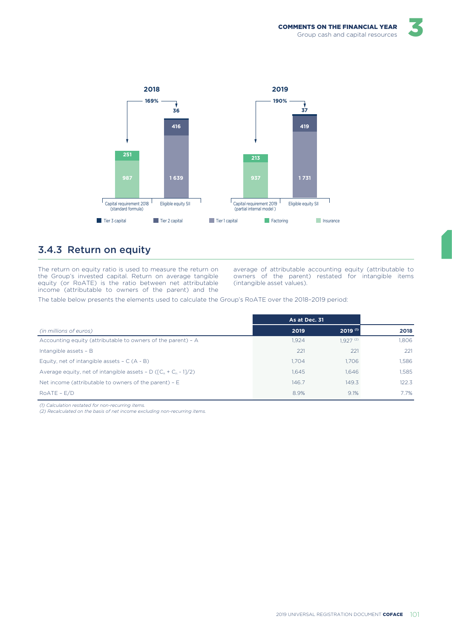

# 3.4.3 Return on equity

The return on equity ratio is used to measure the return on the Group's invested capital. Return on average tangible equity (or RoATE) is the ratio between net attributable income (attributable to owners of the parent) and the average of attributable accounting equity (attributable to<br>owners of the parent) restated for intangible items (intangible asset values).

The table below presents the elements used to calculate the Group's RoATE over the 2018-2019 period:

|                                                                      | As at Dec. 31 |                       |       |
|----------------------------------------------------------------------|---------------|-----------------------|-------|
| (in millions of euros)                                               | 2019          | $2019$ <sup>(1)</sup> | 2018  |
| Accounting equity (attributable to owners of the parent) - A         | 1.924         | 1.927 <sup>(2)</sup>  | 1.806 |
| Intangible assets - B                                                | 221           | 221                   | 221   |
| Equity, net of intangible assets $- C (A - B)$                       | 1.704         | 1.706                 | 1.586 |
| Average equity, net of intangible assets - D ( $[C_n + C_n - 1]/2$ ) | 1.645         | 1.646                 | 1.585 |
| Net income (attributable to owners of the parent) $- E$              | 146.7         | 149.3                 | 122.3 |
| $ROATE - E/D$                                                        | 8.9%          | 9.1%                  | 7.7%  |

(1) Calculation restated for non-recurring items.

(2) Recalculated on the basis of net income excluding non-recurring items.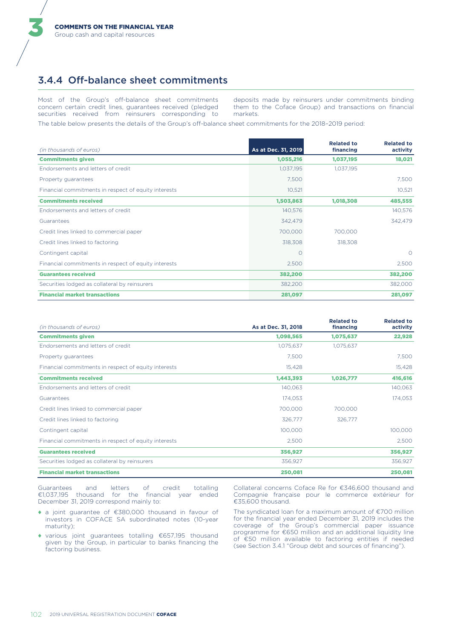### 3.4.4 Off-balance sheet commitments

Most of the Group's off-balance sheet commitments concern certain credit lines, guarantees received (pledged securities received from reinsurers corresponding to deposits made by reinsurers under commitments binding them to the Coface Group) and transactions on financial markets.

The table below presents the details of the Group's off-balance sheet commitments for the 2018-2019 period:

| (in thousands of euros)                              | As at Dec. 31, 2019 | <b>Related to</b><br>financing | <b>Related to</b><br>activity |
|------------------------------------------------------|---------------------|--------------------------------|-------------------------------|
| <b>Commitments given</b>                             | 1,055,216           | 1,037,195                      | 18,021                        |
| Endorsements and letters of credit                   | 1,037,195           | 1,037,195                      |                               |
| Property guarantees                                  | 7,500               |                                | 7,500                         |
| Financial commitments in respect of equity interests | 10,521              |                                | 10,521                        |
| <b>Commitments received</b>                          | 1,503,863           | 1,018,308                      | 485,555                       |
| Endorsements and letters of credit                   | 140,576             |                                | 140,576                       |
| Guarantees                                           | 342,479             |                                | 342,479                       |
| Credit lines linked to commercial paper              | 700,000             | 700,000                        |                               |
| Credit lines linked to factoring                     | 318,308             | 318,308                        |                               |
| Contingent capital                                   | O                   |                                | $\Omega$                      |
| Financial commitments in respect of equity interests | 2,500               |                                | 2,500                         |
| <b>Guarantees received</b>                           | 382,200             |                                | 382,200                       |
| Securities lodged as collateral by reinsurers        | 382,200             |                                | 382,000                       |
| <b>Financial market transactions</b>                 | 281,097             |                                | 281,097                       |

| (in thousands of euros)                              | As at Dec. 31, 2018 | <b>Related to</b><br>financing | <b>Related to</b><br>activity |
|------------------------------------------------------|---------------------|--------------------------------|-------------------------------|
| <b>Commitments given</b>                             | 1,098,565           | 1,075,637                      | 22,928                        |
| Endorsements and letters of credit                   | 1,075,637           | 1,075,637                      |                               |
| Property guarantees                                  | 7,500               |                                | 7,500                         |
| Financial commitments in respect of equity interests | 15,428              |                                | 15,428                        |
| <b>Commitments received</b>                          | 1,443,393           | 1,026,777                      | 416,616                       |
| Endorsements and letters of credit                   | 140,063             |                                | 140,063                       |
| Guarantees                                           | 174,053             |                                | 174,053                       |
| Credit lines linked to commercial paper              | 700,000             | 700,000                        |                               |
| Credit lines linked to factoring                     | 326,777             | 326,777                        |                               |
| Contingent capital                                   | 100,000             |                                | 100,000                       |
| Financial commitments in respect of equity interests | 2,500               |                                | 2,500                         |
| <b>Guarantees received</b>                           | 356,927             |                                | 356,927                       |
| Securities lodged as collateral by reinsurers        | 356,927             |                                | 356,927                       |
| <b>Financial market transactions</b>                 | 250,081             |                                | 250,081                       |

Guarantees and letters of credit totalling<br>€1,037,195 thousand for the financial year ended December 31, 2019 correspond mainly to:

- ◆ a joint guarantee of €380,000 thousand in favour of investors in COFACE SA subordinated notes (10-year maturity);
- ◆ various joint guarantees totalling €657,195 thousand given by the Group, in particular to banks financing the factoring business.

Collateral concerns Coface Re for €346,600 thousand and Compagnie française pour le commerce extérieur for €35,600 thousand.

The syndicated loan for a maximum amount of €700 million for the financial year ended December 31, 2019 includes the coverage of the Group's commercial paper issuance programme for €650 million and an additional liquidity line of €50 million available to factoring entities if needed (see Section 3.4.1 "Group debt and sources of financing").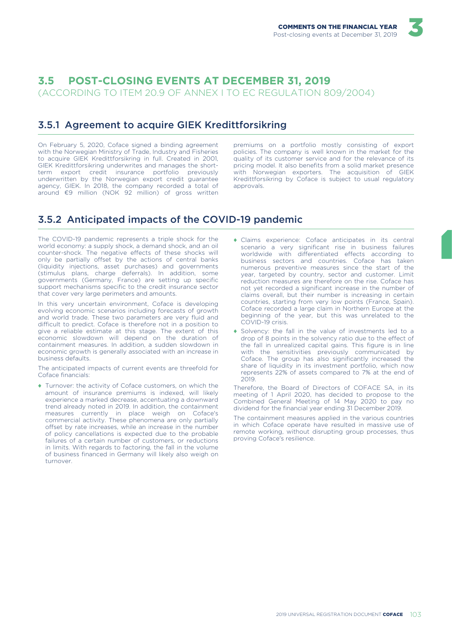# 3.5 POST-CLOSING EVENTS AT DECEMBER 31, 2019

(ACCORDING TO ITEM 20.9 OF ANNEX I TO EC REGULATION 809/2004)

### 3.5.1 Agreement to acquire GIEK Kredittforsikring

On February 5, 2020, Coface signed a binding agreement with the Norwegian Ministry of Trade, Industry and Fisheries to acquire GIEK Kredittforsikring in full. Created in 2001, GIEK Kredittforsikring underwrites and manages the shortterm export credit insurance portfolio previously underwritten by the Norwegian export credit guarantee agency, GIEK. In 2018, the company recorded a total of around €9 million (NOK 92 million) of gross written premiums on a portfolio mostly consisting of export policies. The company is well known in the market for the quality of its customer service and for the relevance of its pricing model. It also benefits from a solid market presence with Norwegian exporters. The acquisition of GIEK Kredittforsikring by Coface is subject to usual regulatory approvals

# 3.5.2 Anticipated impacts of the COVID-19 pandemic

The COVID-19 pandemic represents a triple shock for the world economy: a supply shock, a demand shock, and an oil counter-shock. The negative effects of these shocks will only be partially offset by the actions of central banks (liquidity injections, asset purchases) and governments (stimulus plans, charge deferrals). In addition, some governments (Germany, France) are setting up specific support mechanisms specific to the credit insurance sector that cover very large perimeters and amounts.

In this very uncertain environment, Coface is developing evolving economic scenarios including forecasts of growth and world trade. These two parameters are very fluid and difficult to predict. Coface is therefore not in a position to give a reliable estimate at this stage. The extent of this economic slowdown will depend on the duration of containment measures. In addition, a sudden slowdown in economic growth is generally associated with an increase in business defaults

The anticipated impacts of current events are threefold for Coface financials:

- Turnover: the activity of Coface customers, on which the amount of insurance premiums is indexed, will likely experience a marked decrease, accentuating a downward trend already noted in 2019. In addition, the containment measures currently in place weigh on Coface's<br>commercial activity. These phenomena are only partially offset by rate increases, while an increase in the number of policy cancellations is expected due to the probable failures of a certain number of customers, or reductions in limits. With regards to factoring, the fall in the volume of business financed in Germany will likely also weigh on turnover
- Claims experience: Coface anticipates in its central scenario a very significant rise in business failures worldwide with differentiated effects according to business sectors and countries. Coface has taken numerous preventive measures since the start of the year, targeted by country, sector and customer. Limit reduction measures are therefore on the rise. Coface has not yet recorded a significant increase in the number of claims overall, but their number is increasing in certain countries, starting from very low points (France, Spain). Coface recorded a large claim in Northern Europe at the beginning of the year, but this was unrelated to the COVID-19 crisis.
- Solvency: the fall in the value of investments led to a drop of 8 points in the solvency ratio due to the effect of the fall in unrealized capital gains. This figure is in line with the sensitivities previously communicated by Coface. The group has also significantly increased the share of liquidity in its investment portfolio, which now represents 22% of assets compared to 7% at the end of 2019.

Therefore, the Board of Directors of COFACE SA, in its meeting of 1 April 2020, has decided to propose to the Combined General Meeting of 14 May 2020 to pay no dividend for the financial year ending 31 December 2019.

The containment measures applied in the various countries in which Coface operate have resulted in massive use of remote working, without disrupting group processes, thus proving Coface's resilience.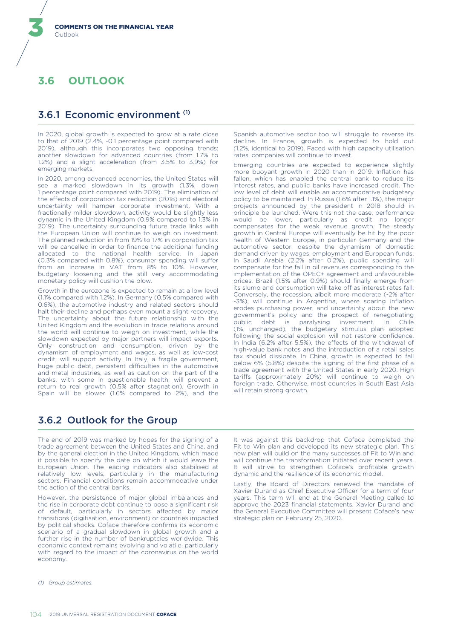#### 36 **OUTI OOK**

### 3.6.1 Economic environment (1)

In 2020, global growth is expected to grow at a rate close to that of 2019 (2.4%, -0.1 percentage point compared with 2019), although this incorporates two opposing trends: another slowdown for advanced countries (from 1.7% to 1.2%) and a slight acceleration (from 3.5% to 3.9%) for emerging markets

In 2020, among advanced economies, the United States will see a marked slowdown in its growth (1.3%, down 1 percentage point compared with 2019). The elimination of the effects of corporation tax reduction (2018) and electoral uncertainty will hamper corporate investment. With a fractionally milder slowdown, activity would be slightly less dynamic in the United Kingdom (0.9% compared to 1.3% in 2019). The uncertainty surrounding future trade links with the European Union will continue to weigh on investment. The planned reduction in from 19% to 17% in corporation tax will be cancelled in order to finance the additional funding allocated to the national health service. In Japan (0.3% compared with 0.8%), consumer spending will suffer<br>from an increase in VAT from 8% to 10%. However, budgetary loosening and the still very accommodating monetary policy will cushion the blow.

Growth in the eurozone is expected to remain at a low level [1.1% compared with 1.2%). In Germany (0.5% compared with 0.6%), the automotive industry and related sectors should halt their decline and perhaps even mount a slight recovery. The uncertainty about the future relationship with the United Kingdom and the evolution in trade relations around the world will continue to weigh on investment, while the slowdown expected by major partners will impact exports. Only construction and consumption, driven by the dynamism of employment and wages, as well as low-cost credit, will support activity. In Italy, a fragile government, huge public debt, persistent difficulties in the automotive and metal industries, as well as caution on the part of the banks, with some in questionable health, will prevent a return to real growth (0.5% after stagnation). Growth in Spain will be slower (1.6% compared to 2%), and the

Spanish automotive sector too will struggle to reverse its decline. In France, growth is expected to hold out (1.2%, identical to 2019). Faced with high capacity utilisation rates, companies will continue to invest.

Emerging countries are expected to experience slightly more buoyant growth in 2020 than in 2019. Inflation has fallen, which has enabled the central bank to reduce its interest rates, and public banks have increased credit. The low level of debt will enable an accommodative budgetary policy to be maintained. In Russia (1.6% after 1.1%), the major projects announced by the president in 2018 should in principle be launched. Were this not the case, performance would be lower, particularly as credit no longer compensates for the weak revenue growth. The steady growth in Central Europe will eventually be hit by the poor health of Western Europe, in particular Germany and the automotive sector, despite the dynamism of domestic demand driven by wages, employment and European funds. In Saudi Arabia (2.2% after 0.2%), public spending will compensate for the fall in oil revenues corresponding to the implementation of the OPEC+ agreement and unfavourable prices. Brazil (1.5% after 0.9%) should finally emerge from its slump and consumption will take off as interest rates fall. Conversely, the recession, albeit more moderate (-2% after -3%), will continue in Argentina, where soaring inflation erodes purchasing power, and uncertainty about the new government's policy and the prospect of renegotiating<br>public debt is paralysing investment. In Chile (1%, unchanged), the budgetary stimulus plan adopted following the social explosion will not restore confidence. In India (6.2% after 5.5%), the effects of the withdrawal of high-value bank notes and the introduction of a retail sales tax should dissipate. In China, growth is expected to fall below 6% (5.8%) despite the signing of the first phase of a trade agreement with the United States in early 2020. High tariffs (approximately 20%) will continue to weigh on foreign trade. Otherwise, most countries in South East Asia will retain strong growth.

# 3.6.2 Outlook for the Group

The end of 2019 was marked by hopes for the signing of a trade agreement between the United States and China, and by the general election in the United Kingdom, which made it possible to specify the date on which it would leave the European Union. The leading indicators also stabilised at relatively low levels, particularly in the manufacturing sectors. Financial conditions remain accommodative under the action of the central banks.

However, the persistence of major global imbalances and the rise in corporate debt continue to pose a significant risk of default, particularly in sectors affected by major transitions (digitisation, environment) or countries impacted by political shocks. Coface therefore confirms its economic scenario of a gradual slowdown in global growth and a further rise in the number of bankruptcies worldwide. This economic context remains evolving and volatile, particularly with regard to the impact of the coronavirus on the world economy.

(1) Group estimates

It was against this backdrop that Coface completed the Fit to Win plan and developed its new strategic plan. This new plan will build on the many successes of Fit to Win and will continue the transformation initiated over recent vears. It will strive to strengthen Coface's profitable growth dynamic and the resilience of its economic model.

Lastly, the Board of Directors renewed the mandate of Xavier Durand as Chief Executive Officer for a term of four years. This term will end at the General Meeting called to approve the 2023 financial statements. Xavier Durand and the General Executive Committee will present Coface's new strategic plan on February 25, 2020.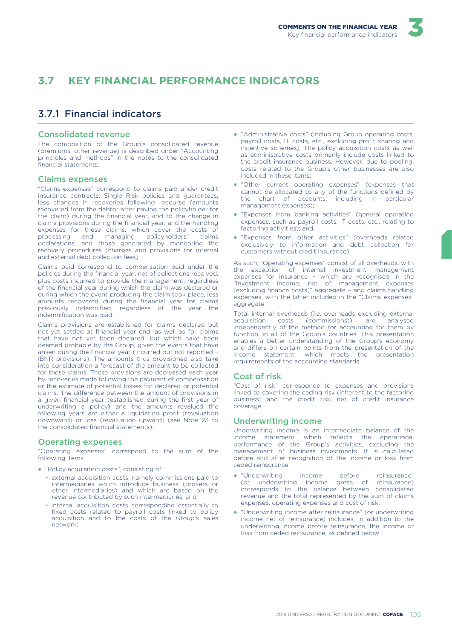#### $\overline{5}$   $\overline{7}$ **KEY FINANCIAL PERFORMANCE INDICATORS**

# 3.7.1 Financial indicators

#### **Consolidated revenue**

The composition of the Group's consolidated revenue (premiums, other revenue) is described under "Accounting principles and methods" in the notes to the consolidated financial statements

#### **Claims expenses**

"Claims expenses" correspond to claims paid under credit insurance contracts, Single Risk policies and guarantees, less changes in recoveries following recourse (amounts recovered from the debtor after paying the policyholder for the claim) during the financial year, and to the change in claims provisions during the financial year, and the handling expenses for these claims, which cover the costs of processing and managing policyholders' claims declarations, and those generated by monitoring the recovery procedures (charges and provisions for internal and external debt collection fees).

Claims paid correspond to compensation paid under the policies during the financial year, net of collections received, plus costs incurred to provide the management, regardless of the financial year during which the claim was declared or during which the event producing the claim took place, less amounts recovered during the financial year for claims previously indemnified, regardless of the year the indemnification was paid.

Claims provisions are established for claims declared but not yet settled at financial year end, as well as for claims that have not yet been declared, but which have been deemed probable by the Group, given the events that have arisen during the financial year (incurred but not reported -IBNR provisions). The amounts thus provisioned also take into consideration a forecast of the amount to be collected for these claims. These provisions are decreased each year by recoveries made following the payment of compensation or the estimate of potential losses for declared or potential claims. The difference between the amount of provisions in a given financial year (established during the first year of underwriting a policy) and the amounts revalued the following years are either a liquidation profit (revaluation downward) or loss (revaluation upward) (see Note 23 to the consolidated financial statements).

#### **Operating expenses**

"Operating expenses" correspond to the sum of the following items:

- "Policy acquisition costs", consisting of:
	- · external acquisition costs, namely commissions paid to intermediaries which introduce business (brokers or other intermediaries) and which are based on the revenue contributed by such intermediaries, and
	- · internal acquisition costs corresponding essentially to fixed costs related to payroll costs linked to policy acquisition and to the costs of the Group's sales network<sup>.</sup>
- "Administrative costs" (including Group operating costs, payroll costs, IT costs, etc., excluding profit sharing and incentive schemes). The policy acquisition costs as well as administrative costs primarily include costs linked to the credit insurance business. However, due to pooling, costs related to the Group's other businesses are also included in these items:
- "Other current operating expenses" (expenses that cannot be allocated to any of the functions defined by the chart of accounts, including in particular management expenses):
- "Expenses from banking activities" (general operating expenses, such as payroll costs, IT costs, etc., relating to factoring activities); and
- \* "Expenses from other activities" (overheads related exclusively to information and debt collection for customers without credit insurance).

As such, "Operating expenses" consist of all overheads, with the exception of internal investment management expenses for insurance - which are recognised in the "Investment income, net of management expenses (excluding finance costs)" aggregate - and claims handling expenses, with the latter included in the "Claims expenses" aggregate.

Total internal overheads (i.e. overheads excluding external analysed acquisition costs (commissions)), are independently of the method for accounting for them by function, in all of the Group's countries. This presentation enables a better understanding of the Group's economy and differs on certain points from the presentation of the income statement, which meets the presentation requirements of the accounting standards.

#### **Cost of risk**

"Cost of risk" corresponds to expenses and provisions linked to covering the ceding risk (inherent to the factoring business) and the credit risk, net of credit insurance coverage.

#### **Underwriting income**

Underwriting income is an intermediate balance of the income statement which reflects the operational performance of the Group's activities, excluding the management of business investments. It is calculated before and after recognition of the income or loss from ceded reinsurance:

- "Underwriting before income reinsurance" (or underwriting income gross of reinsurance) corresponds to the balance between consolidated revenue and the total represented by the sum of claims expenses, operating expenses and cost of risk;
- "Underwriting income after reinsurance" (or underwriting income net of reinsurance) includes, in addition to the underwriting income before reinsurance, the income or loss from ceded reinsurance, as defined below.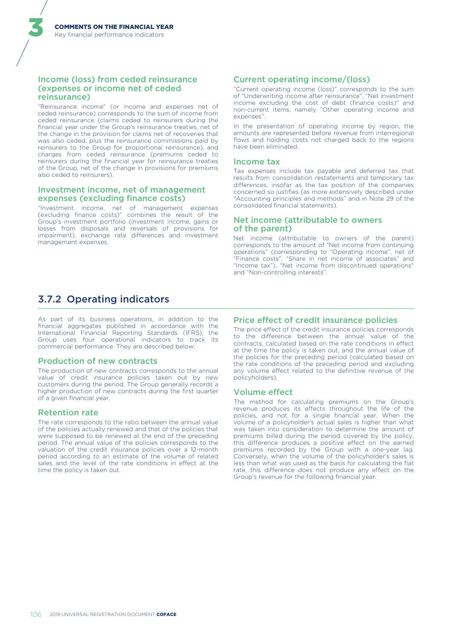#### Income (loss) from ceded reinsurance (expenses or income net of ceded reinsurance)

"Reinsurance income" (or income and expenses net of ceded reinsurance) corresponds to the sum of income from ceded reinsurance (claims ceded to reinsurers during the financial year under the Group's reinsurance treaties, net of the change in the provision for claims net of recoveries that was also ceded, plus the reinsurance commissions paid by reinsurers to the Group for proportional reinsurance), and charges from ceded reinsurance (premiums ceded to reinsurers during the financial year for reinsurance treaties of the Group, net of the change in provisions for premiums also ceded to reinsurers).

#### Investment income, net of management expenses (excluding finance costs)

"Investment income, net of management expenses<br>(excluding finance costs)" combines the result of the Group's investment portfolio (investment income, gains or losses from disposals and reversals of provisions for impairment), exchange rate differences and investment management expenses.

# 3.7.2 Operating indicators

As part of its business operations, in addition to the financial aggregates published in accordance with the International Financial Reporting Standards (IFRS), the Group uses four operational indicators to track its commercial performance. They are described below:

#### **Production of new contracts**

The production of new contracts corresponds to the annual value of credit insurance policies taken out by new customers during the period. The Group generally records a higher production of new contracts during the first quarter of a given financial year.

#### **Retention rate**

The rate corresponds to the ratio between the annual value of the policies actually renewed and that of the policies that were supposed to be renewed at the end of the preceding period. The annual value of the policies corresponds to the valuation of the credit insurance policies over a 12-month period according to an estimate of the volume of related sales and the level of the rate conditions in effect at the time the policy is taken out.

#### **Current operating income/(loss)**

"Current operating income (loss)" corresponds to the sum of "Underwriting income after reinsurance", "Net investment income excluding the cost of debt (finance costs)" and non-current items, namely "Other operating income and expenses".

In the presentation of operating income by region, the amounts are represented before revenue from interregional flows and holding costs not charged back to the regions have been eliminated.

#### **Income tax**

Tax expenses include tax payable and deferred tax that results from consolidation restatements and temporary tax differences, insofar as the tax position of the companies concerned so justifies (as more extensively described under "Accounting principles and methods" and in Note 29 of the consolidated financial statements)

#### Net income (attributable to owners of the parent)

Net income (attributable to owners of the parent) corresponds to the amount of "Net income from continuing operations" (corresponding to "Operating income", net of "Finance costs", "Share in net income of associates" and "Income tax"), "Net income from discontinued operations" and "Non-controlling interests".

#### **Price effect of credit insurance policies**

The price effect of the credit insurance policies corresponds to the difference between the annual value of the contracts, calculated based on the rate conditions in effect at the time the policy is taken out, and the annual value of the policies for the preceding period (calculated based on the rate conditions of the preceding period and excluding any volume effect related to the definitive revenue of the policyholders).

#### **Volume effect**

The method for calculating premiums on the Group's revenue produces its effects throughout the life of the policies, and not for a single financial year. When the volume of a policyholder's actual sales is higher than what was taken into consideration to determine the amount of premiums billed during the period covered by the policy, this difference produces a positive effect on the earned premiums recorded by the Group with a one-year lag. Conversely, when the volume of the policyholder's sales is less than what was used as the basis for calculating the flat rate, this difference does not produce any effect on the Group's revenue for the following financial year.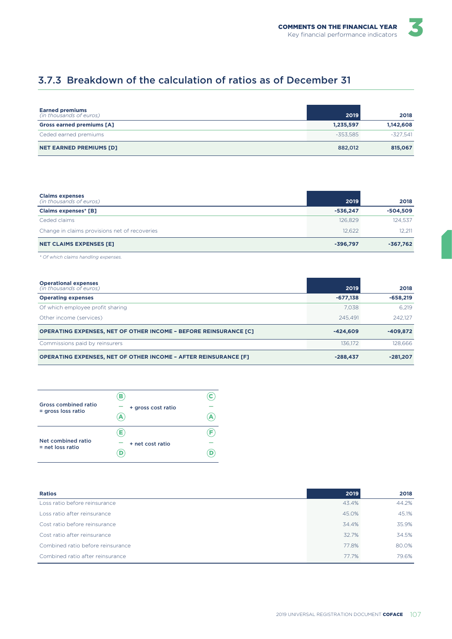# 3.7.3 Breakdown of the calculation of ratios as of December 31

| <b>Earned premiums</b><br>(in thousands of euros) | 2019       | 2018       |
|---------------------------------------------------|------------|------------|
| <b>Gross earned premiums [A]</b>                  | 1,235,597  | 1,142,608  |
| Ceded earned premiums                             | $-353.585$ | $-327.541$ |
| <b>NET EARNED PREMIUMS [D]</b>                    | 882,012    | 815,067    |

| <b>Claims expenses</b><br>(in thousands of euros) | 2019       | 2018       |
|---------------------------------------------------|------------|------------|
| <b>Claims expenses* [B]</b>                       | $-536.247$ | $-504,509$ |
| Ceded claims                                      | 126,829    | 124.537    |
| Change in claims provisions net of recoveries     | 12.622     | 12.211     |
| <b>NET CLAIMS EXPENSES [E]</b>                    | $-396.797$ | -367,762   |

\* Of which claims handling expenses.

| <b>Operational expenses</b><br>(in thousands of euros)                  | 2019       | 2018       |
|-------------------------------------------------------------------------|------------|------------|
| <b>Operating expenses</b>                                               | $-677.138$ | $-658.219$ |
| Of which employee profit sharing                                        | 7.038      | 6.219      |
| Other income (services)                                                 | 245.491    | 242.127    |
| <b>OPERATING EXPENSES, NET OF OTHER INCOME - BEFORE REINSURANCE [C]</b> | $-424.609$ | $-409.872$ |
| Commissions paid by reinsurers                                          | 136.172    | 128.666    |
| <b>OPERATING EXPENSES, NET OF OTHER INCOME - AFTER REINSURANCE [F]</b>  | $-288.437$ | $-281.207$ |

| Gross combined ratio<br>$=$ gross loss ratio | в<br>+ gross cost ratio |  |
|----------------------------------------------|-------------------------|--|
| Net combined ratio<br>$=$ net loss ratio     | Е.<br>+ net cost ratio  |  |

| <b>Ratios</b>                     | 2019  | 2018  |
|-----------------------------------|-------|-------|
| Loss ratio before reinsurance     | 43.4% | 44.2% |
| Loss ratio after reinsurance      | 45.0% | 45.1% |
| Cost ratio before reinsurance     | 34.4% | 35.9% |
| Cost ratio after reinsurance      | 32.7% | 34.5% |
| Combined ratio before reinsurance | 77.8% | 80.0% |
| Combined ratio after reinsurance  | 77.7% | 79.6% |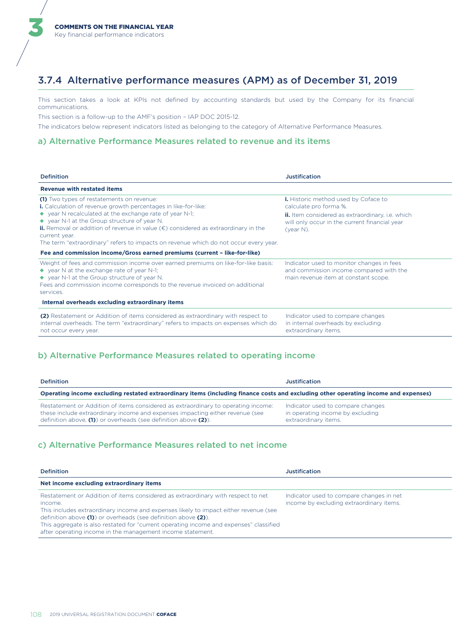# 3.7.4 Alternative performance measures (APM) as of December 31, 2019

This section takes a look at KPIs not defined by accounting standards but used by the Company for its financial communications.

This section is a follow-up to the AMF's position - IAP DOC 2015-12.

The indicators below represent indicators listed as belonging to the category of Alternative Performance Measures.

#### a) Alternative Performance Measures related to revenue and its items

| <b>Definition</b>                                                                                                                                                                                                                                                                                                                                                                                                                            | Justification                                                                                                                                                                                  |
|----------------------------------------------------------------------------------------------------------------------------------------------------------------------------------------------------------------------------------------------------------------------------------------------------------------------------------------------------------------------------------------------------------------------------------------------|------------------------------------------------------------------------------------------------------------------------------------------------------------------------------------------------|
| <b>Revenue with restated items</b>                                                                                                                                                                                                                                                                                                                                                                                                           |                                                                                                                                                                                                |
| (1) Two types of restatements on revenue:<br><b>i.</b> Calculation of revenue growth percentages in like-for-like:<br>◆ year N recalculated at the exchange rate of year N-1;<br>◆ year N-1 at the Group structure of year N.<br><b>ii.</b> Removal or addition of revenue in value $(\epsilon)$ considered as extraordinary in the<br>current year.<br>The term "extraordinary" refers to impacts on revenue which do not occur every year. | <b>i.</b> Historic method used by Coface to<br>calculate pro forma %.<br>ii. Item considered as extraordinary, i.e. which<br>will only occur in the current financial year<br>$($ year N $)$ . |
| Fee and commission income/Gross earned premiums (current - like-for-like)                                                                                                                                                                                                                                                                                                                                                                    |                                                                                                                                                                                                |
| Weight of fees and commission income over earned premiums on like-for-like basis:<br>$\blacklozenge$ year N at the exchange rate of year N-1;<br>◆ year N-1 at the Group structure of year N.<br>Fees and commission income corresponds to the revenue invoiced on additional<br>services.                                                                                                                                                   | Indicator used to monitor changes in fees<br>and commission income compared with the<br>main revenue item at constant scope.                                                                   |
| Internal overheads excluding extraordinary items                                                                                                                                                                                                                                                                                                                                                                                             |                                                                                                                                                                                                |
| (2) Restatement or Addition of items considered as extraordinary with respect to<br>internal overheads. The term "extraordinary" refers to impacts on expenses which do<br>not occur every year.                                                                                                                                                                                                                                             | Indicator used to compare changes<br>in internal overheads by excluding<br>extraordinary items.                                                                                                |

### b) Alternative Performance Measures related to operating income

| Definition                                                                                                                                                                                                                           | <b>Justification</b>                                                                          |
|--------------------------------------------------------------------------------------------------------------------------------------------------------------------------------------------------------------------------------------|-----------------------------------------------------------------------------------------------|
| Operating income excluding restated extraordinary items (including finance costs and excluding other operating income and expenses)                                                                                                  |                                                                                               |
| Restatement or Addition of items considered as extraordinary to operating income:<br>these include extraordinary income and expenses impacting either revenue (see<br>definition above, (1) or overheads (see definition above (2)). | Indicator used to compare changes<br>in operating income by excluding<br>extraordinary items. |

#### c) Alternative Performance Measures related to net income

| <b>Definition</b>                                                                                                                                                                                                                                                                                                                                                                                            | Justification                                                                        |
|--------------------------------------------------------------------------------------------------------------------------------------------------------------------------------------------------------------------------------------------------------------------------------------------------------------------------------------------------------------------------------------------------------------|--------------------------------------------------------------------------------------|
| Net income excluding extraordinary items                                                                                                                                                                                                                                                                                                                                                                     |                                                                                      |
| Restatement or Addition of items considered as extraordinary with respect to net<br>income.<br>This includes extraordinary income and expenses likely to impact either revenue (see<br>definition above (1) or overheads (see definition above (2)).<br>This aggregate is also restated for "current operating income and expenses" classified<br>after operating income in the management income statement. | Indicator used to compare changes in net<br>income by excluding extraordinary items. |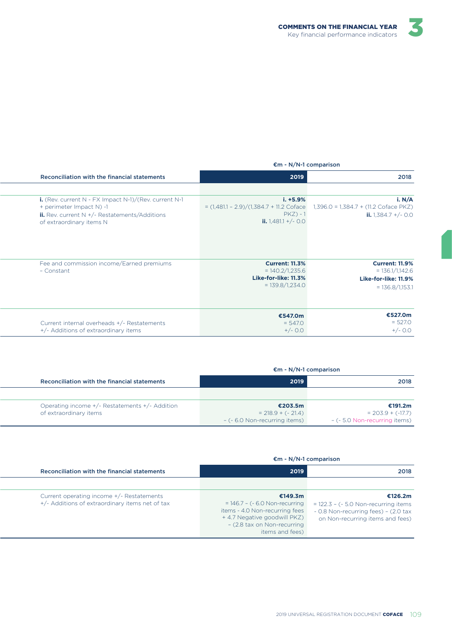

|                                                                                                                                                                                 | $\epsilon$ m - N/N-1 comparison                                                                     |                                                                                         |
|---------------------------------------------------------------------------------------------------------------------------------------------------------------------------------|-----------------------------------------------------------------------------------------------------|-----------------------------------------------------------------------------------------|
| Reconciliation with the financial statements                                                                                                                                    | 2019                                                                                                | 2018                                                                                    |
|                                                                                                                                                                                 |                                                                                                     |                                                                                         |
| i. (Rev. current $N$ - FX Impact $N-1$ )/(Rev. current $N-1$<br>+ perimeter Impact N) -1<br><b>ii.</b> Rev. current $N + (-$ Restatements/Additions<br>of extraordinary items N | $i. + 5.9%$<br>$= (1,481.1 - 2.9)/(1,384.7 + 11.2)$ Coface<br>$PKZ$ ) - 1<br>ii. $1,481.1 + (-0.0)$ | i. $N/A$<br>$1,396.0 = 1,384.7 + (11.2)$ Coface PKZ)<br>ii. $1.384.7 +/-$ 0.0           |
| Fee and commission income/Earned premiums<br>- Constant                                                                                                                         | <b>Current: 11.3%</b><br>$= 140.2/1,235.6$<br>Like-for-like: 11.3%<br>$= 139.8/1,234.0$             | <b>Current: 11.9%</b><br>$= 136.1/1,142.6$<br>Like-for-like: 11.9%<br>$= 136.8/1,153.1$ |
| Current internal overheads +/- Restatements<br>+/- Additions of extraordinary items                                                                                             | €547.0m<br>$= 547.0$<br>$+/-$ 0.0                                                                   | €527.0m<br>$= 527.0$<br>$+/-$ 0.0                                                       |

#### €m - N/N-1 comparison

| Reconciliation with the financial statements   | 2019                          | 2018                              |
|------------------------------------------------|-------------------------------|-----------------------------------|
|                                                |                               |                                   |
| Operating income +/- Restatements +/- Addition | €203.5m                       | €191.2m                           |
| of extraordinary items                         | $= 218.9 + (-21.4)$           | $= 203.9 + (-17.7)$               |
|                                                | - (- 6.0 Non-recurring items) | $-$ ( $-5.0$ Non-recurring items) |

#### €m - N/N-1 comparison

| Reconciliation with the financial statements                                                 | 2019                                                                                                                                                          | 2018                                                                                                                         |
|----------------------------------------------------------------------------------------------|---------------------------------------------------------------------------------------------------------------------------------------------------------------|------------------------------------------------------------------------------------------------------------------------------|
|                                                                                              |                                                                                                                                                               |                                                                                                                              |
| Current operating income +/- Restatements<br>+/- Additions of extraordinary items net of tax | €149.3m<br>$= 146.7 - (-6.0$ Non-recurring<br>items - 4.0 Non-recurring fees<br>+4.7 Negative goodwill PKZ)<br>- (2.8 tax on Non-recurring<br>items and fees) | €126.2m<br>$= 122.3 - (-5.0$ Non-recurring items<br>- 0.8 Non-recurring fees) - (2.0 tax<br>on Non-recurring items and fees) |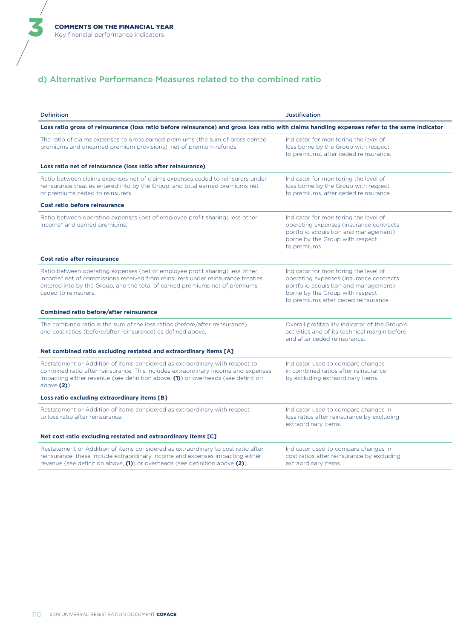ă

### d) Alternative Performance Measures related to the combined ratio

| <b>Definition</b>                                                                                                                                                                                                                                                           | <b>Justification</b>                                                                                                                                                                                 |
|-----------------------------------------------------------------------------------------------------------------------------------------------------------------------------------------------------------------------------------------------------------------------------|------------------------------------------------------------------------------------------------------------------------------------------------------------------------------------------------------|
| Loss ratio gross of reinsurance (loss ratio before reinsurance) and gross loss ratio with claims handling expenses refer to the same indicator                                                                                                                              |                                                                                                                                                                                                      |
| The ratio of claims expenses to gross earned premiums (the sum of gross earned<br>premiums and unearned premium provisions), net of premium refunds.                                                                                                                        | Indicator for monitoring the level of<br>loss borne by the Group with respect<br>to premiums, after ceded reinsurance.                                                                               |
| Loss ratio net of reinsurance (loss ratio after reinsurance)                                                                                                                                                                                                                |                                                                                                                                                                                                      |
| Ratio between claims expenses net of claims expenses ceded to reinsurers under<br>reinsurance treaties entered into by the Group, and total earned premiums net<br>of premiums ceded to reinsurers.                                                                         | Indicator for monitoring the level of<br>loss borne by the Group with respect<br>to premiums, after ceded reinsurance.                                                                               |
| <b>Cost ratio before reinsurance</b>                                                                                                                                                                                                                                        |                                                                                                                                                                                                      |
| Ratio between operating expenses (net of employee profit sharing) less other<br>income* and earned premiums.                                                                                                                                                                | Indicator for monitoring the level of<br>operating expenses (insurance contracts<br>portfolio acquisition and management)<br>borne by the Group with respect<br>to premiums.                         |
| <b>Cost ratio after reinsurance</b>                                                                                                                                                                                                                                         |                                                                                                                                                                                                      |
| Ratio between operating expenses (net of employee profit sharing) less other<br>income* net of commissions received from reinsurers under reinsurance treaties<br>entered into by the Group, and the total of earned premiums net of premiums<br>ceded to reinsurers.       | Indicator for monitoring the level of<br>operating expenses (insurance contracts<br>portfolio acquisition and management)<br>borne by the Group with respect<br>to premiums after ceded reinsurance. |
| <b>Combined ratio before/after reinsurance</b>                                                                                                                                                                                                                              |                                                                                                                                                                                                      |
| The combined ratio is the sum of the loss ratios (before/after reinsurance)<br>and cost ratios (before/after reinsurance) as defined above.                                                                                                                                 | Overall profitability indicator of the Group's<br>activities and of its technical margin before<br>and after ceded reinsurance.                                                                      |
| Net combined ratio excluding restated and extraordinary items [A]                                                                                                                                                                                                           |                                                                                                                                                                                                      |
| Restatement or Addition of items considered as extraordinary with respect to<br>combined ratio after reinsurance. This includes extraordinary income and expenses<br>impacting either revenue (see definition above, $(1)$ ) or overheads (see definition<br>above $(2)$ ). | Indicator used to compare changes<br>in combined ratios after reinsurance<br>by excluding extraordinary items.                                                                                       |
| Loss ratio excluding extraordinary items [B]                                                                                                                                                                                                                                |                                                                                                                                                                                                      |
| Restatement or Addition of items considered as extraordinary with respect<br>to loss ratio after reinsurance.                                                                                                                                                               | Indicator used to compare changes in<br>loss ratios after reinsurance by excluding<br>extraordinary items.                                                                                           |
| Net cost ratio excluding restated and extraordinary items [C]                                                                                                                                                                                                               |                                                                                                                                                                                                      |
| Restatement or Addition of items considered as extraordinary to cost ratio after<br>reinsurance: these include extraordinary income and expenses impacting either<br>revenue (see definition above, (1)) or overheads (see definition above (2)).                           | Indicator used to compare changes in<br>cost ratios after reinsurance by excluding<br>extraordinary items.                                                                                           |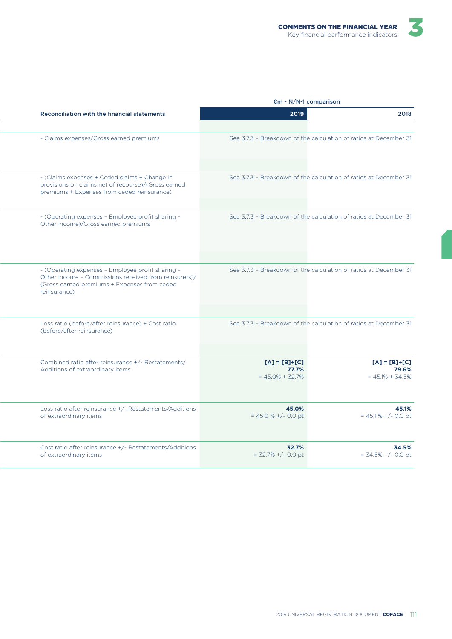| ndicators |  |
|-----------|--|
|           |  |
|           |  |
|           |  |

|                                                                                                                                                                            | $\mathsf{m}$ - N/N-1 comparison                 |                                                                   |
|----------------------------------------------------------------------------------------------------------------------------------------------------------------------------|-------------------------------------------------|-------------------------------------------------------------------|
| Reconciliation with the financial statements                                                                                                                               | 2019                                            | 2018                                                              |
|                                                                                                                                                                            |                                                 |                                                                   |
| - Claims expenses/Gross earned premiums                                                                                                                                    |                                                 | See 3.7.3 - Breakdown of the calculation of ratios at December 31 |
| - (Claims expenses + Ceded claims + Change in<br>provisions on claims net of recourse)/(Gross earned<br>premiums + Expenses from ceded reinsurance)                        |                                                 | See 3.7.3 - Breakdown of the calculation of ratios at December 31 |
| - (Operating expenses - Employee profit sharing -<br>Other income)/Gross earned premiums                                                                                   |                                                 | See 3.7.3 - Breakdown of the calculation of ratios at December 31 |
| - (Operating expenses - Employee profit sharing -<br>Other income - Commissions received from reinsurers)/<br>(Gross earned premiums + Expenses from ceded<br>reinsurance) |                                                 | See 3.7.3 - Breakdown of the calculation of ratios at December 31 |
| Loss ratio (before/after reinsurance) + Cost ratio<br>(before/after reinsurance)                                                                                           |                                                 | See 3.7.3 - Breakdown of the calculation of ratios at December 31 |
| Combined ratio after reinsurance +/- Restatements/<br>Additions of extraordinary items                                                                                     | $[A] = [B]+[C]$<br>77.7%<br>$= 45.0\% + 32.7\%$ | $[A] = [B] + [C]$<br>79.6%<br>$= 45.1% + 34.5%$                   |
| Loss ratio after reinsurance +/- Restatements/Additions<br>of extraordinary items                                                                                          | 45.0%<br>$= 45.0 % +/- 0.0 pt$                  | 45.1%<br>$= 45.1 % +/- 0.0 pt$                                    |
| Cost ratio after reinsurance +/- Restatements/Additions<br>of extraordinary items                                                                                          | 32.7%<br>$= 32.7\% + (-0.0)$ pt                 | 34.5%<br>$= 34.5\% + (-0.0)$ pt                                   |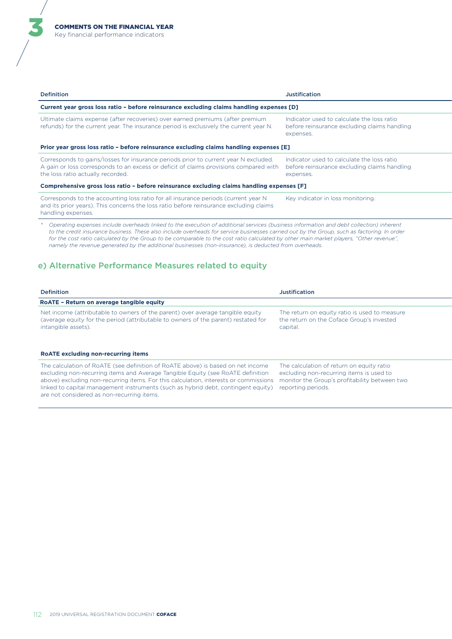ă

| <b>Definition</b>                                                                                                                                                                                                                                                                                                                                                                                                                                                                                                                           | <b>Justification</b>                                                                                    |
|---------------------------------------------------------------------------------------------------------------------------------------------------------------------------------------------------------------------------------------------------------------------------------------------------------------------------------------------------------------------------------------------------------------------------------------------------------------------------------------------------------------------------------------------|---------------------------------------------------------------------------------------------------------|
| Current year gross loss ratio - before reinsurance excluding claims handling expenses [D]                                                                                                                                                                                                                                                                                                                                                                                                                                                   |                                                                                                         |
| Ultimate claims expense (after recoveries) over earned premiums (after premium<br>refunds) for the current year. The insurance period is exclusively the current year N.                                                                                                                                                                                                                                                                                                                                                                    | Indicator used to calculate the loss ratio<br>before reinsurance excluding claims handling<br>expenses. |
| Prior year gross loss ratio - before reinsurance excluding claims handling expenses [E]                                                                                                                                                                                                                                                                                                                                                                                                                                                     |                                                                                                         |
| Corresponds to gains/losses for insurance periods prior to current year N excluded.<br>A gain or loss corresponds to an excess or deficit of claims provisions compared with<br>the loss ratio actually recorded.                                                                                                                                                                                                                                                                                                                           | Indicator used to calculate the loss ratio<br>before reinsurance excluding claims handling<br>expenses. |
| Comprehensive gross loss ratio - before reinsurance excluding claims handling expenses [F]                                                                                                                                                                                                                                                                                                                                                                                                                                                  |                                                                                                         |
| Corresponds to the accounting loss ratio for all insurance periods (current year N<br>and its prior years). This concerns the loss ratio before reinsurance excluding claims<br>handling expenses.                                                                                                                                                                                                                                                                                                                                          | Key indicator in loss monitoring.                                                                       |
| Operating expenses include overheads linked to the execution of additional services (business information and debt collection) inherent<br>to the credit insurance business. These also include overheads for service businesses carried out by the Group, such as factoring. In order<br>for the cost ratio calculated by the Group to be comparable to the cost ratio calculated by other main market players, "Other revenue",<br>namely the revenue generated by the additional businesses (non-insurance), is deducted from overheads. |                                                                                                         |
| e) Alternative Performance Measures related to equity                                                                                                                                                                                                                                                                                                                                                                                                                                                                                       |                                                                                                         |

| <b>Definition</b>                                                                                                                                                                           | <b>Justification</b>                                                                                   |
|---------------------------------------------------------------------------------------------------------------------------------------------------------------------------------------------|--------------------------------------------------------------------------------------------------------|
| RoATE - Return on average tangible equity                                                                                                                                                   |                                                                                                        |
| Net income (attributable to owners of the parent) over average tangible equity<br>(average equity for the period (attributable to owners of the parent) restated for<br>intangible assets). | The return on equity ratio is used to measure<br>the return on the Coface Group's invested<br>capital. |
| <b>ROATE excluding non-recurring items</b>                                                                                                                                                  |                                                                                                        |
| The calculation of RoATE (see definition of RoATE above) is based on net income<br>excluding non-recurring items and Average Tangible Equity (see RoATE definition                          | The calculation of return on equity ratio<br>excluding non-recurring items is used to                  |

monitor the Group's profitability between two

reporting periods.

above) excluding non-recurring items. For this calculation, interests or commissions linked to capital management instruments (such as hybrid debt, contingent equity)

are not considered as non-recurring items.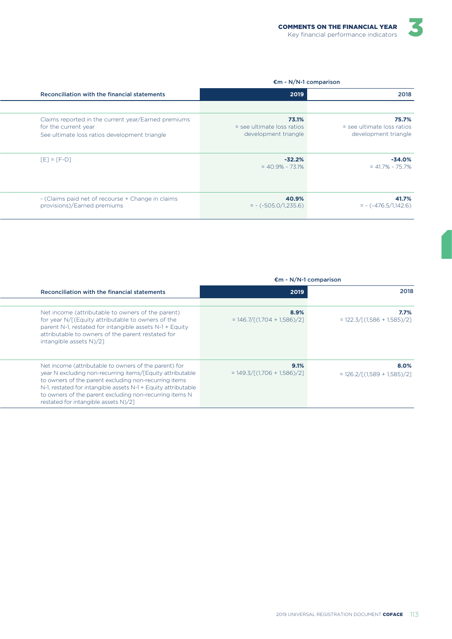#### €m - N/N-1 comparison

| 2018                                                          | 2019                                                          | Reconciliation with the financial statements                                                                                 |
|---------------------------------------------------------------|---------------------------------------------------------------|------------------------------------------------------------------------------------------------------------------------------|
|                                                               |                                                               |                                                                                                                              |
| 75.7%<br>$=$ see ultimate loss ratios<br>development triangle | 73.1%<br>$=$ see ultimate loss ratios<br>development triangle | Claims reported in the current year/Earned premiums<br>for the current year<br>See ultimate loss ratios development triangle |
| $-34.0%$<br>$= 41.7\% - 75.7\%$                               | $-32.2%$<br>$= 40.9\% - 73.1\%$                               | $[E] = [F-D]$                                                                                                                |
| 41.7%<br>$= -(-476.5/1,142.6)$                                | 40.9%<br>$= - (-505.0/1,235.6)$                               | - (Claims paid net of recourse + Change in claims<br>provisions)/Earned premiums                                             |

#### €m - N/N-1 comparison

| 2018                                                  | 2019                                           | Reconciliation with the financial statements                                                                                                                                                                                                                                                                                                    |
|-------------------------------------------------------|------------------------------------------------|-------------------------------------------------------------------------------------------------------------------------------------------------------------------------------------------------------------------------------------------------------------------------------------------------------------------------------------------------|
| 7.7%<br>$= 122.3 / [(1.586 + 1.585)/2]$               | 8.9%<br>$= 146.7/[ (1.704 + 1.586)/2]$         | Net income (attributable to owners of the parent)<br>for year N/[(Equity attributable to owners of the<br>parent N-1, restated for intangible assets N-1 + Equity<br>attributable to owners of the parent restated for<br>intangible assets N)/21                                                                                               |
| 8.0%<br>$= 126.2 / \lceil (1.589 + 1.585) / 2 \rceil$ | 9.1%<br>$= 149.3 / \Gamma(1.706 + 1.586) / 21$ | Net income (attributable to owners of the parent) for<br>year N excluding non-recurring items/[Equity attributable<br>to owners of the parent excluding non-recurring items<br>N-1, restated for intangible assets N-1 + Equity attributable<br>to owners of the parent excluding non-recurring items N<br>restated for intangible assets N)/21 |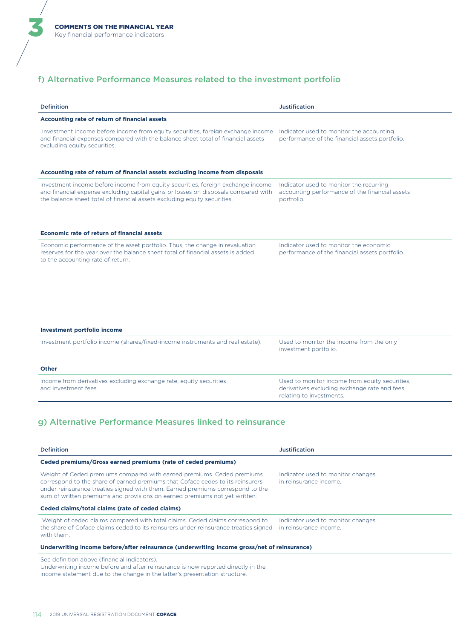ă

### f) Alternative Performance Measures related to the investment portfolio

| <b>Definition</b>                                                                                                                                                                                                                                 | <b>Justification</b>                                                                                                       |
|---------------------------------------------------------------------------------------------------------------------------------------------------------------------------------------------------------------------------------------------------|----------------------------------------------------------------------------------------------------------------------------|
| Accounting rate of return of financial assets                                                                                                                                                                                                     |                                                                                                                            |
| Investment income before income from equity securities, foreign exchange income<br>and financial expenses compared with the balance sheet total of financial assets<br>excluding equity securities.                                               | Indicator used to monitor the accounting<br>performance of the financial assets portfolio.                                 |
| Accounting rate of return of financial assets excluding income from disposals                                                                                                                                                                     |                                                                                                                            |
| Investment income before income from equity securities, foreign exchange income<br>and financial expense excluding capital gains or losses on disposals compared with<br>the balance sheet total of financial assets excluding equity securities. | Indicator used to monitor the recurring<br>accounting performance of the financial assets<br>portfolio.                    |
| <b>Economic rate of return of financial assets</b>                                                                                                                                                                                                |                                                                                                                            |
| Economic performance of the asset portfolio. Thus, the change in revaluation<br>reserves for the year over the balance sheet total of financial assets is added<br>to the accounting rate of return.                                              | Indicator used to monitor the economic<br>performance of the financial assets portfolio.                                   |
| <b>Investment portfolio income</b>                                                                                                                                                                                                                |                                                                                                                            |
| Investment portfolio income (shares/fixed-income instruments and real estate).                                                                                                                                                                    | Used to monitor the income from the only<br>investment portfolio.                                                          |
| <b>Other</b>                                                                                                                                                                                                                                      |                                                                                                                            |
| Income from derivatives excluding exchange rate, equity securities<br>and investment fees.                                                                                                                                                        | Used to monitor income from equity securities,<br>derivatives excluding exchange rate and fees<br>relating to investments. |
| g) Alternative Performance Measures linked to reinsurance<br><b>Definition</b>                                                                                                                                                                    | <b>Justification</b>                                                                                                       |
| Ceded premiums/Gross earned premiums (rate of ceded premiums)                                                                                                                                                                                     |                                                                                                                            |
| Weight of Ceded premiums compared with earned premiums. Ceded premiums<br>correspond to the share of earned premiums that Coface cedes to its reinsurers<br>under reinsurance treaties signed with them. Earned premiums correspond to the        | Indicator used to monitor changes<br>in reinsurance income.                                                                |

sum of written premiums and provisions on earned premiums not yet written.

#### **Ceded claims/total claims (rate of ceded claims)**

 Weight of ceded claims compared with total claims. Ceded claims correspond to Indicator used to monitor changes the share of Coface claims ceded to its reinsurers under reinsurance treaties signed in reinsurance income. with them.

#### **Underwriting income before/after reinsurance (underwriting income gross/net of reinsurance)**

See definition above (financial indicators).

Underwriting income before and after reinsurance is now reported directly in the income statement due to the change in the latter's presentation structure.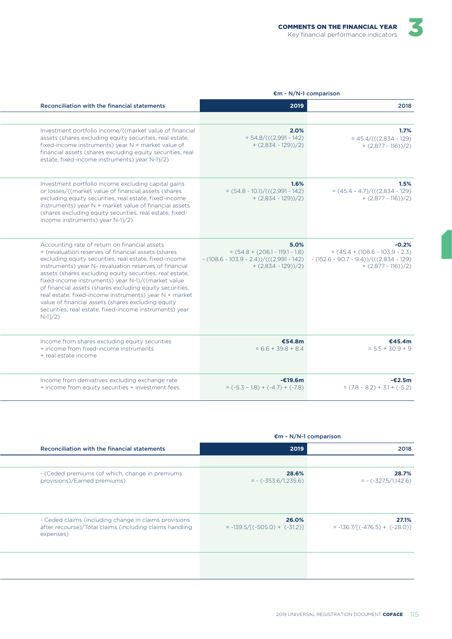|                                                                                                                                                                                                                                                                                                                                                                                                                                                                                                                                                                                               | $\mathsf{m}$ - N/N-1 comparison                                                                                  |                                                                                                                    |
|-----------------------------------------------------------------------------------------------------------------------------------------------------------------------------------------------------------------------------------------------------------------------------------------------------------------------------------------------------------------------------------------------------------------------------------------------------------------------------------------------------------------------------------------------------------------------------------------------|------------------------------------------------------------------------------------------------------------------|--------------------------------------------------------------------------------------------------------------------|
| Reconciliation with the financial statements                                                                                                                                                                                                                                                                                                                                                                                                                                                                                                                                                  | 2019                                                                                                             | 2018                                                                                                               |
|                                                                                                                                                                                                                                                                                                                                                                                                                                                                                                                                                                                               |                                                                                                                  |                                                                                                                    |
| Investment portfolio income/((market value of financial<br>assets (shares excluding equity securities, real estate,<br>fixed-income instruments) year N + market value of<br>financial assets (shares excluding equity securities, real<br>estate, fixed-income instruments) year N-1)/2)                                                                                                                                                                                                                                                                                                     | 2.0%<br>$= 54.8/((2.991 - 142))$<br>$+ (2,834 - 129))/2$                                                         | 1.7%<br>$= 45.4/((2.834 - 129))$<br>$+ (2,877 - 116))/2$                                                           |
| Investment portfolio income excluding capital gains<br>or losses/((market value of financial assets (shares<br>excluding equity securities, real estate, fixed-income<br>instruments) year N + market value of financial assets<br>(shares excluding equity securities, real estate, fixed-<br>income instruments) year N-1)/2).                                                                                                                                                                                                                                                              | 1.6%<br>$=(54.8 - 10.1)/((2.991 - 142))$<br>$+ (2,834 - 129))/2$                                                 | 1.5%<br>$=(45.4 - 4.7)/(((2.834 - 129))$<br>$+ (2,877 - 116))/2$                                                   |
| Accounting rate of return on financial assets<br>+ (revaluation reserves of financial assets (shares<br>excluding equity securities, real estate, fixed-income<br>instruments) year N- revaluation reserves of financial<br>assets (shares excluding equity securities, real estate,<br>fixed-income instruments) year N-1)/((market value<br>of financial assets (shares excluding equity securities,<br>real estate, fixed-income instruments) year N + market<br>value of financial assets (shares excluding equity<br>securities, real estate, fixed-income instruments) year<br>$N-1]/2$ | 5.0%<br>$= (54.8 + (206.1 - 119.1 - 1.8))$<br>$-(108.6 - 103.9 - 2.4))/(((2.991 - 142))$<br>$+ (2,834 - 129))/2$ | $-0.2%$<br>$= (45.4 + (108.6 - 103.9 - 2.3))$<br>$-(152.6 - 90.7 - 9.4))/(((2.834 - 129))$<br>$+ (2,877 - 116))/2$ |
| Income from shares excluding equity securities<br>+ income from fixed-income instruments<br>+ real estate income                                                                                                                                                                                                                                                                                                                                                                                                                                                                              | €54.8m<br>$= 6.6 + 39.8 + 8.4$                                                                                   | €45.4m<br>$= 5.5 + 30.9 + 9$                                                                                       |
| Income from derivatives excluding exchange rate<br>+ income from equity securities + investment fees                                                                                                                                                                                                                                                                                                                                                                                                                                                                                          | $-£19.6m$<br>$= (-5.3 - 1.8) + (-4.7) + (-7.8)$                                                                  | $-£2.5m$<br>$= (7.8 - 8.2) + 3.1 + (-5.2)$                                                                         |

|                                                                                                                               | $\epsilon$ m - N/N-1 comparison          |                                          |
|-------------------------------------------------------------------------------------------------------------------------------|------------------------------------------|------------------------------------------|
| Reconciliation with the financial statements                                                                                  | 2019                                     | 2018                                     |
|                                                                                                                               |                                          |                                          |
| - (Ceded premiums (of which, change in premiums)<br>provisions)/Earned premiums)                                              | 28.6%<br>$= -(-353.6/1,235.6)$           | 28.7%<br>$= -(-327.5/1,142.6)$           |
| - Ceded claims (including change in claims provisions<br>after recourse)/Total claims (including claims handling<br>expenses) | 26.0%<br>$= -139.5/[(-505.0) + (-31.2)]$ | 27.1%<br>$= -136.7/[(-476.5) + (-28.0)]$ |
|                                                                                                                               |                                          |                                          |

 $2019$  UNIVERSAL REGISTRATION DOCUMENT COFACE  $115$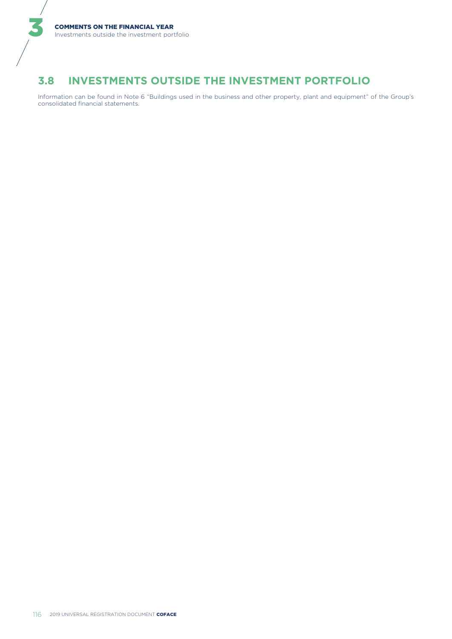#### **INVESTMENTS OUTSIDE THE INVESTMENT PORTFOLIO**  $3.8$

Information can be found in Note 6 "Buildings used in the business and other property, plant and equipment" of the Group's consolidated financial statements.